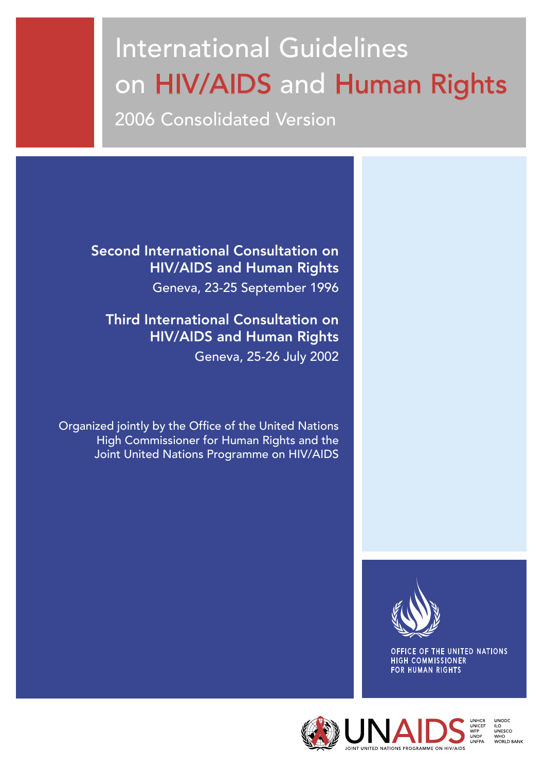# International Guidelines on HIV/AIDS and Human Rights

2006 Consolidated Version

Second International Consultation on HIV/AIDS and Human Rights Geneva, 23-25 September 1996

Third International Consultation on HIV/AIDS and Human Rights Geneva, 25-26 July 2002

Organized jointly by the Office of the United Nations High Commissioner for Human Rights and the Joint United Nations Programme on HIV/AIDS



OFFICE OF THE UNITED NATIONS **HIGH COMMISSIONER FOR HUMAN RIGHTS** 



**JODC ILO**<br>UNESCO *N*HO<br>*N*ORLD BANK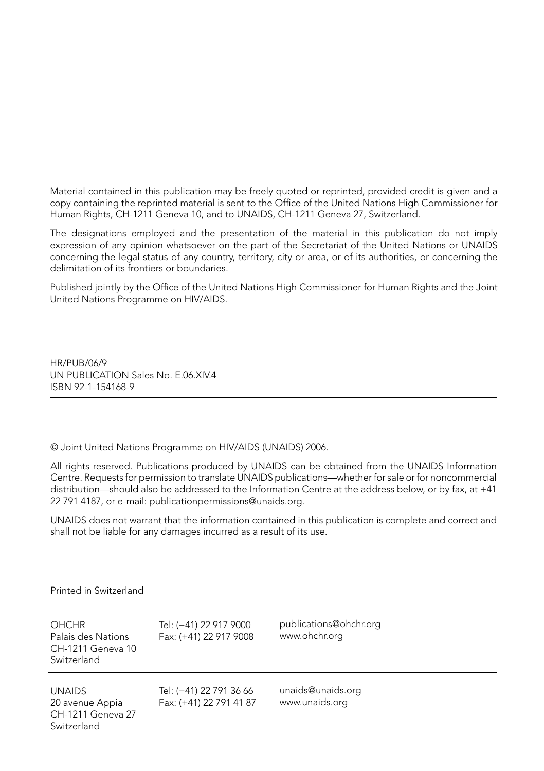Material contained in this publication may be freely quoted or reprinted, provided credit is given and a copy containing the reprinted material is sent to the Office of the United Nations High Commissioner for Human Rights, CH-1211 Geneva 10, and to UNAIDS, CH-1211 Geneva 27, Switzerland.

The designations employed and the presentation of the material in this publication do not imply expression of any opinion whatsoever on the part of the Secretariat of the United Nations or UNAIDS concerning the legal status of any country, territory, city or area, or of its authorities, or concerning the delimitation of its frontiers or boundaries.

Published jointly by the Office of the United Nations High Commissioner for Human Rights and the Joint United Nations Programme on HIV/AIDS.

HR/PUB/06/9 UN PUBLICATION Sales No. E.06.XIV.4 ISBN 92-1-154168-9

© Joint United Nations Programme on HIV/AIDS (UNAIDS) 2006.

All rights reserved. Publications produced by UNAIDS can be obtained from the UNAIDS Information Centre. Requests for permission to translate UNAIDS publications—whether for sale or for noncommercial distribution—should also be addressed to the Information Centre at the address below, or by fax, at +41 22 791 4187, or e-mail: publicationpermissions@unaids.org.

UNAIDS does not warrant that the information contained in this publication is complete and correct and shall not be liable for any damages incurred as a result of its use.

UNAIDS 20 avenue Appia CH-1211 Geneva 27 Switzerland Tel: (+41) 22 791 36 66 Fax: (+41) 22 791 41 87 unaids@unaids.org www.unaids.org **OHCHR** Palais des Nations CH-1211 Geneva 10 Switzerland Tel: (+41) 22 917 9000 Fax: (+41) 22 917 9008 publications@ohchr.org www.ohchr.org

Printed in Switzerland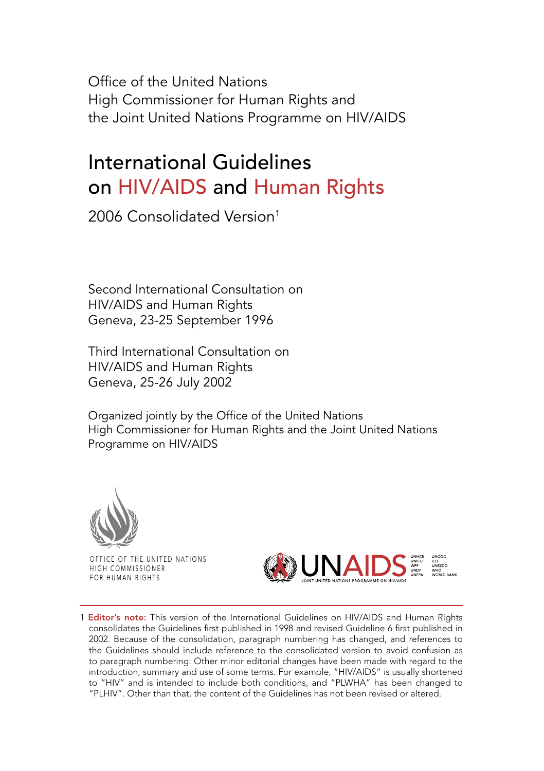Office of the United Nations High Commissioner for Human Rights and the Joint United Nations Programme on HIV/AIDS

# International Guidelines on HIV/AIDS and Human Rights

2006 Consolidated Version<sup>1</sup>

Second International Consultation on HIV/AIDS and Human Rights Geneva, 23-25 September 1996

Third International Consultation on HIV/AIDS and Human Rights Geneva, 25-26 July 2002

Organized jointly by the Office of the United Nations High Commissioner for Human Rights and the Joint United Nations Programme on HIV/AIDS



OFFICE OF THE UNITED NATIONS HIGH COMMISSIONER FOR HUMAN RIGHTS



1 Editor's note: This version of the International Guidelines on HIV/AIDS and Human Rights consolidates the Guidelines first published in 1998 and revised Guideline 6 first published in 2002. Because of the consolidation, paragraph numbering has changed, and references to the Guidelines should include reference to the consolidated version to avoid confusion as to paragraph numbering. Other minor editorial changes have been made with regard to the introduction, summary and use of some terms. For example, "HIV/AIDS" is usually shortened to "HIV" and is intended to include both conditions, and "PLWHA" has been changed to "PLHIV". Other than that, the content of the Guidelines has not been revised or altered.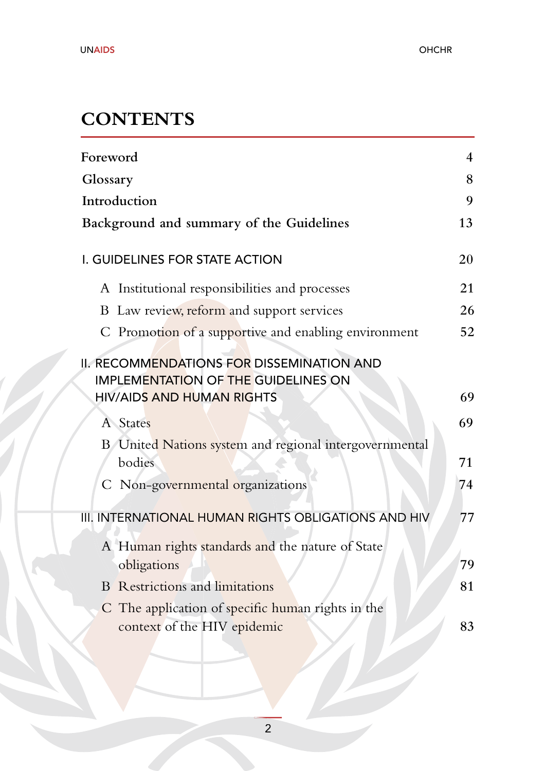# **CONTENTS**

| Foreword                                                                                                                    | 4  |
|-----------------------------------------------------------------------------------------------------------------------------|----|
| Glossary                                                                                                                    | 8  |
| Introduction                                                                                                                | 9  |
| Background and summary of the Guidelines                                                                                    | 13 |
| I. GUIDELINES FOR STATE ACTION                                                                                              | 20 |
| A Institutional responsibilities and processes                                                                              | 21 |
| B Law review, reform and support services                                                                                   | 26 |
| C Promotion of a supportive and enabling environment                                                                        | 52 |
| II. RECOMMENDATIONS FOR DISSEMINATION AND<br><b>IMPLEMENTATION OF THE GUIDELINES ON</b><br><b>HIV/AIDS AND HUMAN RIGHTS</b> | 69 |
| A States                                                                                                                    | 69 |
| B United Nations system and regional intergovernmental<br>bodies                                                            | 71 |
| C Non-governmental organizations                                                                                            | 74 |
| III. INTERNATIONAL HUMAN RIGHTS OBLIGATIONS AND HIV                                                                         | 77 |
| A Human rights standards and the nature of State<br>obligations                                                             | 79 |
| <b>B</b> Restrictions and limitations                                                                                       | 81 |
| C The application of specific human rights in the<br>context of the HIV epidemic                                            | 83 |
|                                                                                                                             |    |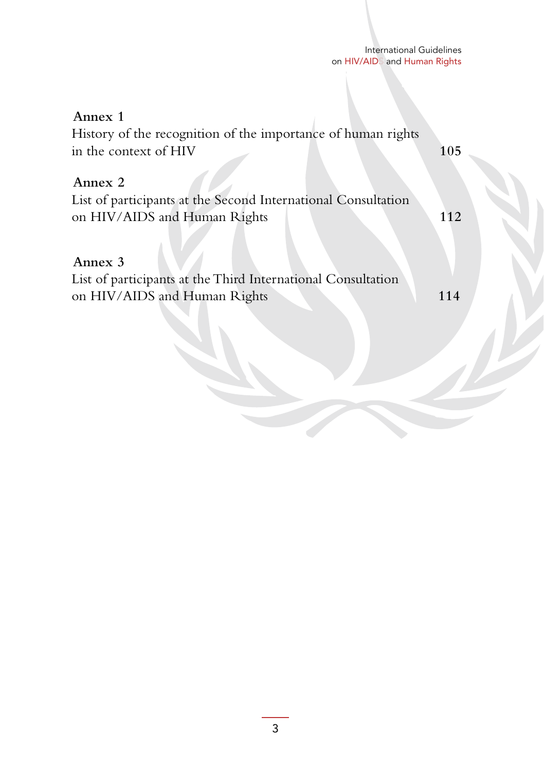#### International Guidelines on HIV/AIDS and Human Rights

| Annex 1                                                       |     |
|---------------------------------------------------------------|-----|
| History of the recognition of the importance of human rights  |     |
| in the context of HIV                                         | 105 |
| Annex 2                                                       |     |
| List of participants at the Second International Consultation |     |
| on HIV/AIDS and Human Rights                                  | 112 |
| Annex 3                                                       |     |
| List of participants at the Third International Consultation  |     |
| on HIV/AIDS and Human Rights                                  | 114 |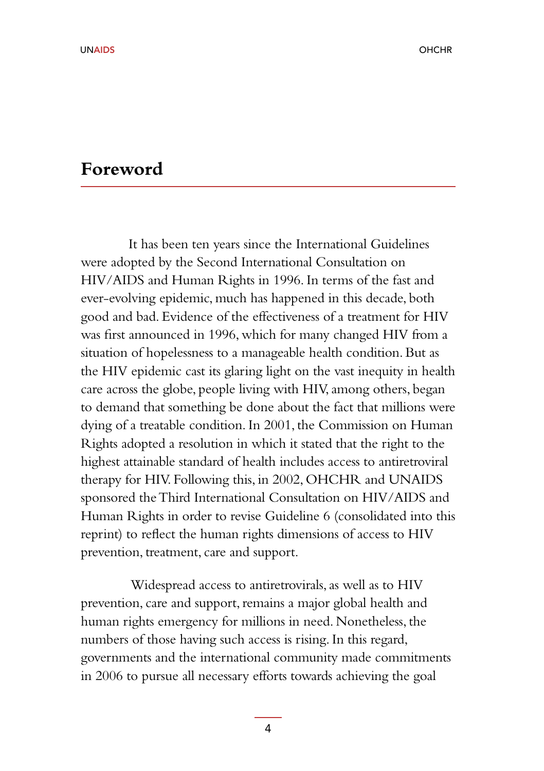#### **Foreword**

It has been ten years since the International Guidelines were adopted by the Second International Consultation on HIV/AIDS and Human Rights in 1996. In terms of the fast and ever-evolving epidemic, much has happened in this decade, both good and bad. Evidence of the effectiveness of a treatment for HIV was first announced in 1996, which for many changed HIV from a situation of hopelessness to a manageable health condition. But as the HIV epidemic cast its glaring light on the vast inequity in health care across the globe, people living with HIV, among others, began to demand that something be done about the fact that millions were dying of a treatable condition. In 2001, the Commission on Human Rights adopted a resolution in which it stated that the right to the highest attainable standard of health includes access to antiretroviral therapy for HIV. Following this, in 2002, OHCHR and UNAIDS sponsored the Third International Consultation on HIV/AIDS and Human Rights in order to revise Guideline 6 (consolidated into this reprint) to reflect the human rights dimensions of access to HIV prevention, treatment, care and support.

 Widespread access to antiretrovirals, as well as to HIV prevention, care and support, remains a major global health and human rights emergency for millions in need. Nonetheless, the numbers of those having such access is rising. In this regard, governments and the international community made commitments in 2006 to pursue all necessary efforts towards achieving the goal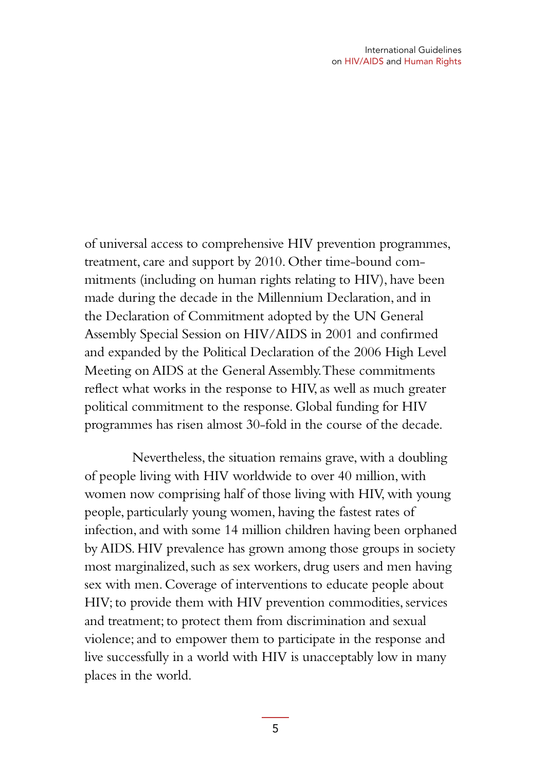of universal access to comprehensive HIV prevention programmes, treatment, care and support by 2010. Other time-bound commitments (including on human rights relating to HIV), have been made during the decade in the Millennium Declaration, and in the Declaration of Commitment adopted by the UN General Assembly Special Session on HIV/AIDS in 2001 and confirmed and expanded by the Political Declaration of the 2006 High Level Meeting on AIDS at the General Assembly. These commitments reflect what works in the response to HIV, as well as much greater political commitment to the response. Global funding for HIV programmes has risen almost 30-fold in the course of the decade.

Nevertheless, the situation remains grave, with a doubling of people living with HIV worldwide to over 40 million, with women now comprising half of those living with HIV, with young people, particularly young women, having the fastest rates of infection, and with some 14 million children having been orphaned by AIDS. HIV prevalence has grown among those groups in society most marginalized, such as sex workers, drug users and men having sex with men. Coverage of interventions to educate people about HIV; to provide them with HIV prevention commodities, services and treatment; to protect them from discrimination and sexual violence; and to empower them to participate in the response and live successfully in a world with HIV is unacceptably low in many places in the world.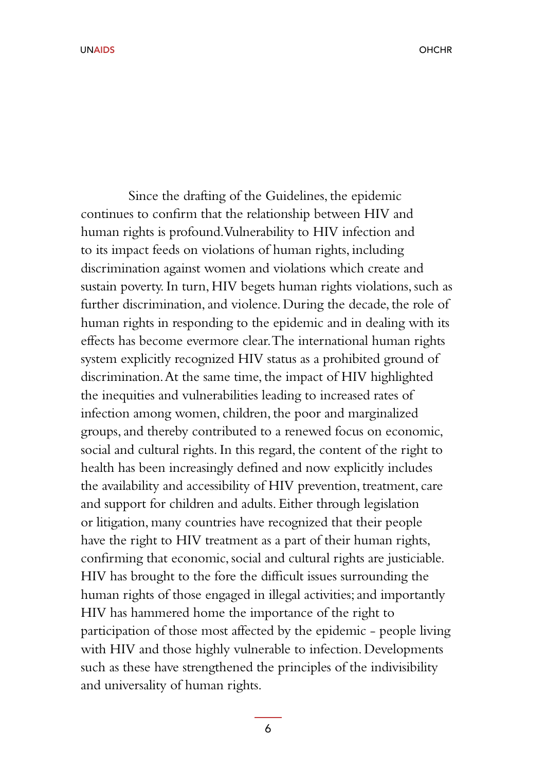Since the drafting of the Guidelines, the epidemic continues to confirm that the relationship between HIV and human rights is profound. Vulnerability to HIV infection and to its impact feeds on violations of human rights, including discrimination against women and violations which create and sustain poverty. In turn, HIV begets human rights violations, such as further discrimination, and violence. During the decade, the role of human rights in responding to the epidemic and in dealing with its effects has become evermore clear. The international human rights system explicitly recognized HIV status as a prohibited ground of discrimination. At the same time, the impact of HIV highlighted the inequities and vulnerabilities leading to increased rates of infection among women, children, the poor and marginalized groups, and thereby contributed to a renewed focus on economic, social and cultural rights. In this regard, the content of the right to health has been increasingly defined and now explicitly includes the availability and accessibility of HIV prevention, treatment, care and support for children and adults. Either through legislation or litigation, many countries have recognized that their people have the right to HIV treatment as a part of their human rights, confirming that economic, social and cultural rights are justiciable. HIV has brought to the fore the difficult issues surrounding the human rights of those engaged in illegal activities; and importantly HIV has hammered home the importance of the right to participation of those most affected by the epidemic - people living with HIV and those highly vulnerable to infection. Developments such as these have strengthened the principles of the indivisibility and universality of human rights.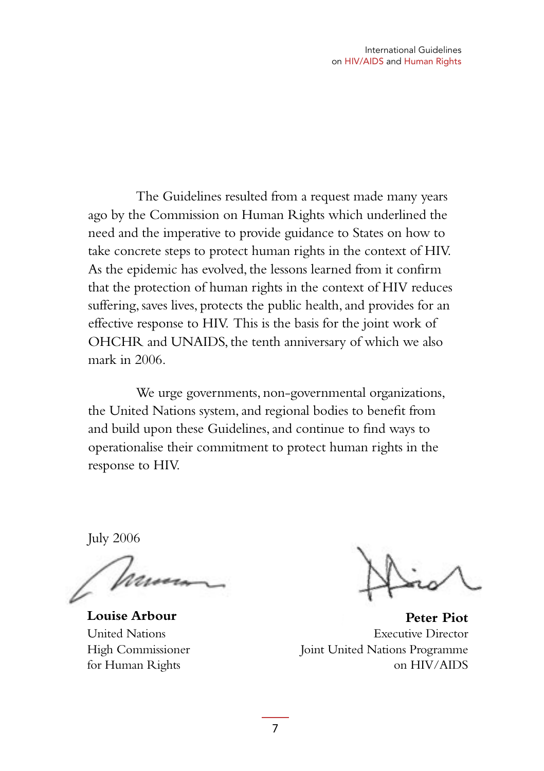The Guidelines resulted from a request made many years ago by the Commission on Human Rights which underlined the need and the imperative to provide guidance to States on how to take concrete steps to protect human rights in the context of HIV. As the epidemic has evolved, the lessons learned from it confirm that the protection of human rights in the context of HIV reduces suffering, saves lives, protects the public health, and provides for an effective response to HIV. This is the basis for the joint work of OHCHR and UNAIDS, the tenth anniversary of which we also mark in 2006.

We urge governments, non-governmental organizations, the United Nations system, and regional bodies to benefit from and build upon these Guidelines, and continue to find ways to operationalise their commitment to protect human rights in the response to HIV.

July 2006

**Louise Arbour**  United Nations High Commissioner for Human Rights

**Peter Piot** Executive Director Joint United Nations Programme on HIV/AIDS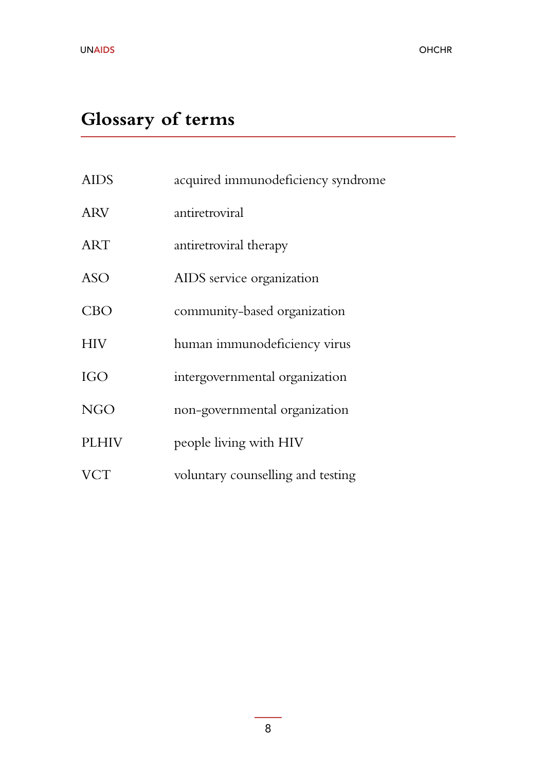# **Glossary of terms**

| <b>AIDS</b>  | acquired immunodeficiency syndrome |
|--------------|------------------------------------|
| <b>ARV</b>   | antiretroviral                     |
| <b>ART</b>   | antiretroviral therapy             |
| <b>ASO</b>   | AIDS service organization          |
| <b>CBO</b>   | community-based organization       |
| <b>HIV</b>   | human immunodeficiency virus       |
| <b>IGO</b>   | intergovernmental organization     |
| <b>NGO</b>   | non-governmental organization      |
| <b>PLHIV</b> | people living with HIV             |
| <b>VCT</b>   | voluntary counselling and testing  |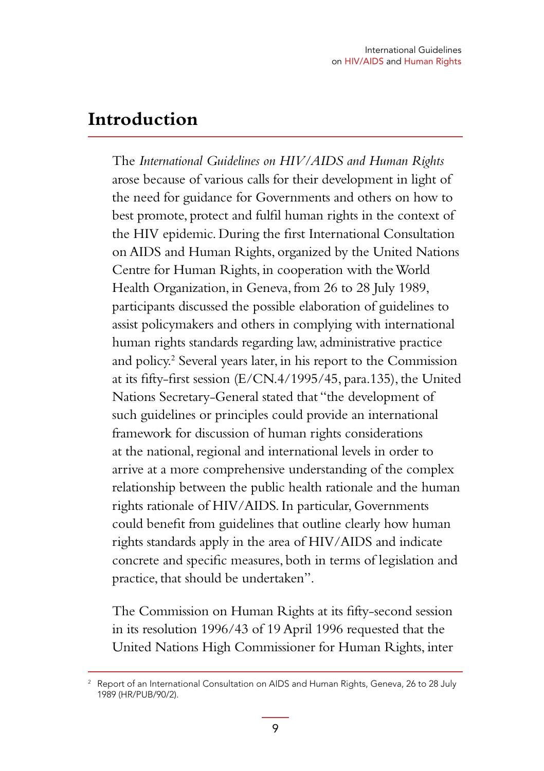## **Introduction**

 The *International Guidelines on HIV/AIDS and Human Rights* arose because of various calls for their development in light of the need for guidance for Governments and others on how to best promote, protect and fulfil human rights in the context of the HIV epidemic. During the first International Consultation on AIDS and Human Rights, organized by the United Nations Centre for Human Rights, in cooperation with the World Health Organization, in Geneva, from 26 to 28 July 1989, participants discussed the possible elaboration of guidelines to assist policymakers and others in complying with international human rights standards regarding law, administrative practice and policy.<sup>2</sup> Several years later, in his report to the Commission at its fifty-first session (E/CN.4/1995/45, para.135), the United Nations Secretary-General stated that "the development of such guidelines or principles could provide an international framework for discussion of human rights considerations at the national, regional and international levels in order to arrive at a more comprehensive understanding of the complex relationship between the public health rationale and the human rights rationale of HIV/AIDS. In particular, Governments could benefit from guidelines that outline clearly how human rights standards apply in the area of HIV/AIDS and indicate concrete and specific measures, both in terms of legislation and practice, that should be undertaken".

 The Commission on Human Rights at its fifty-second session in its resolution 1996/43 of 19 April 1996 requested that the United Nations High Commissioner for Human Rights, inter

<sup>2</sup> Report of an International Consultation on AIDS and Human Rights, Geneva, 26 to 28 July 1989 (HR/PUB/90/2).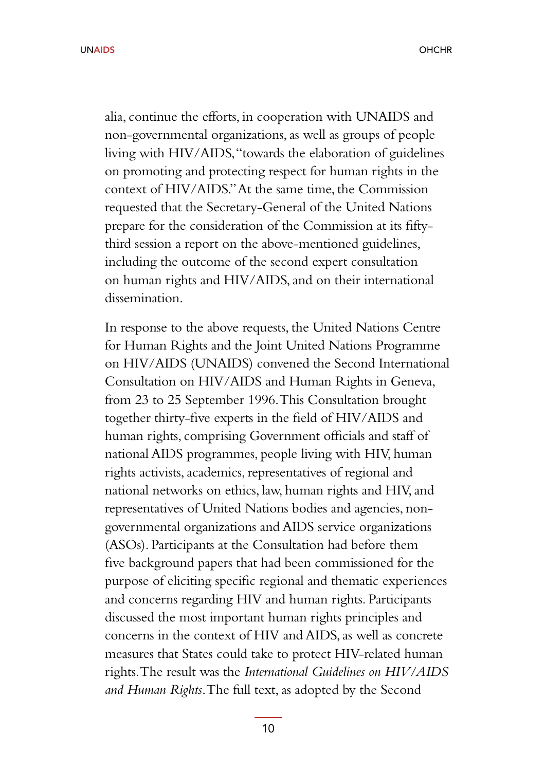UNAIDS **OHCHR** OHCHR OHCHR OHCHR OHCHR OHCHR OHCHR OHCHR

alia, continue the efforts, in cooperation with UNAIDS and non-governmental organizations, as well as groups of people living with HIV/AIDS, "towards the elaboration of guidelines on promoting and protecting respect for human rights in the context of HIV/AIDS." At the same time, the Commission requested that the Secretary-General of the United Nations prepare for the consideration of the Commission at its fiftythird session a report on the above-mentioned guidelines, including the outcome of the second expert consultation on human rights and HIV/AIDS, and on their international dissemination.

 In response to the above requests, the United Nations Centre for Human Rights and the Joint United Nations Programme on HIV/AIDS (UNAIDS) convened the Second International Consultation on HIV/AIDS and Human Rights in Geneva, from 23 to 25 September 1996. This Consultation brought together thirty-five experts in the field of HIV/AIDS and human rights, comprising Government officials and staff of national AIDS programmes, people living with HIV, human rights activists, academics, representatives of regional and national networks on ethics, law, human rights and HIV, and representatives of United Nations bodies and agencies, nongovernmental organizations and AIDS service organizations (ASOs). Participants at the Consultation had before them five background papers that had been commissioned for the purpose of eliciting specific regional and thematic experiences and concerns regarding HIV and human rights. Participants discussed the most important human rights principles and concerns in the context of HIV and AIDS, as well as concrete measures that States could take to protect HIV-related human rights. The result was the *International Guidelines on HIV/AIDS and Human Rights*. The full text, as adopted by the Second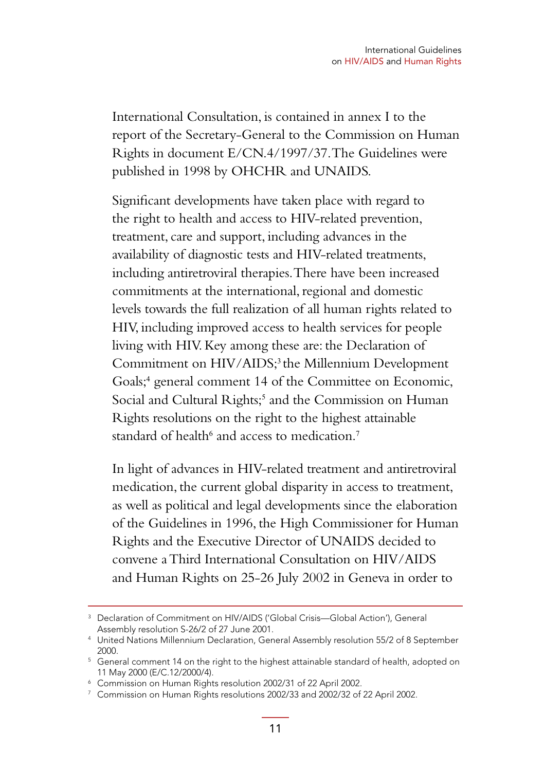International Consultation, is contained in annex I to the report of the Secretary-General to the Commission on Human Rights in document E/CN.4/1997/37. The Guidelines were published in 1998 by OHCHR and UNAIDS.

 Significant developments have taken place with regard to the right to health and access to HIV-related prevention, treatment, care and support, including advances in the availability of diagnostic tests and HIV-related treatments, including antiretroviral therapies. There have been increased commitments at the international, regional and domestic levels towards the full realization of all human rights related to HIV, including improved access to health services for people living with HIV. Key among these are: the Declaration of Commitment on HIV/AIDS;<sup>3</sup> the Millennium Development Goals;<sup>4</sup> general comment 14 of the Committee on Economic, Social and Cultural Rights;<sup>5</sup> and the Commission on Human Rights resolutions on the right to the highest attainable standard of health<sup>6</sup> and access to medication.<sup>7</sup>

 In light of advances in HIV-related treatment and antiretroviral medication, the current global disparity in access to treatment, as well as political and legal developments since the elaboration of the Guidelines in 1996, the High Commissioner for Human Rights and the Executive Director of UNAIDS decided to convene a Third International Consultation on HIV/AIDS and Human Rights on 25-26 July 2002 in Geneva in order to

<sup>3</sup> Declaration of Commitment on HIV/AIDS ('Global Crisis—Global Action'), General Assembly resolution S-26/2 of 27 June 2001.

<sup>4</sup> United Nations Millennium Declaration, General Assembly resolution 55/2 of 8 September 2000.

 $5$  General comment 14 on the right to the highest attainable standard of health, adopted on 11 May 2000 (E/C.12/2000/4).

<sup>6</sup> Commission on Human Rights resolution 2002/31 of 22 April 2002.

<sup>7</sup> Commission on Human Rights resolutions 2002/33 and 2002/32 of 22 April 2002.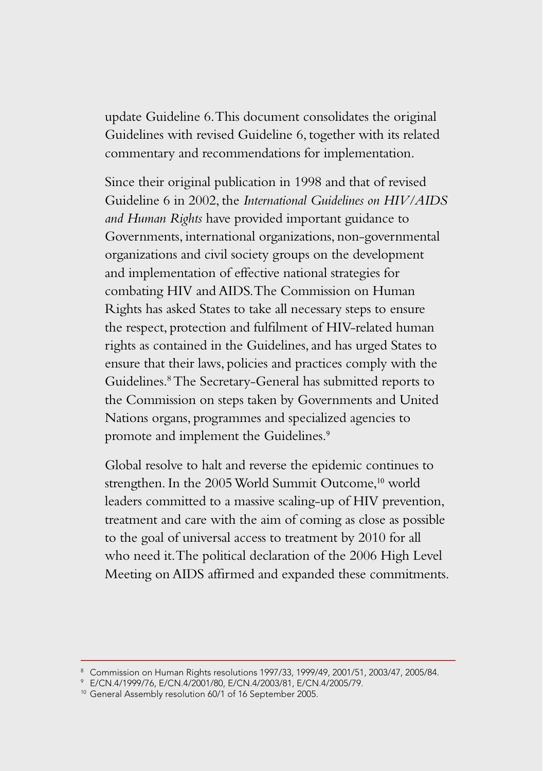update Guideline 6. This document consolidates the original Guidelines with revised Guideline 6, together with its related commentary and recommendations for implementation.

 Since their original publication in 1998 and that of revised Guideline 6 in 2002, the *International Guidelines on HIV/AIDS and Human Rights* have provided important guidance to Governments, international organizations, non-governmental organizations and civil society groups on the development and implementation of effective national strategies for combating HIV and AIDS. The Commission on Human Rights has asked States to take all necessary steps to ensure the respect, protection and fulfilment of HIV-related human rights as contained in the Guidelines, and has urged States to ensure that their laws, policies and practices comply with the Guidelines.8 The Secretary-General has submitted reports to the Commission on steps taken by Governments and United Nations organs, programmes and specialized agencies to promote and implement the Guidelines.<sup>9</sup>

 Global resolve to halt and reverse the epidemic continues to strengthen. In the 2005 World Summit Outcome,<sup>10</sup> world leaders committed to a massive scaling-up of HIV prevention, treatment and care with the aim of coming as close as possible to the goal of universal access to treatment by 2010 for all who need it. The political declaration of the 2006 High Level Meeting on AIDS affirmed and expanded these commitments.

<sup>8</sup> Commission on Human Rights resolutions 1997/33, 1999/49, 2001/51, 2003/47, 2005/84.

<sup>9</sup> E/CN.4/1999/76, E/CN.4/2001/80, E/CN.4/2003/81, E/CN.4/2005/79.

<sup>10</sup> General Assembly resolution 60/1 of 16 September 2005.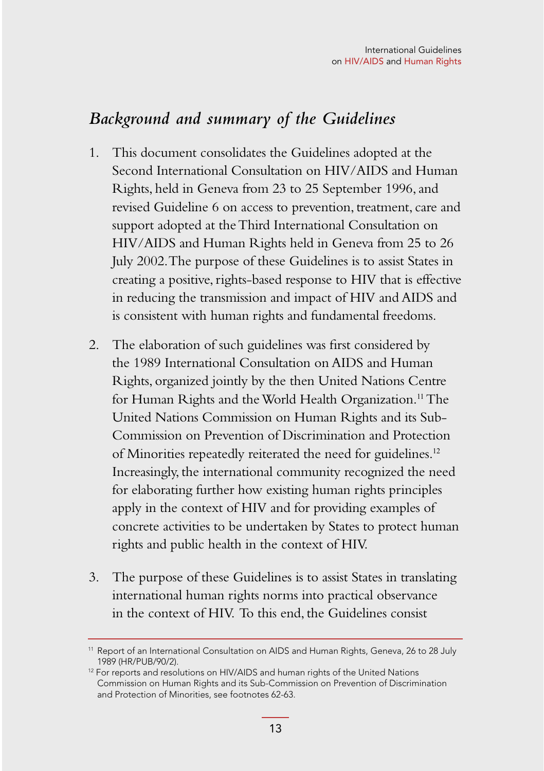### *Background and summary of the Guidelines*

- 1. This document consolidates the Guidelines adopted at the Second International Consultation on HIV/AIDS and Human Rights, held in Geneva from 23 to 25 September 1996, and revised Guideline 6 on access to prevention, treatment, care and support adopted at the Third International Consultation on HIV/AIDS and Human Rights held in Geneva from 25 to 26 July 2002. The purpose of these Guidelines is to assist States in creating a positive, rights-based response to HIV that is effective in reducing the transmission and impact of HIV and AIDS and is consistent with human rights and fundamental freedoms.
- 2. The elaboration of such guidelines was first considered by the 1989 International Consultation on AIDS and Human Rights, organized jointly by the then United Nations Centre for Human Rights and the World Health Organization.<sup>11</sup> The United Nations Commission on Human Rights and its Sub-Commission on Prevention of Discrimination and Protection of Minorities repeatedly reiterated the need for guidelines.<sup>12</sup> Increasingly, the international community recognized the need for elaborating further how existing human rights principles apply in the context of HIV and for providing examples of concrete activities to be undertaken by States to protect human rights and public health in the context of HIV.
- 3. The purpose of these Guidelines is to assist States in translating international human rights norms into practical observance in the context of HIV. To this end, the Guidelines consist

<sup>&</sup>lt;sup>11</sup> Report of an International Consultation on AIDS and Human Rights, Geneva, 26 to 28 July 1989 (HR/PUB/90/2).

<sup>&</sup>lt;sup>12</sup> For reports and resolutions on HIV/AIDS and human rights of the United Nations Commission on Human Rights and its Sub-Commission on Prevention of Discrimination and Protection of Minorities, see footnotes 62-63.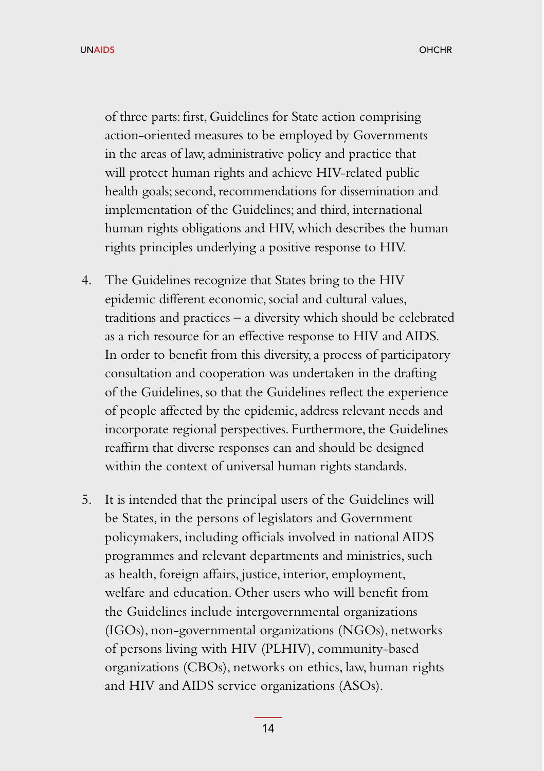UNAIDS **OHCHR**ISE CONTROL CONTROL CONTROL CONTROL CONTROL CONTROL CONTROL CONTROL CONTROL CONTROL CONTROL CONTROL

of three parts: first, Guidelines for State action comprising action-oriented measures to be employed by Governments in the areas of law, administrative policy and practice that will protect human rights and achieve HIV-related public health goals; second, recommendations for dissemination and implementation of the Guidelines; and third, international human rights obligations and HIV, which describes the human rights principles underlying a positive response to HIV.

- 4. The Guidelines recognize that States bring to the HIV epidemic different economic, social and cultural values, traditions and practices – a diversity which should be celebrated as a rich resource for an effective response to HIV and AIDS. In order to benefit from this diversity, a process of participatory consultation and cooperation was undertaken in the drafting of the Guidelines, so that the Guidelines reflect the experience of people affected by the epidemic, address relevant needs and incorporate regional perspectives. Furthermore, the Guidelines reaffirm that diverse responses can and should be designed within the context of universal human rights standards.
- 5. It is intended that the principal users of the Guidelines will be States, in the persons of legislators and Government policymakers, including officials involved in national AIDS programmes and relevant departments and ministries, such as health, foreign affairs, justice, interior, employment, welfare and education. Other users who will benefit from the Guidelines include intergovernmental organizations (IGOs), non-governmental organizations (NGOs), networks of persons living with HIV (PLHIV), community-based organizations (CBOs), networks on ethics, law, human rights and HIV and AIDS service organizations (ASOs).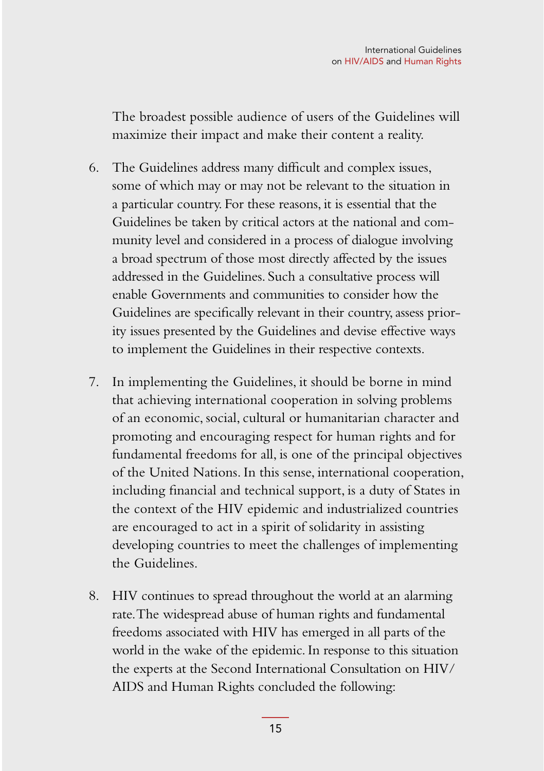The broadest possible audience of users of the Guidelines will maximize their impact and make their content a reality.

- 6. The Guidelines address many difficult and complex issues, some of which may or may not be relevant to the situation in a particular country. For these reasons, it is essential that the Guidelines be taken by critical actors at the national and community level and considered in a process of dialogue involving a broad spectrum of those most directly affected by the issues addressed in the Guidelines. Such a consultative process will enable Governments and communities to consider how the Guidelines are specifically relevant in their country, assess priority issues presented by the Guidelines and devise effective ways to implement the Guidelines in their respective contexts.
- 7. In implementing the Guidelines, it should be borne in mind that achieving international cooperation in solving problems of an economic, social, cultural or humanitarian character and promoting and encouraging respect for human rights and for fundamental freedoms for all, is one of the principal objectives of the United Nations. In this sense, international cooperation, including financial and technical support, is a duty of States in the context of the HIV epidemic and industrialized countries are encouraged to act in a spirit of solidarity in assisting developing countries to meet the challenges of implementing the Guidelines.
- 8. HIV continues to spread throughout the world at an alarming rate. The widespread abuse of human rights and fundamental freedoms associated with HIV has emerged in all parts of the world in the wake of the epidemic. In response to this situation the experts at the Second International Consultation on HIV/ AIDS and Human Rights concluded the following: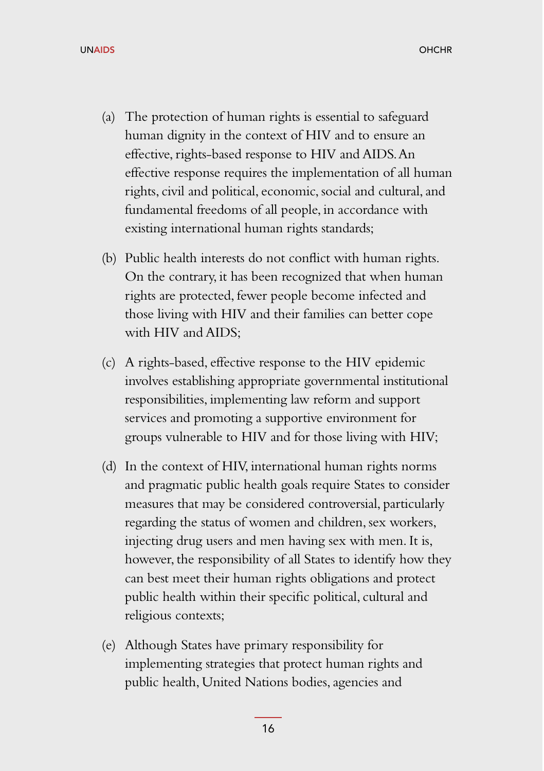UNAIDS **OHCHR**ISE CONTROL CONTROL CONTROL CONTROL CONTROL CONTROL CONTROL CONTROL CONTROL CONTROL CONTROL CONTROL

- (a) The protection of human rights is essential to safeguard human dignity in the context of HIV and to ensure an effective, rights-based response to HIV and AIDS. An effective response requires the implementation of all human rights, civil and political, economic, social and cultural, and fundamental freedoms of all people, in accordance with existing international human rights standards;
- (b) Public health interests do not conflict with human rights. On the contrary, it has been recognized that when human rights are protected, fewer people become infected and those living with HIV and their families can better cope with HIV and AIDS;
- (c) A rights-based, effective response to the HIV epidemic involves establishing appropriate governmental institutional responsibilities, implementing law reform and support services and promoting a supportive environment for groups vulnerable to HIV and for those living with HIV;
- (d) In the context of HIV, international human rights norms and pragmatic public health goals require States to consider measures that may be considered controversial, particularly regarding the status of women and children, sex workers, injecting drug users and men having sex with men. It is, however, the responsibility of all States to identify how they can best meet their human rights obligations and protect public health within their specific political, cultural and religious contexts;
- (e) Although States have primary responsibility for implementing strategies that protect human rights and public health, United Nations bodies, agencies and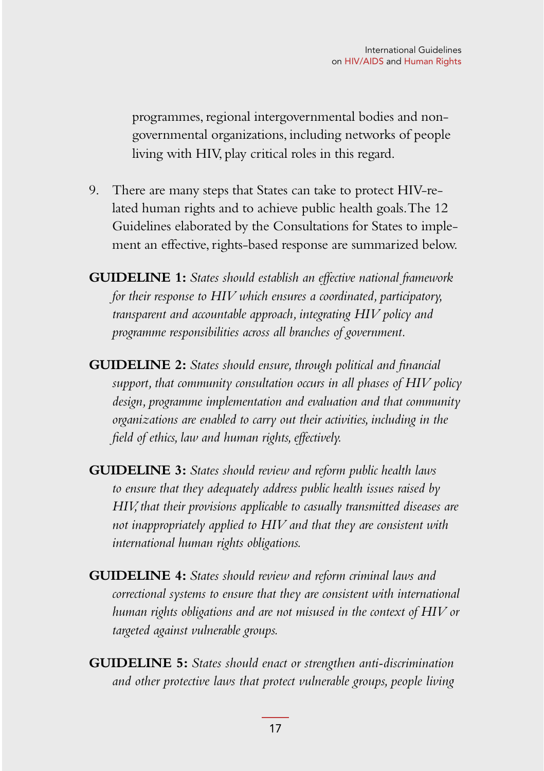programmes, regional intergovernmental bodies and nongovernmental organizations, including networks of people living with HIV, play critical roles in this regard.

- 9. There are many steps that States can take to protect HIV-related human rights and to achieve public health goals. The 12 Guidelines elaborated by the Consultations for States to implement an effective, rights-based response are summarized below.
- **GUIDELINE 1:** *States should establish an effective national framework for their response to HIV which ensures a coordinated, participatory, transparent and accountable approach, integrating HIV policy and programme responsibilities across all branches of government.*
- **GUIDELINE 2:** *States should ensure, through political and financial support, that community consultation occurs in all phases of HIV policy design, programme implementation and evaluation and that community organizations are enabled to carry out their activities, including in the field of ethics, law and human rights, effectively.*
- **GUIDELINE 3:** *States should review and reform public health laws to ensure that they adequately address public health issues raised by HIV, that their provisions applicable to casually transmitted diseases are not inappropriately applied to HIV and that they are consistent with international human rights obligations.*
- **GUIDELINE 4:** *States should review and reform criminal laws and correctional systems to ensure that they are consistent with international human rights obligations and are not misused in the context of HIV or targeted against vulnerable groups.*
- **GUIDELINE 5:** *States should enact or strengthen anti-discrimination and other protective laws that protect vulnerable groups, people living*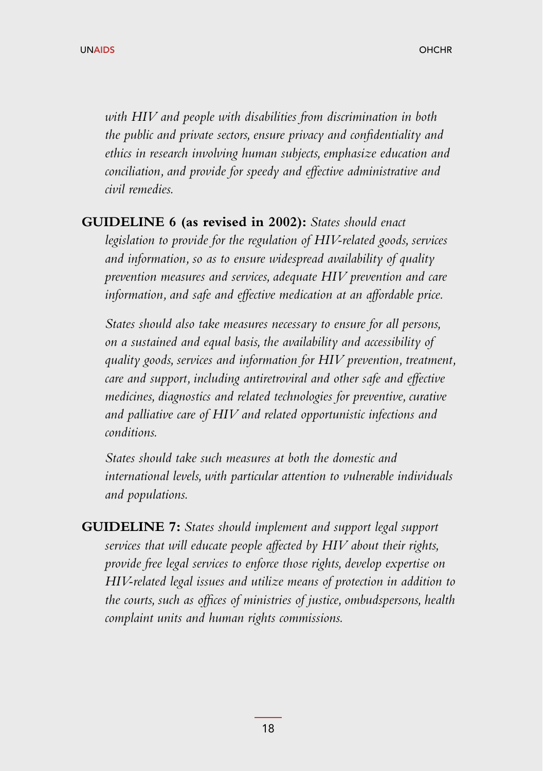*with HIV and people with disabilities from discrimination in both the public and private sectors, ensure privacy and confidentiality and ethics in research involving human subjects, emphasize education and conciliation, and provide for speedy and effective administrative and civil remedies.*

#### **GUIDELINE 6 (as revised in 2002):** *States should enact*

*legislation to provide for the regulation of HIV-related goods, services and information, so as to ensure widespread availability of quality prevention measures and services, adequate HIV prevention and care information, and safe and effective medication at an affordable price.*

 *States should also take measures necessary to ensure for all persons, on a sustained and equal basis, the availability and accessibility of quality goods, services and information for HIV prevention, treatment, care and support, including antiretroviral and other safe and effective medicines, diagnostics and related technologies for preventive, curative and palliative care of HIV and related opportunistic infections and conditions.*

 *States should take such measures at both the domestic and international levels, with particular attention to vulnerable individuals and populations.*

**GUIDELINE 7:** *States should implement and support legal support services that will educate people affected by HIV about their rights, provide free legal services to enforce those rights, develop expertise on HIV-related legal issues and utilize means of protection in addition to the courts, such as offices of ministries of justice, ombudspersons, health complaint units and human rights commissions.*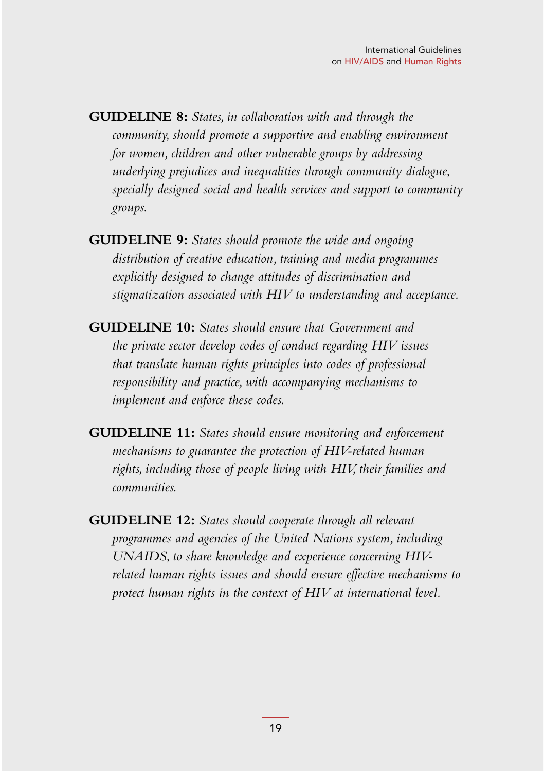- **GUIDELINE 8:** *States, in collaboration with and through the community, should promote a supportive and enabling environment for women, children and other vulnerable groups by addressing underlying prejudices and inequalities through community dialogue, specially designed social and health services and support to community groups.*
- **GUIDELINE 9:** *States should promote the wide and ongoing distribution of creative education, training and media programmes explicitly designed to change attitudes of discrimination and stigmatization associated with HIV to understanding and acceptance.*
- **GUIDELINE 10:** *States should ensure that Government and the private sector develop codes of conduct regarding HIV issues that translate human rights principles into codes of professional responsibility and practice, with accompanying mechanisms to implement and enforce these codes.*
- **GUIDELINE 11:** *States should ensure monitoring and enforcement mechanisms to guarantee the protection of HIV-related human rights, including those of people living with HIV, their families and communities.*
- **GUIDELINE 12:** *States should cooperate through all relevant programmes and agencies of the United Nations system, including UNAIDS, to share knowledge and experience concerning HIVrelated human rights issues and should ensure effective mechanisms to protect human rights in the context of HIV at international level.*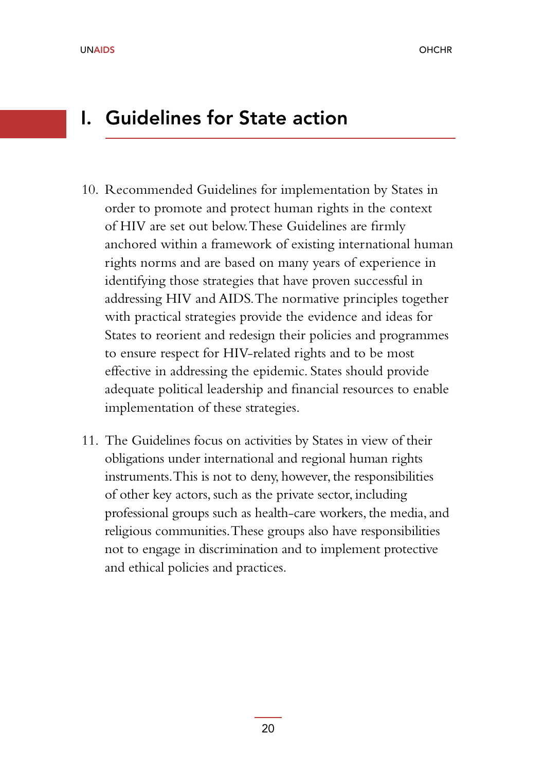## I. Guidelines for State action

- 10. Recommended Guidelines for implementation by States in order to promote and protect human rights in the context of HIV are set out below. These Guidelines are firmly anchored within a framework of existing international human rights norms and are based on many years of experience in identifying those strategies that have proven successful in addressing HIV and AIDS. The normative principles together with practical strategies provide the evidence and ideas for States to reorient and redesign their policies and programmes to ensure respect for HIV-related rights and to be most effective in addressing the epidemic. States should provide adequate political leadership and financial resources to enable implementation of these strategies.
- 11. The Guidelines focus on activities by States in view of their obligations under international and regional human rights instruments. This is not to deny, however, the responsibilities of other key actors, such as the private sector, including professional groups such as health-care workers, the media, and religious communities. These groups also have responsibilities not to engage in discrimination and to implement protective and ethical policies and practices.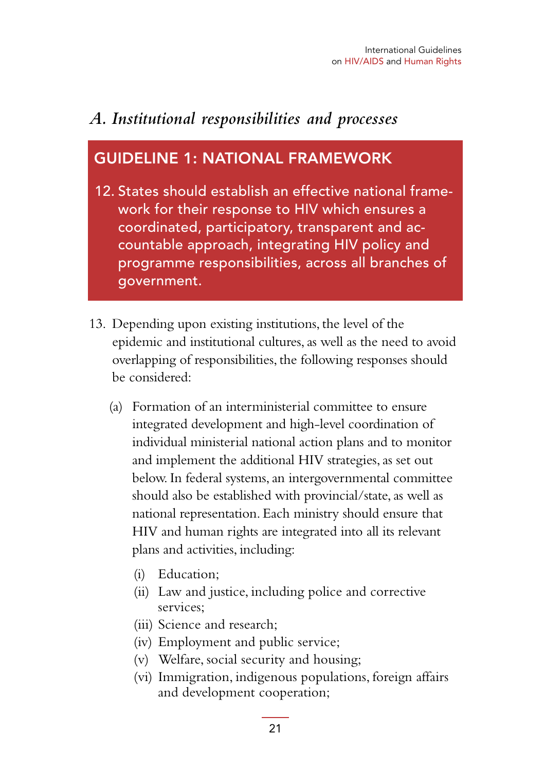### *A. Institutional responsibilities and processes*

#### GUIDELINE 1: NATIONAL FRAMEWORK

- 12. States should establish an effective national framework for their response to HIV which ensures a coordinated, participatory, transparent and accountable approach, integrating HIV policy and programme responsibilities, across all branches of government.
- 13. Depending upon existing institutions, the level of the epidemic and institutional cultures, as well as the need to avoid overlapping of responsibilities, the following responses should be considered:
	- (a) Formation of an interministerial committee to ensure integrated development and high-level coordination of individual ministerial national action plans and to monitor and implement the additional HIV strategies, as set out below. In federal systems, an intergovernmental committee should also be established with provincial/state, as well as national representation. Each ministry should ensure that HIV and human rights are integrated into all its relevant plans and activities, including:
		- (i) Education;
		- (ii) Law and justice, including police and corrective services;
		- (iii) Science and research;
		- (iv) Employment and public service;
		- (v) Welfare, social security and housing;
		- (vi) Immigration, indigenous populations, foreign affairs and development cooperation;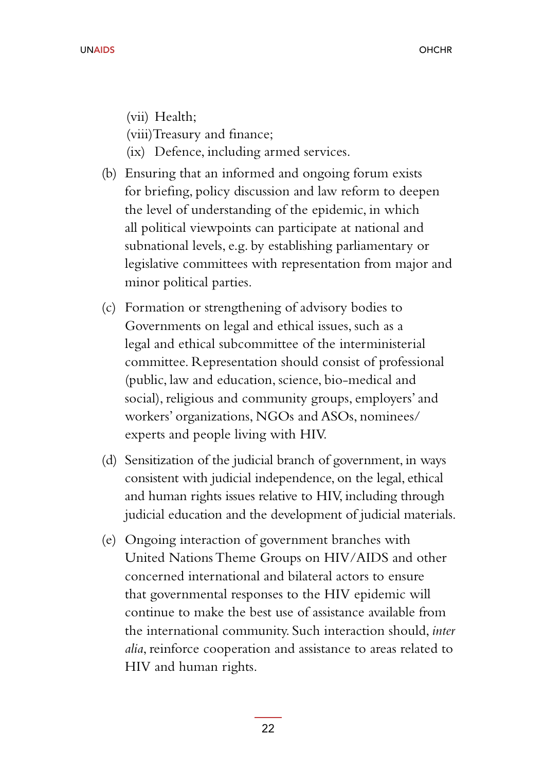- (vii) Health;
- (viii)Treasury and finance;
- (ix) Defence, including armed services.
- (b) Ensuring that an informed and ongoing forum exists for briefing, policy discussion and law reform to deepen the level of understanding of the epidemic, in which all political viewpoints can participate at national and subnational levels, e.g. by establishing parliamentary or legislative committees with representation from major and minor political parties.
- (c) Formation or strengthening of advisory bodies to Governments on legal and ethical issues, such as a legal and ethical subcommittee of the interministerial committee. Representation should consist of professional (public, law and education, science, bio-medical and social), religious and community groups, employers' and workers' organizations, NGOs and ASOs, nominees/ experts and people living with HIV.
- (d) Sensitization of the judicial branch of government, in ways consistent with judicial independence, on the legal, ethical and human rights issues relative to HIV, including through judicial education and the development of judicial materials.
- (e) Ongoing interaction of government branches with United Nations Theme Groups on HIV/AIDS and other concerned international and bilateral actors to ensure that governmental responses to the HIV epidemic will continue to make the best use of assistance available from the international community. Such interaction should, *inter alia*, reinforce cooperation and assistance to areas related to HIV and human rights.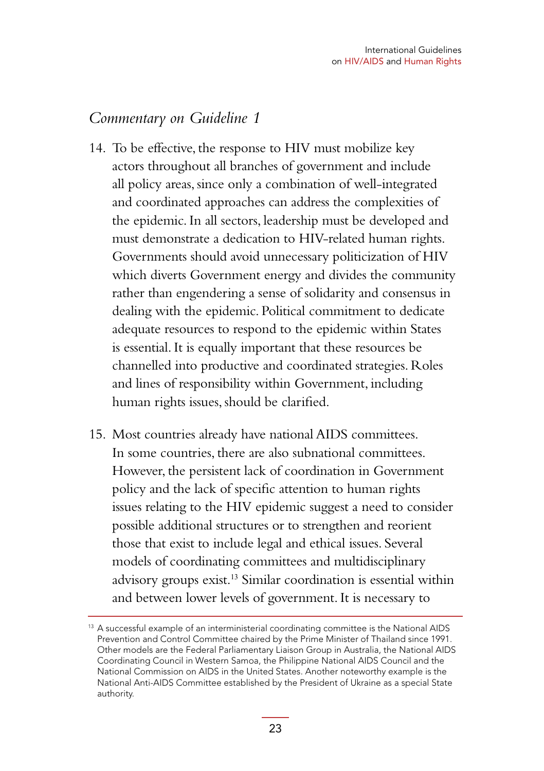#### *Commentary on Guideline 1*

- 14. To be effective, the response to HIV must mobilize key actors throughout all branches of government and include all policy areas, since only a combination of well-integrated and coordinated approaches can address the complexities of the epidemic. In all sectors, leadership must be developed and must demonstrate a dedication to HIV-related human rights. Governments should avoid unnecessary politicization of HIV which diverts Government energy and divides the community rather than engendering a sense of solidarity and consensus in dealing with the epidemic. Political commitment to dedicate adequate resources to respond to the epidemic within States is essential. It is equally important that these resources be channelled into productive and coordinated strategies. Roles and lines of responsibility within Government, including human rights issues, should be clarified.
- 15. Most countries already have national AIDS committees. In some countries, there are also subnational committees. However, the persistent lack of coordination in Government policy and the lack of specific attention to human rights issues relating to the HIV epidemic suggest a need to consider possible additional structures or to strengthen and reorient those that exist to include legal and ethical issues. Several models of coordinating committees and multidisciplinary advisory groups exist.13 Similar coordination is essential within and between lower levels of government. It is necessary to

<sup>&</sup>lt;sup>13</sup> A successful example of an interministerial coordinating committee is the National AIDS Prevention and Control Committee chaired by the Prime Minister of Thailand since 1991. Other models are the Federal Parliamentary Liaison Group in Australia, the National AIDS Coordinating Council in Western Samoa, the Philippine National AIDS Council and the National Commission on AIDS in the United States. Another noteworthy example is the National Anti-AIDS Committee established by the President of Ukraine as a special State authority.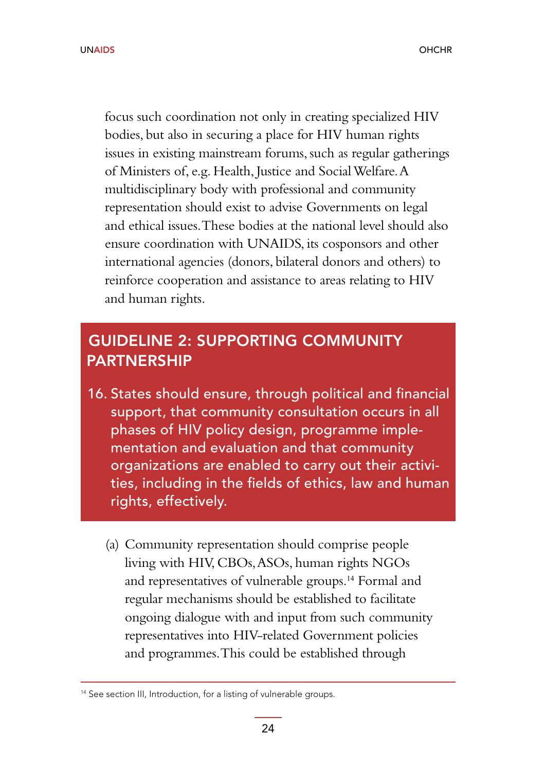focus such coordination not only in creating specialized HIV bodies, but also in securing a place for HIV human rights issues in existing mainstream forums, such as regular gatherings of Ministers of, e.g. Health, Justice and Social Welfare. A multidisciplinary body with professional and community representation should exist to advise Governments on legal and ethical issues. These bodies at the national level should also ensure coordination with UNAIDS, its cosponsors and other international agencies (donors, bilateral donors and others) to reinforce cooperation and assistance to areas relating to HIV and human rights.

### GUIDELINE 2: SUPPORTING COMMUNITY **PARTNERSHIP**

- 16. States should ensure, through political and financial support, that community consultation occurs in all phases of HIV policy design, programme implementation and evaluation and that community organizations are enabled to carry out their activities, including in the fields of ethics, law and human rights, effectively.
	- (a) Community representation should comprise people living with HIV, CBOs, ASOs, human rights NGOs and representatives of vulnerable groups.14 Formal and regular mechanisms should be established to facilitate ongoing dialogue with and input from such community representatives into HIV-related Government policies and programmes. This could be established through

<sup>&</sup>lt;sup>14</sup> See section III, Introduction, for a listing of vulnerable groups.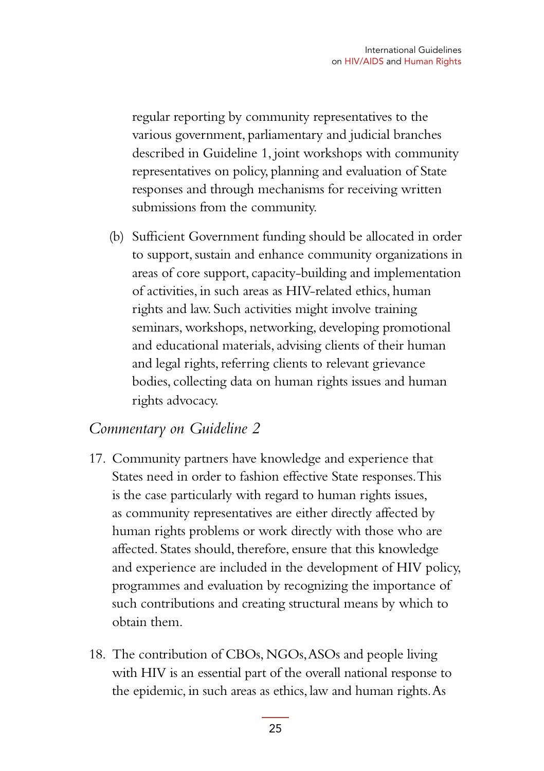regular reporting by community representatives to the various government, parliamentary and judicial branches described in Guideline 1, joint workshops with community representatives on policy, planning and evaluation of State responses and through mechanisms for receiving written submissions from the community.

(b) Sufficient Government funding should be allocated in order to support, sustain and enhance community organizations in areas of core support, capacity-building and implementation of activities, in such areas as HIV-related ethics, human rights and law. Such activities might involve training seminars, workshops, networking, developing promotional and educational materials, advising clients of their human and legal rights, referring clients to relevant grievance bodies, collecting data on human rights issues and human rights advocacy.

#### *Commentary on Guideline 2*

- 17. Community partners have knowledge and experience that States need in order to fashion effective State responses. This is the case particularly with regard to human rights issues, as community representatives are either directly affected by human rights problems or work directly with those who are affected. States should, therefore, ensure that this knowledge and experience are included in the development of HIV policy, programmes and evaluation by recognizing the importance of such contributions and creating structural means by which to obtain them.
- 18. The contribution of CBOs, NGOs, ASOs and people living with HIV is an essential part of the overall national response to the epidemic, in such areas as ethics, law and human rights. As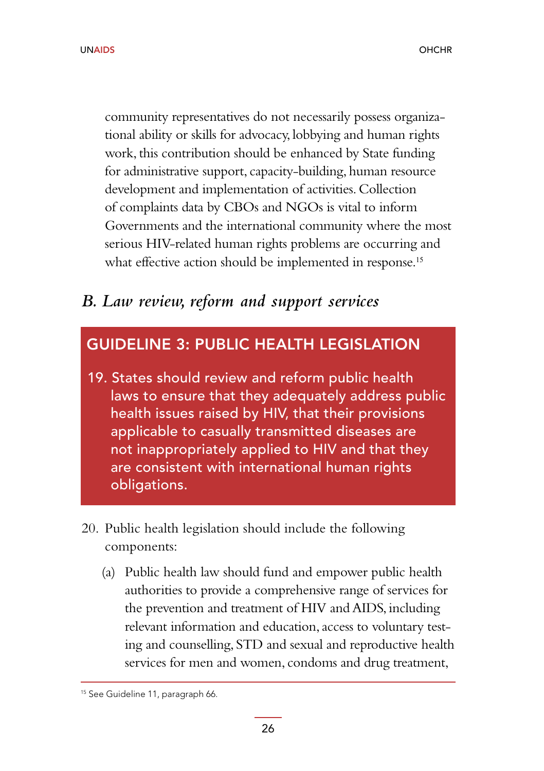community representatives do not necessarily possess organizational ability or skills for advocacy, lobbying and human rights work, this contribution should be enhanced by State funding for administrative support, capacity-building, human resource development and implementation of activities. Collection of complaints data by CBOs and NGOs is vital to inform Governments and the international community where the most serious HIV-related human rights problems are occurring and what effective action should be implemented in response.<sup>15</sup>

#### *B. Law review, reform and support services*

#### GUIDELINE 3: PUBLIC HEALTH LEGISLATION

- 19. States should review and reform public health laws to ensure that they adequately address public health issues raised by HIV, that their provisions applicable to casually transmitted diseases are not inappropriately applied to HIV and that they are consistent with international human rights obligations.
- 20. Public health legislation should include the following components:
	- (a) Public health law should fund and empower public health authorities to provide a comprehensive range of services for the prevention and treatment of HIV and AIDS, including relevant information and education, access to voluntary testing and counselling, STD and sexual and reproductive health services for men and women, condoms and drug treatment,

<sup>&</sup>lt;sup>15</sup> See Guideline 11, paragraph 66.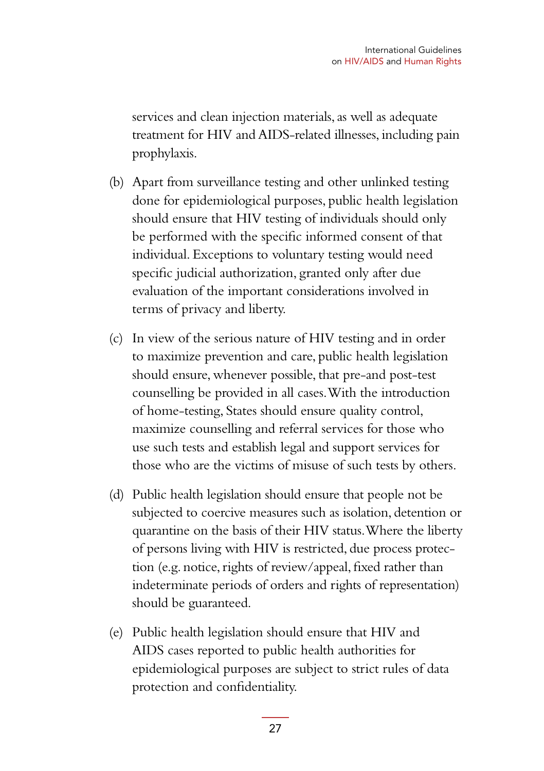services and clean injection materials, as well as adequate treatment for HIV and AIDS-related illnesses, including pain prophylaxis.

- (b) Apart from surveillance testing and other unlinked testing done for epidemiological purposes, public health legislation should ensure that HIV testing of individuals should only be performed with the specific informed consent of that individual. Exceptions to voluntary testing would need specific judicial authorization, granted only after due evaluation of the important considerations involved in terms of privacy and liberty.
- (c) In view of the serious nature of HIV testing and in order to maximize prevention and care, public health legislation should ensure, whenever possible, that pre-and post-test counselling be provided in all cases. With the introduction of home-testing, States should ensure quality control, maximize counselling and referral services for those who use such tests and establish legal and support services for those who are the victims of misuse of such tests by others.
- (d) Public health legislation should ensure that people not be subjected to coercive measures such as isolation, detention or quarantine on the basis of their HIV status. Where the liberty of persons living with HIV is restricted, due process protection (e.g. notice, rights of review/appeal, fixed rather than indeterminate periods of orders and rights of representation) should be guaranteed.
- (e) Public health legislation should ensure that HIV and AIDS cases reported to public health authorities for epidemiological purposes are subject to strict rules of data protection and confidentiality.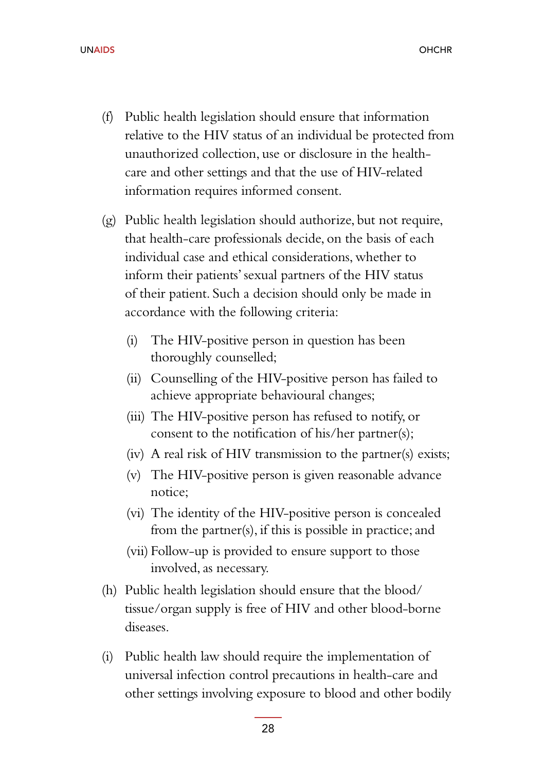UNAIDS **OHCHR** OHCHR OHCHR OHCHR OHCHR OHCHR OHCHR OHCHR OHCHR OHCHR OHCHR OHCHR OHCHR

- (f) Public health legislation should ensure that information relative to the HIV status of an individual be protected from unauthorized collection, use or disclosure in the healthcare and other settings and that the use of HIV-related information requires informed consent.
- (g) Public health legislation should authorize, but not require, that health-care professionals decide, on the basis of each individual case and ethical considerations, whether to inform their patients' sexual partners of the HIV status of their patient. Such a decision should only be made in accordance with the following criteria:
	- (i) The HIV-positive person in question has been thoroughly counselled;
	- (ii) Counselling of the HIV-positive person has failed to achieve appropriate behavioural changes;
	- (iii) The HIV-positive person has refused to notify, or consent to the notification of his/her partner(s);
	- (iv) A real risk of HIV transmission to the partner(s) exists;
	- (v) The HIV-positive person is given reasonable advance notice;
	- (vi) The identity of the HIV-positive person is concealed from the partner(s), if this is possible in practice; and
	- (vii) Follow-up is provided to ensure support to those involved, as necessary.
- (h) Public health legislation should ensure that the blood/ tissue/organ supply is free of HIV and other blood-borne diseases.
- (i) Public health law should require the implementation of universal infection control precautions in health-care and other settings involving exposure to blood and other bodily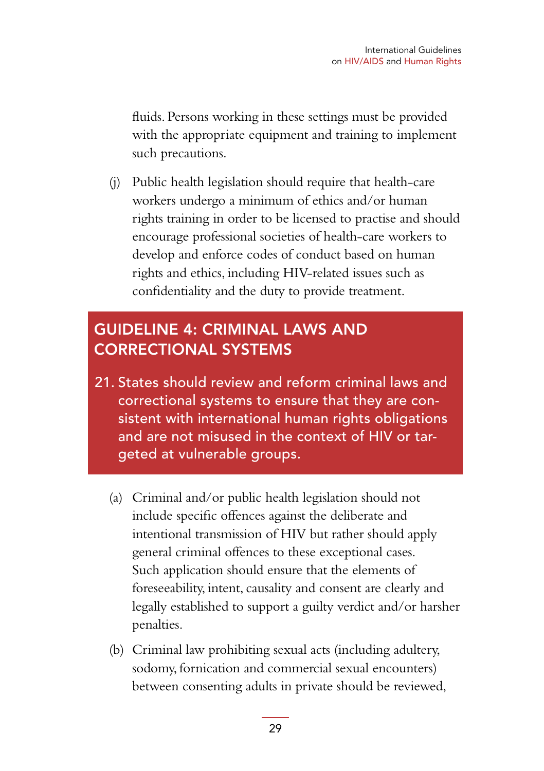fluids. Persons working in these settings must be provided with the appropriate equipment and training to implement such precautions.

(j) Public health legislation should require that health-care workers undergo a minimum of ethics and/or human rights training in order to be licensed to practise and should encourage professional societies of health-care workers to develop and enforce codes of conduct based on human rights and ethics, including HIV-related issues such as confidentiality and the duty to provide treatment.

### GUIDELINE 4: CRIMINAL LAWS AND CORRECTIONAL SYSTEMS

- 21. States should review and reform criminal laws and correctional systems to ensure that they are consistent with international human rights obligations and are not misused in the context of HIV or targeted at vulnerable groups.
	- (a) Criminal and/or public health legislation should not include specific offences against the deliberate and intentional transmission of HIV but rather should apply general criminal offences to these exceptional cases. Such application should ensure that the elements of foreseeability, intent, causality and consent are clearly and legally established to support a guilty verdict and/or harsher penalties.
	- (b) Criminal law prohibiting sexual acts (including adultery, sodomy, fornication and commercial sexual encounters) between consenting adults in private should be reviewed,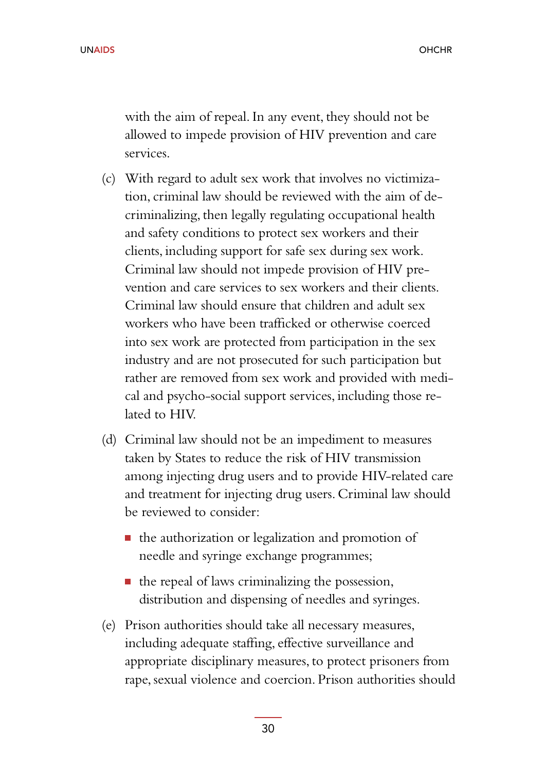with the aim of repeal. In any event, they should not be allowed to impede provision of HIV prevention and care services.

- (c) With regard to adult sex work that involves no victimization, criminal law should be reviewed with the aim of decriminalizing, then legally regulating occupational health and safety conditions to protect sex workers and their clients, including support for safe sex during sex work. Criminal law should not impede provision of HIV prevention and care services to sex workers and their clients. Criminal law should ensure that children and adult sex workers who have been trafficked or otherwise coerced into sex work are protected from participation in the sex industry and are not prosecuted for such participation but rather are removed from sex work and provided with medical and psycho-social support services, including those related to HIV.
- (d) Criminal law should not be an impediment to measures taken by States to reduce the risk of HIV transmission among injecting drug users and to provide HIV-related care and treatment for injecting drug users. Criminal law should be reviewed to consider:
	- $\blacksquare$  the authorization or legalization and promotion of needle and syringe exchange programmes;
	- $\blacksquare$  the repeal of laws criminalizing the possession, distribution and dispensing of needles and syringes.
- (e) Prison authorities should take all necessary measures, including adequate staffing, effective surveillance and appropriate disciplinary measures, to protect prisoners from rape, sexual violence and coercion. Prison authorities should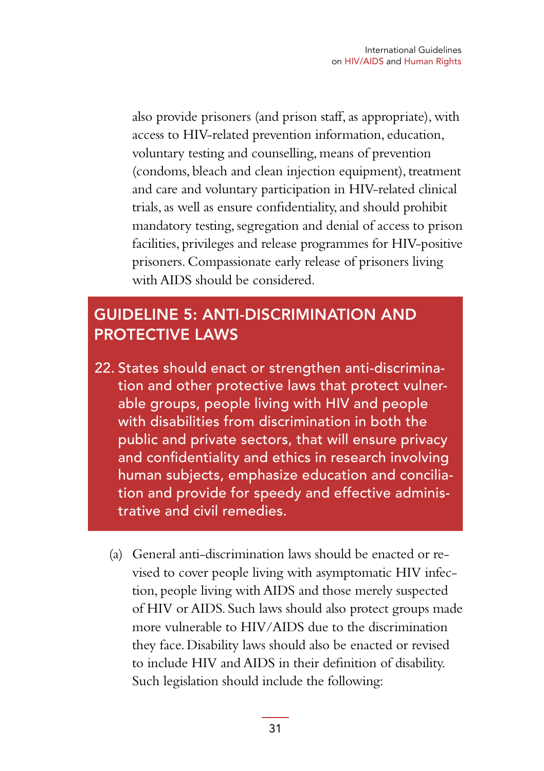also provide prisoners (and prison staff, as appropriate), with access to HIV-related prevention information, education, voluntary testing and counselling, means of prevention (condoms, bleach and clean injection equipment), treatment and care and voluntary participation in HIV-related clinical trials, as well as ensure confidentiality, and should prohibit mandatory testing, segregation and denial of access to prison facilities, privileges and release programmes for HIV-positive prisoners. Compassionate early release of prisoners living with AIDS should be considered.

### GUIDELINE 5: ANTI-DISCRIMINATION AND PROTECTIVE LAWS

- 22. States should enact or strengthen anti-discrimination and other protective laws that protect vulnerable groups, people living with HIV and people with disabilities from discrimination in both the public and private sectors, that will ensure privacy and confidentiality and ethics in research involving human subjects, emphasize education and conciliation and provide for speedy and effective administrative and civil remedies.
	- (a) General anti-discrimination laws should be enacted or revised to cover people living with asymptomatic HIV infection, people living with AIDS and those merely suspected of HIV or AIDS. Such laws should also protect groups made more vulnerable to HIV/AIDS due to the discrimination they face. Disability laws should also be enacted or revised to include HIV and AIDS in their definition of disability. Such legislation should include the following: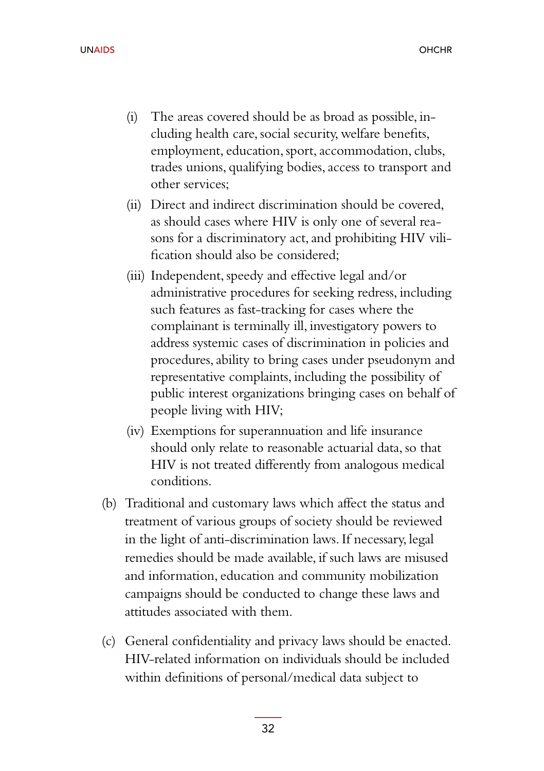- (i) The areas covered should be as broad as possible, including health care, social security, welfare benefits, employment, education, sport, accommodation, clubs, trades unions, qualifying bodies, access to transport and other services;
- (ii) Direct and indirect discrimination should be covered, as should cases where HIV is only one of several reasons for a discriminatory act, and prohibiting HIV vilification should also be considered;
- (iii) Independent, speedy and effective legal and/or administrative procedures for seeking redress, including such features as fast-tracking for cases where the complainant is terminally ill, investigatory powers to address systemic cases of discrimination in policies and procedures, ability to bring cases under pseudonym and representative complaints, including the possibility of public interest organizations bringing cases on behalf of people living with HIV;
- (iv) Exemptions for superannuation and life insurance should only relate to reasonable actuarial data, so that HIV is not treated differently from analogous medical conditions.
- (b) Traditional and customary laws which affect the status and treatment of various groups of society should be reviewed in the light of anti-discrimination laws. If necessary, legal remedies should be made available, if such laws are misused and information, education and community mobilization campaigns should be conducted to change these laws and attitudes associated with them.
- (c) General confidentiality and privacy laws should be enacted. HIV-related information on individuals should be included within definitions of personal/medical data subject to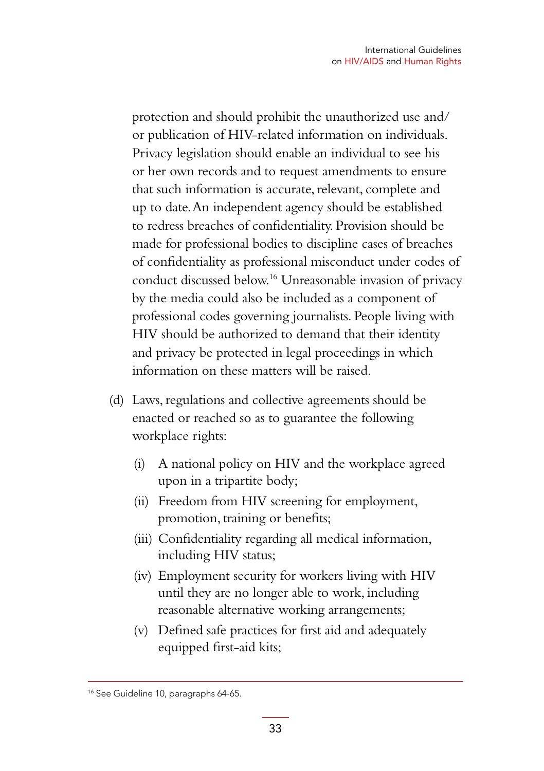protection and should prohibit the unauthorized use and/ or publication of HIV-related information on individuals. Privacy legislation should enable an individual to see his or her own records and to request amendments to ensure that such information is accurate, relevant, complete and up to date. An independent agency should be established to redress breaches of confidentiality. Provision should be made for professional bodies to discipline cases of breaches of confidentiality as professional misconduct under codes of conduct discussed below.16 Unreasonable invasion of privacy by the media could also be included as a component of professional codes governing journalists. People living with HIV should be authorized to demand that their identity and privacy be protected in legal proceedings in which information on these matters will be raised.

- (d) Laws, regulations and collective agreements should be enacted or reached so as to guarantee the following workplace rights:
	- (i) A national policy on HIV and the workplace agreed upon in a tripartite body;
	- (ii) Freedom from HIV screening for employment, promotion, training or benefits;
	- (iii) Confidentiality regarding all medical information, including HIV status;
	- (iv) Employment security for workers living with HIV until they are no longer able to work, including reasonable alternative working arrangements;
	- (v) Defined safe practices for first aid and adequately equipped first-aid kits;

<sup>&</sup>lt;sup>16</sup> See Guideline 10, paragraphs 64-65.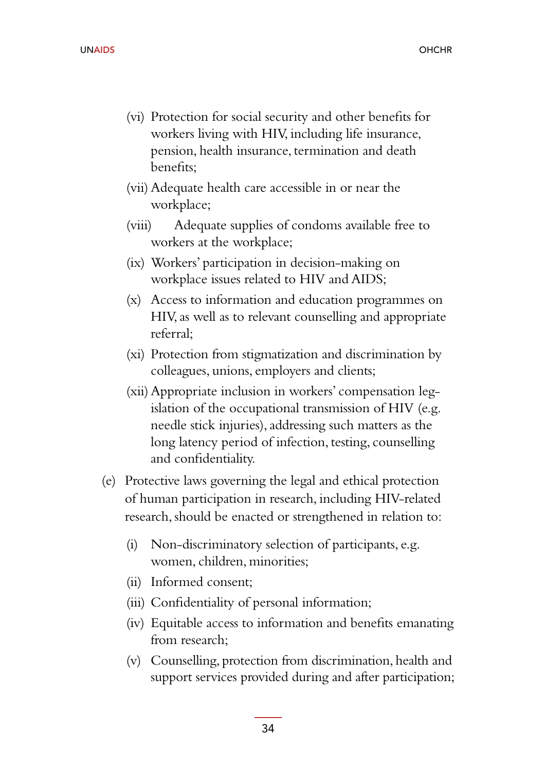- (vi) Protection for social security and other benefits for workers living with HIV, including life insurance, pension, health insurance, termination and death benefits;
- (vii) Adequate health care accessible in or near the workplace;
- (viii) Adequate supplies of condoms available free to workers at the workplace;
- (ix) Workers' participation in decision-making on workplace issues related to HIV and AIDS;
- (x) Access to information and education programmes on HIV, as well as to relevant counselling and appropriate referral;
- (xi) Protection from stigmatization and discrimination by colleagues, unions, employers and clients;
- (xii) Appropriate inclusion in workers' compensation legislation of the occupational transmission of HIV (e.g. needle stick injuries), addressing such matters as the long latency period of infection, testing, counselling and confidentiality.
- (e) Protective laws governing the legal and ethical protection of human participation in research, including HIV-related research, should be enacted or strengthened in relation to:
	- (i) Non-discriminatory selection of participants, e.g. women, children, minorities;
	- (ii) Informed consent;
	- (iii) Confidentiality of personal information;
	- (iv) Equitable access to information and benefits emanating from research;
	- (v) Counselling, protection from discrimination, health and support services provided during and after participation;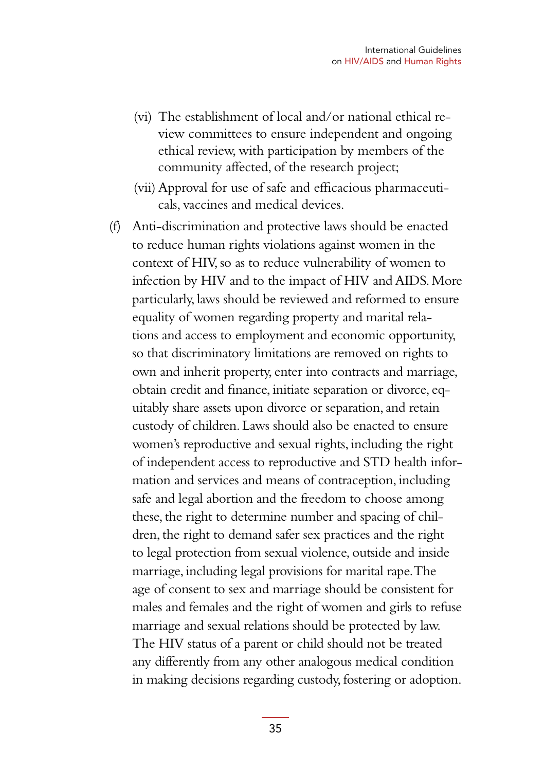- (vi) The establishment of local and/or national ethical review committees to ensure independent and ongoing ethical review, with participation by members of the community affected, of the research project;
- (vii) Approval for use of safe and efficacious pharmaceuticals, vaccines and medical devices.
- (f) Anti-discrimination and protective laws should be enacted to reduce human rights violations against women in the context of HIV, so as to reduce vulnerability of women to infection by HIV and to the impact of HIV and AIDS. More particularly, laws should be reviewed and reformed to ensure equality of women regarding property and marital relations and access to employment and economic opportunity, so that discriminatory limitations are removed on rights to own and inherit property, enter into contracts and marriage, obtain credit and finance, initiate separation or divorce, equitably share assets upon divorce or separation, and retain custody of children. Laws should also be enacted to ensure women's reproductive and sexual rights, including the right of independent access to reproductive and STD health information and services and means of contraception, including safe and legal abortion and the freedom to choose among these, the right to determine number and spacing of children, the right to demand safer sex practices and the right to legal protection from sexual violence, outside and inside marriage, including legal provisions for marital rape. The age of consent to sex and marriage should be consistent for males and females and the right of women and girls to refuse marriage and sexual relations should be protected by law. The HIV status of a parent or child should not be treated any differently from any other analogous medical condition in making decisions regarding custody, fostering or adoption.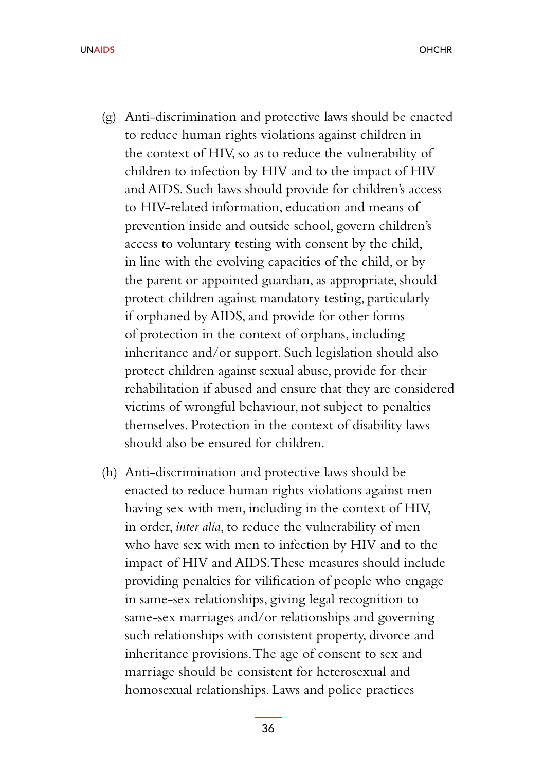- (g) Anti-discrimination and protective laws should be enacted to reduce human rights violations against children in the context of HIV, so as to reduce the vulnerability of children to infection by HIV and to the impact of HIV and AIDS. Such laws should provide for children's access to HIV-related information, education and means of prevention inside and outside school, govern children's access to voluntary testing with consent by the child, in line with the evolving capacities of the child, or by the parent or appointed guardian, as appropriate, should protect children against mandatory testing, particularly if orphaned by AIDS, and provide for other forms of protection in the context of orphans, including inheritance and/or support. Such legislation should also protect children against sexual abuse, provide for their rehabilitation if abused and ensure that they are considered victims of wrongful behaviour, not subject to penalties themselves. Protection in the context of disability laws should also be ensured for children.
- (h) Anti-discrimination and protective laws should be enacted to reduce human rights violations against men having sex with men, including in the context of HIV, in order, *inter alia*, to reduce the vulnerability of men who have sex with men to infection by HIV and to the impact of HIV and AIDS. These measures should include providing penalties for vilification of people who engage in same-sex relationships, giving legal recognition to same-sex marriages and/or relationships and governing such relationships with consistent property, divorce and inheritance provisions. The age of consent to sex and marriage should be consistent for heterosexual and homosexual relationships. Laws and police practices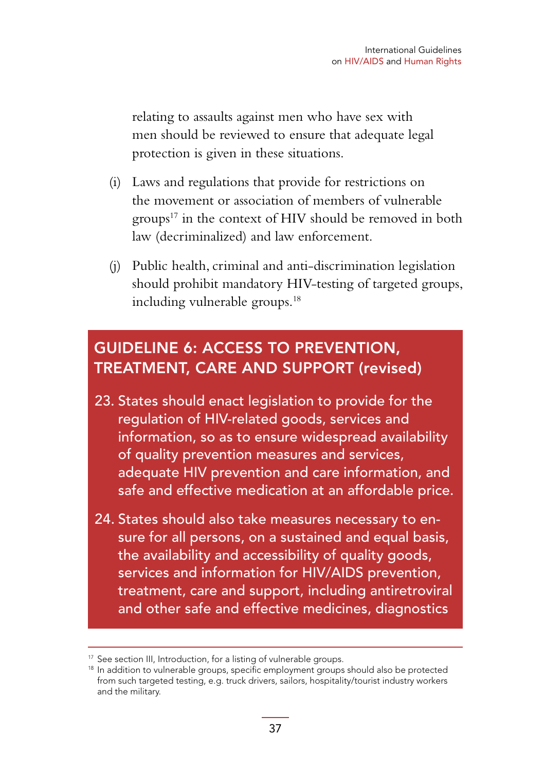relating to assaults against men who have sex with men should be reviewed to ensure that adequate legal protection is given in these situations.

- (i) Laws and regulations that provide for restrictions on the movement or association of members of vulnerable groups17 in the context of HIV should be removed in both law (decriminalized) and law enforcement.
- (j) Public health, criminal and anti-discrimination legislation should prohibit mandatory HIV-testing of targeted groups, including vulnerable groups.<sup>18</sup>

### GUIDELINE 6: ACCESS TO PREVENTION, TREATMENT, CARE AND SUPPORT (revised)

- 23. States should enact legislation to provide for the regulation of HIV-related goods, services and information, so as to ensure widespread availability of quality prevention measures and services, adequate HIV prevention and care information, and safe and effective medication at an affordable price.
- 24. States should also take measures necessary to ensure for all persons, on a sustained and equal basis, the availability and accessibility of quality goods, services and information for HIV/AIDS prevention, treatment, care and support, including antiretroviral and other safe and effective medicines, diagnostics

<sup>&</sup>lt;sup>17</sup> See section III, Introduction, for a listing of vulnerable groups.

<sup>&</sup>lt;sup>18</sup> In addition to vulnerable groups, specific employment groups should also be protected from such targeted testing, e.g. truck drivers, sailors, hospitality/tourist industry workers and the military.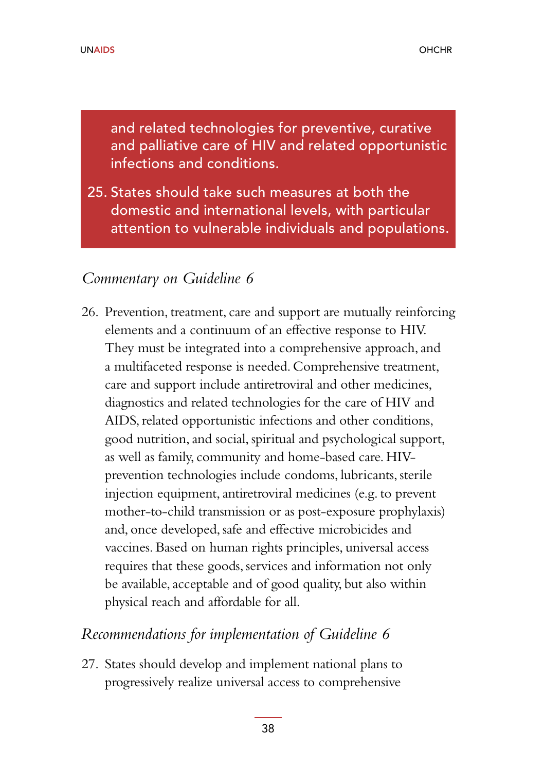and related technologies for preventive, curative and palliative care of HIV and related opportunistic infections and conditions.

25. States should take such measures at both the domestic and international levels, with particular attention to vulnerable individuals and populations.

### *Commentary on Guideline 6*

26. Prevention, treatment, care and support are mutually reinforcing elements and a continuum of an effective response to HIV. They must be integrated into a comprehensive approach, and a multifaceted response is needed. Comprehensive treatment, care and support include antiretroviral and other medicines, diagnostics and related technologies for the care of HIV and AIDS, related opportunistic infections and other conditions, good nutrition, and social, spiritual and psychological support, as well as family, community and home-based care. HIVprevention technologies include condoms, lubricants, sterile injection equipment, antiretroviral medicines (e.g. to prevent mother-to-child transmission or as post-exposure prophylaxis) and, once developed, safe and effective microbicides and vaccines. Based on human rights principles, universal access requires that these goods, services and information not only be available, acceptable and of good quality, but also within physical reach and affordable for all.

#### *Recommendations for implementation of Guideline 6*

27. States should develop and implement national plans to progressively realize universal access to comprehensive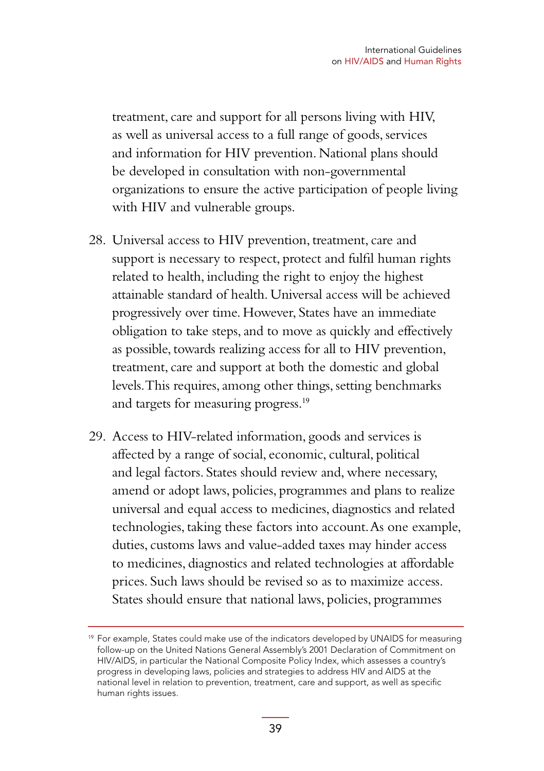treatment, care and support for all persons living with HIV, as well as universal access to a full range of goods, services and information for HIV prevention. National plans should be developed in consultation with non-governmental organizations to ensure the active participation of people living with HIV and vulnerable groups.

- 28. Universal access to HIV prevention, treatment, care and support is necessary to respect, protect and fulfil human rights related to health, including the right to enjoy the highest attainable standard of health. Universal access will be achieved progressively over time. However, States have an immediate obligation to take steps, and to move as quickly and effectively as possible, towards realizing access for all to HIV prevention, treatment, care and support at both the domestic and global levels. This requires, among other things, setting benchmarks and targets for measuring progress.<sup>19</sup>
- 29. Access to HIV-related information, goods and services is affected by a range of social, economic, cultural, political and legal factors. States should review and, where necessary, amend or adopt laws, policies, programmes and plans to realize universal and equal access to medicines, diagnostics and related technologies, taking these factors into account. As one example, duties, customs laws and value-added taxes may hinder access to medicines, diagnostics and related technologies at affordable prices. Such laws should be revised so as to maximize access. States should ensure that national laws, policies, programmes

<sup>19</sup> For example, States could make use of the indicators developed by UNAIDS for measuring follow-up on the United Nations General Assembly's 2001 Declaration of Commitment on HIV/AIDS, in particular the National Composite Policy Index, which assesses a country's progress in developing laws, policies and strategies to address HIV and AIDS at the national level in relation to prevention, treatment, care and support, as well as specific human rights issues.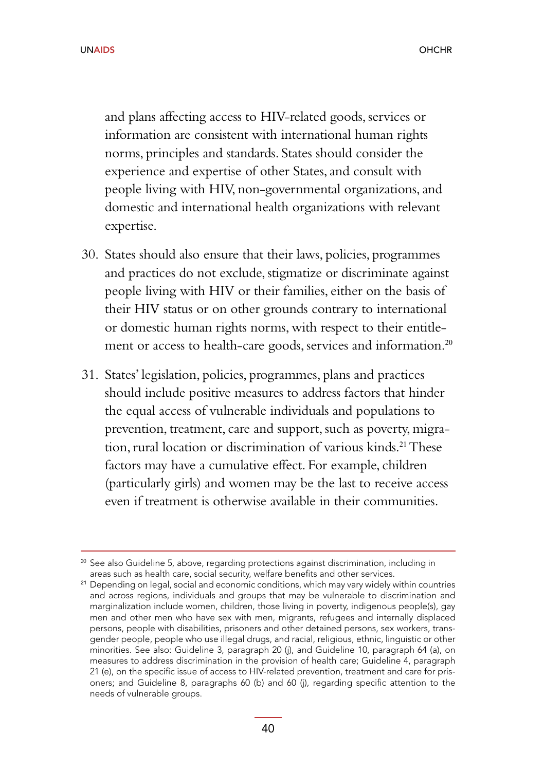and plans affecting access to HIV-related goods, services or information are consistent with international human rights norms, principles and standards. States should consider the experience and expertise of other States, and consult with people living with HIV, non-governmental organizations, and domestic and international health organizations with relevant expertise.

- 30. States should also ensure that their laws, policies, programmes and practices do not exclude, stigmatize or discriminate against people living with HIV or their families, either on the basis of their HIV status or on other grounds contrary to international or domestic human rights norms, with respect to their entitlement or access to health-care goods, services and information.<sup>20</sup>
- 31. States' legislation, policies, programmes, plans and practices should include positive measures to address factors that hinder the equal access of vulnerable individuals and populations to prevention, treatment, care and support, such as poverty, migration, rural location or discrimination of various kinds.21 These factors may have a cumulative effect. For example, children (particularly girls) and women may be the last to receive access even if treatment is otherwise available in their communities.

 $20$  See also Guideline 5, above, regarding protections against discrimination, including in areas such as health care, social security, welfare benefits and other services.

<sup>&</sup>lt;sup>21</sup> Depending on legal, social and economic conditions, which may vary widely within countries and across regions, individuals and groups that may be vulnerable to discrimination and marginalization include women, children, those living in poverty, indigenous people(s), gay men and other men who have sex with men, migrants, refugees and internally displaced persons, people with disabilities, prisoners and other detained persons, sex workers, transgender people, people who use illegal drugs, and racial, religious, ethnic, linguistic or other minorities. See also: Guideline 3, paragraph 20 (j), and Guideline 10, paragraph 64 (a), on measures to address discrimination in the provision of health care; Guideline 4, paragraph 21 (e), on the specific issue of access to HIV-related prevention, treatment and care for prisoners; and Guideline 8, paragraphs 60 (b) and 60 (j), regarding specific attention to the needs of vulnerable groups.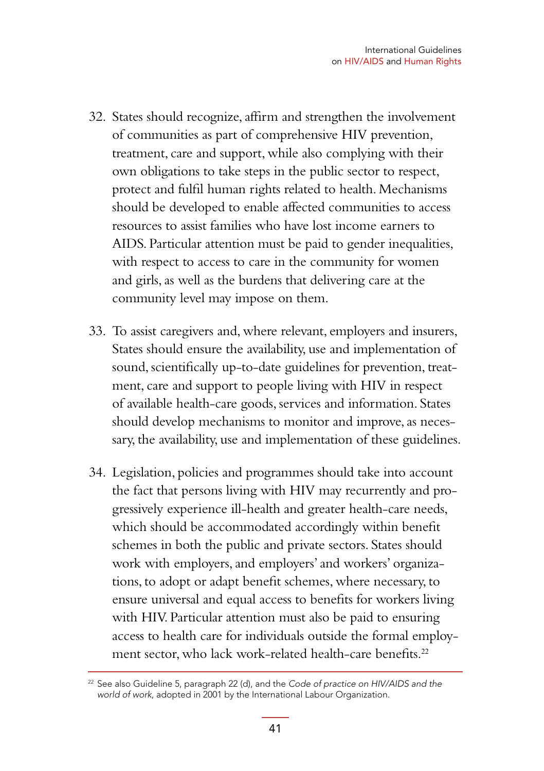- 32. States should recognize, affirm and strengthen the involvement of communities as part of comprehensive HIV prevention, treatment, care and support, while also complying with their own obligations to take steps in the public sector to respect, protect and fulfil human rights related to health. Mechanisms should be developed to enable affected communities to access resources to assist families who have lost income earners to AIDS. Particular attention must be paid to gender inequalities, with respect to access to care in the community for women and girls, as well as the burdens that delivering care at the community level may impose on them.
- 33. To assist caregivers and, where relevant, employers and insurers, States should ensure the availability, use and implementation of sound, scientifically up-to-date guidelines for prevention, treatment, care and support to people living with HIV in respect of available health-care goods, services and information. States should develop mechanisms to monitor and improve, as necessary, the availability, use and implementation of these guidelines.
- 34. Legislation, policies and programmes should take into account the fact that persons living with HIV may recurrently and progressively experience ill-health and greater health-care needs, which should be accommodated accordingly within benefit schemes in both the public and private sectors. States should work with employers, and employers' and workers' organizations, to adopt or adapt benefit schemes, where necessary, to ensure universal and equal access to benefits for workers living with HIV. Particular attention must also be paid to ensuring access to health care for individuals outside the formal employment sector, who lack work-related health-care benefits.<sup>22</sup>

 $22$  See also Guideline 5, paragraph 22 (d), and the Code of practice on HIV/AIDS and the world of work, adopted in 2001 by the International Labour Organization.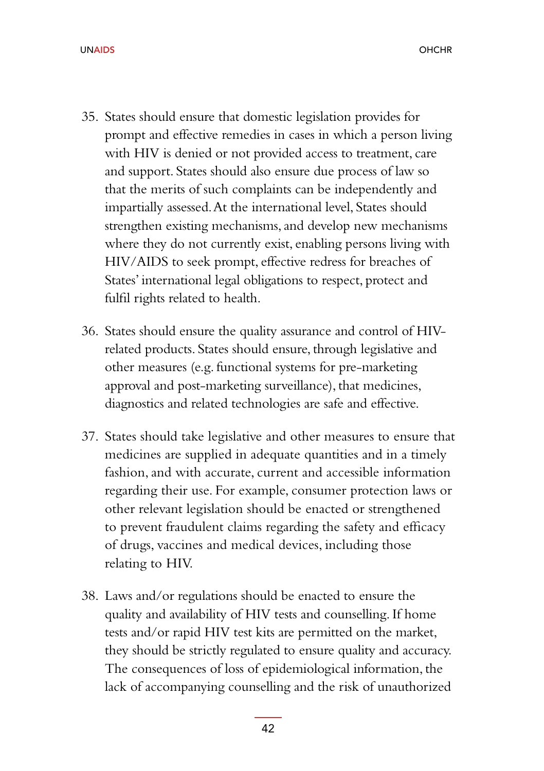- 35. States should ensure that domestic legislation provides for prompt and effective remedies in cases in which a person living with HIV is denied or not provided access to treatment, care and support. States should also ensure due process of law so that the merits of such complaints can be independently and impartially assessed. At the international level, States should strengthen existing mechanisms, and develop new mechanisms where they do not currently exist, enabling persons living with HIV/AIDS to seek prompt, effective redress for breaches of States' international legal obligations to respect, protect and fulfil rights related to health.
- 36. States should ensure the quality assurance and control of HIVrelated products. States should ensure, through legislative and other measures (e.g. functional systems for pre-marketing approval and post-marketing surveillance), that medicines, diagnostics and related technologies are safe and effective.
- 37. States should take legislative and other measures to ensure that medicines are supplied in adequate quantities and in a timely fashion, and with accurate, current and accessible information regarding their use. For example, consumer protection laws or other relevant legislation should be enacted or strengthened to prevent fraudulent claims regarding the safety and efficacy of drugs, vaccines and medical devices, including those relating to HIV.
- 38. Laws and/or regulations should be enacted to ensure the quality and availability of HIV tests and counselling. If home tests and/or rapid HIV test kits are permitted on the market, they should be strictly regulated to ensure quality and accuracy. The consequences of loss of epidemiological information, the lack of accompanying counselling and the risk of unauthorized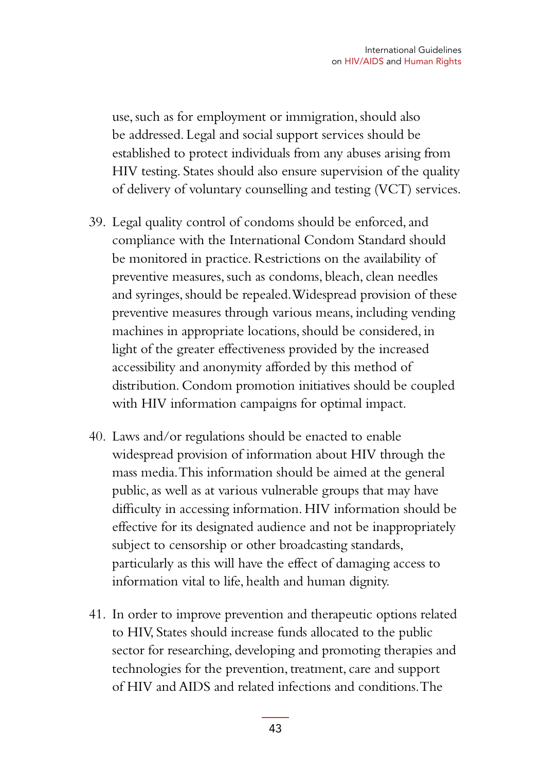use, such as for employment or immigration, should also be addressed. Legal and social support services should be established to protect individuals from any abuses arising from HIV testing. States should also ensure supervision of the quality of delivery of voluntary counselling and testing (VCT) services.

- 39. Legal quality control of condoms should be enforced, and compliance with the International Condom Standard should be monitored in practice. Restrictions on the availability of preventive measures, such as condoms, bleach, clean needles and syringes, should be repealed. Widespread provision of these preventive measures through various means, including vending machines in appropriate locations, should be considered, in light of the greater effectiveness provided by the increased accessibility and anonymity afforded by this method of distribution. Condom promotion initiatives should be coupled with HIV information campaigns for optimal impact.
- 40. Laws and/or regulations should be enacted to enable widespread provision of information about HIV through the mass media. This information should be aimed at the general public, as well as at various vulnerable groups that may have difficulty in accessing information. HIV information should be effective for its designated audience and not be inappropriately subject to censorship or other broadcasting standards, particularly as this will have the effect of damaging access to information vital to life, health and human dignity.
- 41. In order to improve prevention and therapeutic options related to HIV, States should increase funds allocated to the public sector for researching, developing and promoting therapies and technologies for the prevention, treatment, care and support of HIV and AIDS and related infections and conditions. The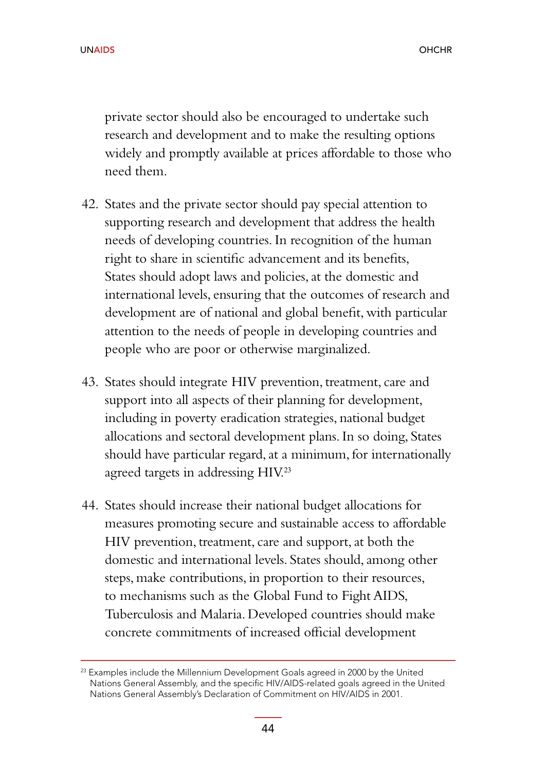private sector should also be encouraged to undertake such research and development and to make the resulting options widely and promptly available at prices affordable to those who need them.

- 42. States and the private sector should pay special attention to supporting research and development that address the health needs of developing countries. In recognition of the human right to share in scientific advancement and its benefits, States should adopt laws and policies, at the domestic and international levels, ensuring that the outcomes of research and development are of national and global benefit, with particular attention to the needs of people in developing countries and people who are poor or otherwise marginalized.
- 43. States should integrate HIV prevention, treatment, care and support into all aspects of their planning for development, including in poverty eradication strategies, national budget allocations and sectoral development plans. In so doing, States should have particular regard, at a minimum, for internationally agreed targets in addressing HIV.<sup>23</sup>
- 44. States should increase their national budget allocations for measures promoting secure and sustainable access to affordable HIV prevention, treatment, care and support, at both the domestic and international levels. States should, among other steps, make contributions, in proportion to their resources, to mechanisms such as the Global Fund to Fight AIDS, Tuberculosis and Malaria. Developed countries should make concrete commitments of increased official development

 $23$  Examples include the Millennium Development Goals agreed in 2000 by the United Nations General Assembly, and the specific HIV/AIDS-related goals agreed in the United Nations General Assembly's Declaration of Commitment on HIV/AIDS in 2001.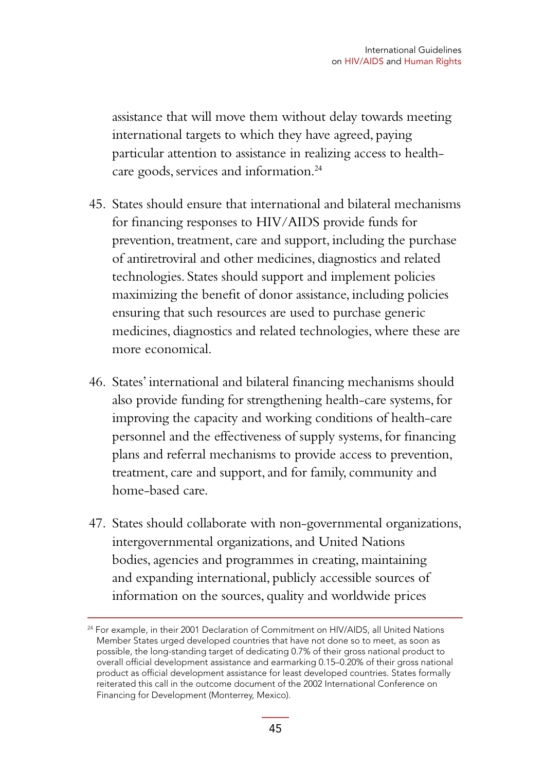assistance that will move them without delay towards meeting international targets to which they have agreed, paying particular attention to assistance in realizing access to healthcare goods, services and information.<sup>24</sup>

- 45. States should ensure that international and bilateral mechanisms for financing responses to HIV/AIDS provide funds for prevention, treatment, care and support, including the purchase of antiretroviral and other medicines, diagnostics and related technologies. States should support and implement policies maximizing the benefit of donor assistance, including policies ensuring that such resources are used to purchase generic medicines, diagnostics and related technologies, where these are more economical.
- 46. States' international and bilateral financing mechanisms should also provide funding for strengthening health-care systems, for improving the capacity and working conditions of health-care personnel and the effectiveness of supply systems, for financing plans and referral mechanisms to provide access to prevention, treatment, care and support, and for family, community and home-based care.
- 47. States should collaborate with non-governmental organizations, intergovernmental organizations, and United Nations bodies, agencies and programmes in creating, maintaining and expanding international, publicly accessible sources of information on the sources, quality and worldwide prices

<sup>&</sup>lt;sup>24</sup> For example, in their 2001 Declaration of Commitment on HIV/AIDS, all United Nations Member States urged developed countries that have not done so to meet, as soon as possible, the long-standing target of dedicating 0.7% of their gross national product to overall official development assistance and earmarking 0.15–0.20% of their gross national product as official development assistance for least developed countries. States formally reiterated this call in the outcome document of the 2002 International Conference on Financing for Development (Monterrey, Mexico).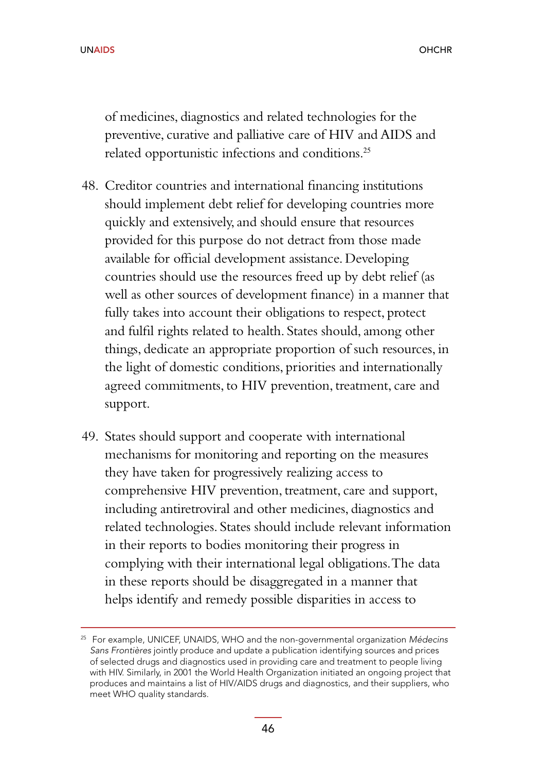of medicines, diagnostics and related technologies for the preventive, curative and palliative care of HIV and AIDS and related opportunistic infections and conditions.<sup>25</sup>

- 48. Creditor countries and international financing institutions should implement debt relief for developing countries more quickly and extensively, and should ensure that resources provided for this purpose do not detract from those made available for official development assistance. Developing countries should use the resources freed up by debt relief (as well as other sources of development finance) in a manner that fully takes into account their obligations to respect, protect and fulfil rights related to health. States should, among other things, dedicate an appropriate proportion of such resources, in the light of domestic conditions, priorities and internationally agreed commitments, to HIV prevention, treatment, care and support.
- 49. States should support and cooperate with international mechanisms for monitoring and reporting on the measures they have taken for progressively realizing access to comprehensive HIV prevention, treatment, care and support, including antiretroviral and other medicines, diagnostics and related technologies. States should include relevant information in their reports to bodies monitoring their progress in complying with their international legal obligations. The data in these reports should be disaggregated in a manner that helps identify and remedy possible disparities in access to

 $25$  For example, UNICEF, UNAIDS, WHO and the non-governmental organization Médecins Sans Frontières jointly produce and update a publication identifying sources and prices of selected drugs and diagnostics used in providing care and treatment to people living with HIV. Similarly, in 2001 the World Health Organization initiated an ongoing project that produces and maintains a list of HIV/AIDS drugs and diagnostics, and their suppliers, who meet WHO quality standards.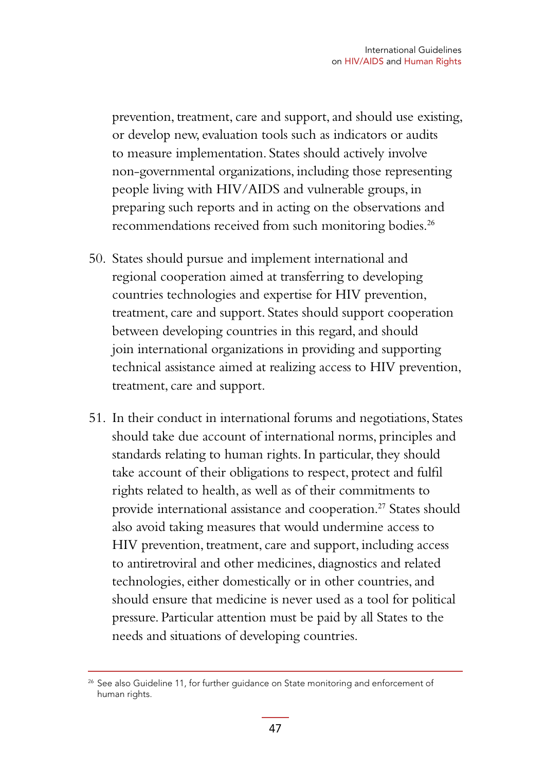prevention, treatment, care and support, and should use existing, or develop new, evaluation tools such as indicators or audits to measure implementation. States should actively involve non-governmental organizations, including those representing people living with HIV/AIDS and vulnerable groups, in preparing such reports and in acting on the observations and recommendations received from such monitoring bodies.<sup>26</sup>

- 50. States should pursue and implement international and regional cooperation aimed at transferring to developing countries technologies and expertise for HIV prevention, treatment, care and support. States should support cooperation between developing countries in this regard, and should join international organizations in providing and supporting technical assistance aimed at realizing access to HIV prevention, treatment, care and support.
- 51. In their conduct in international forums and negotiations, States should take due account of international norms, principles and standards relating to human rights. In particular, they should take account of their obligations to respect, protect and fulfil rights related to health, as well as of their commitments to provide international assistance and cooperation.<sup>27</sup> States should also avoid taking measures that would undermine access to HIV prevention, treatment, care and support, including access to antiretroviral and other medicines, diagnostics and related technologies, either domestically or in other countries, and should ensure that medicine is never used as a tool for political pressure. Particular attention must be paid by all States to the needs and situations of developing countries.

<sup>&</sup>lt;sup>26</sup> See also Guideline 11, for further guidance on State monitoring and enforcement of human rights.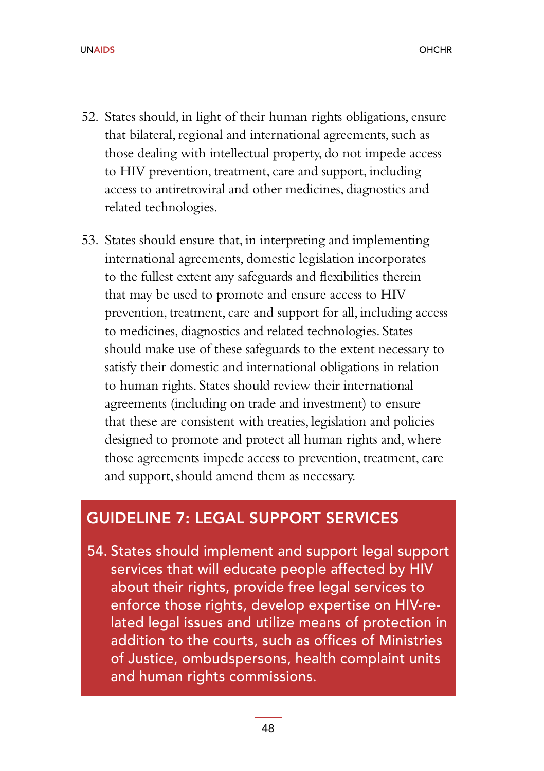- 52. States should, in light of their human rights obligations, ensure that bilateral, regional and international agreements, such as those dealing with intellectual property, do not impede access to HIV prevention, treatment, care and support, including access to antiretroviral and other medicines, diagnostics and related technologies.
- 53. States should ensure that, in interpreting and implementing international agreements, domestic legislation incorporates to the fullest extent any safeguards and flexibilities therein that may be used to promote and ensure access to HIV prevention, treatment, care and support for all, including access to medicines, diagnostics and related technologies. States should make use of these safeguards to the extent necessary to satisfy their domestic and international obligations in relation to human rights. States should review their international agreements (including on trade and investment) to ensure that these are consistent with treaties, legislation and policies designed to promote and protect all human rights and, where those agreements impede access to prevention, treatment, care and support, should amend them as necessary.

### GUIDELINE 7: LEGAL SUPPORT SERVICES

54. States should implement and support legal support services that will educate people affected by HIV about their rights, provide free legal services to enforce those rights, develop expertise on HIV-related legal issues and utilize means of protection in addition to the courts, such as offices of Ministries of Justice, ombudspersons, health complaint units and human rights commissions.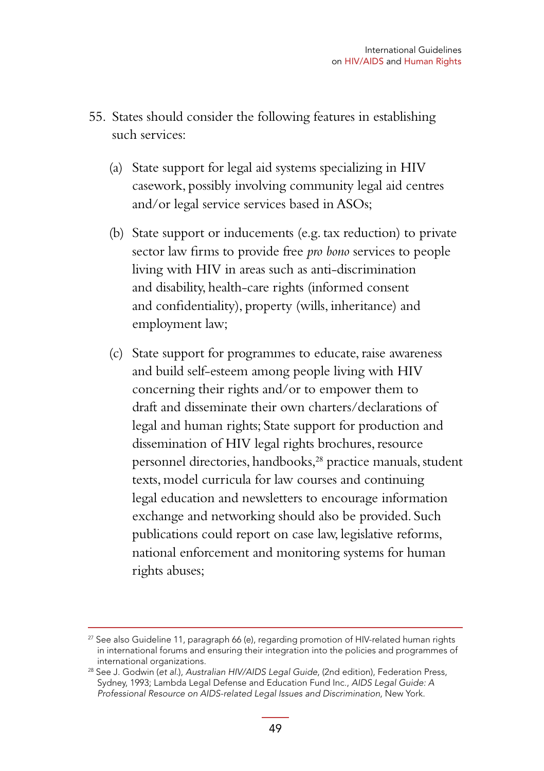- 55. States should consider the following features in establishing such services:
	- (a) State support for legal aid systems specializing in HIV casework, possibly involving community legal aid centres and/or legal service services based in ASOs;
	- (b) State support or inducements (e.g. tax reduction) to private sector law firms to provide free *pro bono* services to people living with HIV in areas such as anti-discrimination and disability, health-care rights (informed consent and confidentiality), property (wills, inheritance) and employment law;
	- (c) State support for programmes to educate, raise awareness and build self-esteem among people living with HIV concerning their rights and/or to empower them to draft and disseminate their own charters/declarations of legal and human rights; State support for production and dissemination of HIV legal rights brochures, resource personnel directories, handbooks,<sup>28</sup> practice manuals, student texts, model curricula for law courses and continuing legal education and newsletters to encourage information exchange and networking should also be provided. Such publications could report on case law, legislative reforms, national enforcement and monitoring systems for human rights abuses;

 $27$  See also Guideline 11, paragraph 66 (e), regarding promotion of HIV-related human rights in international forums and ensuring their integration into the policies and programmes of

<sup>&</sup>lt;sup>28</sup> See J. Godwin (et al.), Australian HIV/AIDS Legal Guide, (2nd edition), Federation Press, Sydney, 1993; Lambda Legal Defense and Education Fund Inc., AIDS Legal Guide: A Professional Resource on AIDS-related Legal Issues and Discrimination, New York.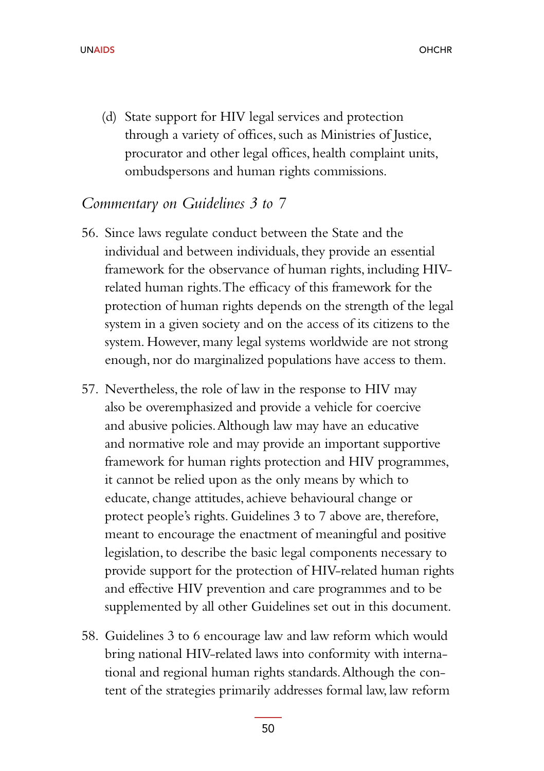(d) State support for HIV legal services and protection through a variety of offices, such as Ministries of Justice, procurator and other legal offices, health complaint units, ombudspersons and human rights commissions.

#### *Commentary on Guidelines 3 to 7*

- 56. Since laws regulate conduct between the State and the individual and between individuals, they provide an essential framework for the observance of human rights, including HIVrelated human rights. The efficacy of this framework for the protection of human rights depends on the strength of the legal system in a given society and on the access of its citizens to the system. However, many legal systems worldwide are not strong enough, nor do marginalized populations have access to them.
- 57. Nevertheless, the role of law in the response to HIV may also be overemphasized and provide a vehicle for coercive and abusive policies. Although law may have an educative and normative role and may provide an important supportive framework for human rights protection and HIV programmes, it cannot be relied upon as the only means by which to educate, change attitudes, achieve behavioural change or protect people's rights. Guidelines 3 to 7 above are, therefore, meant to encourage the enactment of meaningful and positive legislation, to describe the basic legal components necessary to provide support for the protection of HIV-related human rights and effective HIV prevention and care programmes and to be supplemented by all other Guidelines set out in this document.
- 58. Guidelines 3 to 6 encourage law and law reform which would bring national HIV-related laws into conformity with international and regional human rights standards. Although the content of the strategies primarily addresses formal law, law reform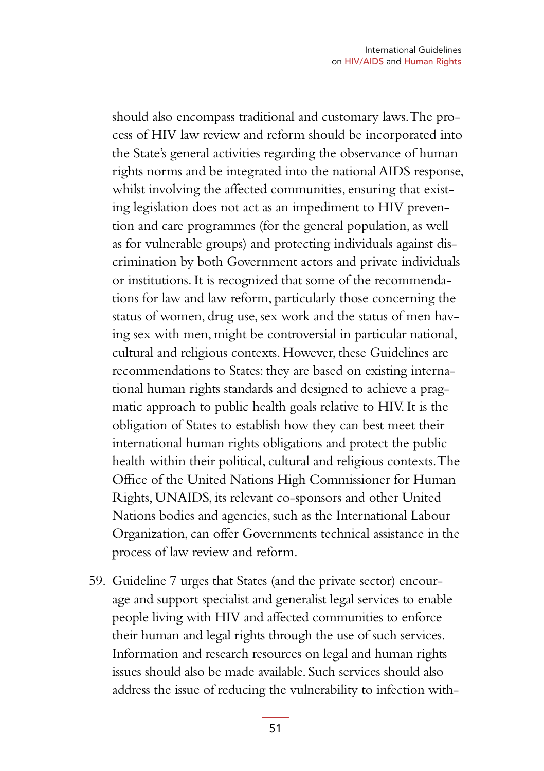should also encompass traditional and customary laws. The process of HIV law review and reform should be incorporated into the State's general activities regarding the observance of human rights norms and be integrated into the national AIDS response, whilst involving the affected communities, ensuring that existing legislation does not act as an impediment to HIV prevention and care programmes (for the general population, as well as for vulnerable groups) and protecting individuals against discrimination by both Government actors and private individuals or institutions. It is recognized that some of the recommendations for law and law reform, particularly those concerning the status of women, drug use, sex work and the status of men having sex with men, might be controversial in particular national, cultural and religious contexts. However, these Guidelines are recommendations to States: they are based on existing international human rights standards and designed to achieve a pragmatic approach to public health goals relative to HIV. It is the obligation of States to establish how they can best meet their international human rights obligations and protect the public health within their political, cultural and religious contexts. The Office of the United Nations High Commissioner for Human Rights, UNAIDS, its relevant co-sponsors and other United Nations bodies and agencies, such as the International Labour Organization, can offer Governments technical assistance in the process of law review and reform.

59. Guideline 7 urges that States (and the private sector) encourage and support specialist and generalist legal services to enable people living with HIV and affected communities to enforce their human and legal rights through the use of such services. Information and research resources on legal and human rights issues should also be made available. Such services should also address the issue of reducing the vulnerability to infection with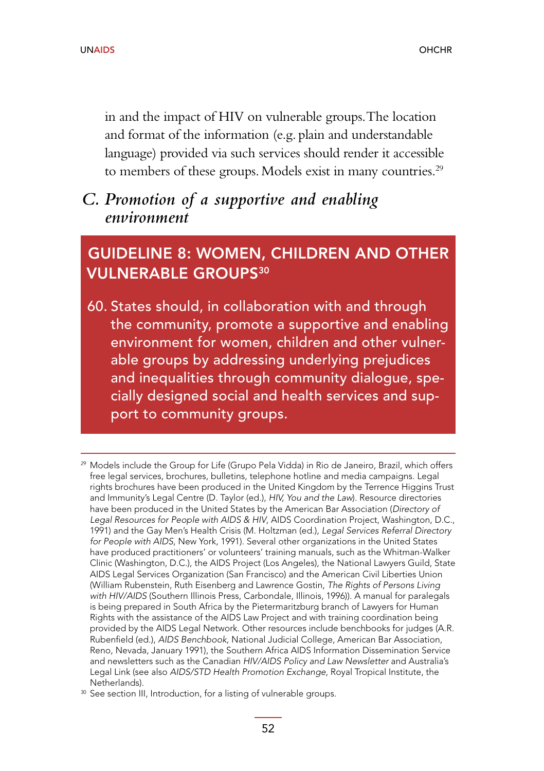in and the impact of HIV on vulnerable groups. The location and format of the information (e.g. plain and understandable language) provided via such services should render it accessible to members of these groups. Models exist in many countries.<sup>29</sup>

### *C. Promotion of a supportive and enabling environment*

## GUIDELINE 8: WOMEN, CHILDREN AND OTHER **VULNERABLE GROUPS<sup>30</sup>**

60. States should, in collaboration with and through the community, promote a supportive and enabling environment for women, children and other vulnerable groups by addressing underlying prejudices and inequalities through community dialogue, specially designed social and health services and support to community groups.

<sup>29</sup> Models include the Group for Life (Grupo Pela Vidda) in Rio de Janeiro, Brazil, which offers free legal services, brochures, bulletins, telephone hotline and media campaigns. Legal rights brochures have been produced in the United Kingdom by the Terrence Higgins Trust and Immunity's Legal Centre (D. Taylor (ed.), HIV, You and the Law). Resource directories have been produced in the United States by the American Bar Association (Directory of Legal Resources for People with AIDS & HIV, AIDS Coordination Project, Washington, D.C., 1991) and the Gay Men's Health Crisis (M. Holtzman (ed.), Legal Services Referral Directory for People with AIDS, New York, 1991). Several other organizations in the United States have produced practitioners' or volunteers' training manuals, such as the Whitman-Walker Clinic (Washington, D.C.), the AIDS Project (Los Angeles), the National Lawyers Guild, State AIDS Legal Services Organization (San Francisco) and the American Civil Liberties Union (William Rubenstein, Ruth Eisenberg and Lawrence Gostin, The Rights of Persons Living with HIV/AIDS (Southern Illinois Press, Carbondale, Illinois, 1996)). A manual for paralegals is being prepared in South Africa by the Pietermaritzburg branch of Lawyers for Human Rights with the assistance of the AIDS Law Project and with training coordination being provided by the AIDS Legal Network. Other resources include benchbooks for judges (A.R. Rubenfield (ed.), AIDS Benchbook, National Judicial College, American Bar Association, Reno, Nevada, January 1991), the Southern Africa AIDS Information Dissemination Service and newsletters such as the Canadian HIV/AIDS Policy and Law Newsletter and Australia's Legal Link (see also AIDS/STD Health Promotion Exchange, Royal Tropical Institute, the Netherlands).

<sup>&</sup>lt;sup>30</sup> See section III, Introduction, for a listing of vulnerable groups.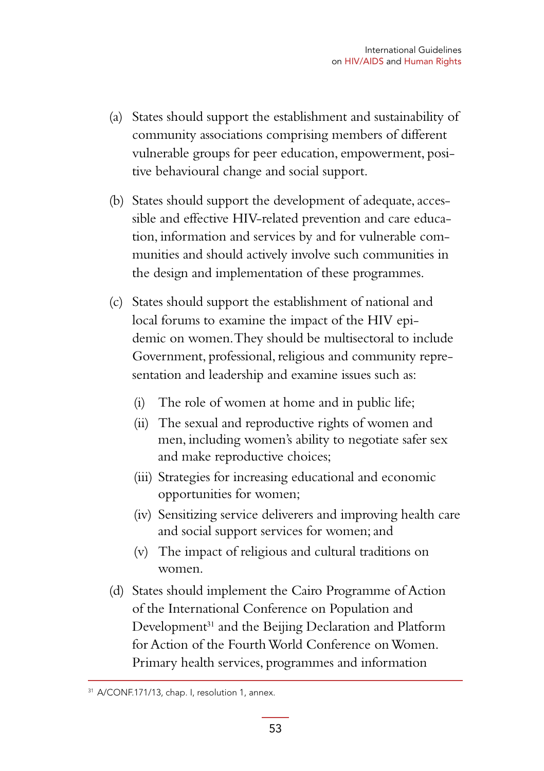- (a) States should support the establishment and sustainability of community associations comprising members of different vulnerable groups for peer education, empowerment, positive behavioural change and social support.
- (b) States should support the development of adequate, accessible and effective HIV-related prevention and care education, information and services by and for vulnerable communities and should actively involve such communities in the design and implementation of these programmes.
- (c) States should support the establishment of national and local forums to examine the impact of the HIV epidemic on women. They should be multisectoral to include Government, professional, religious and community representation and leadership and examine issues such as:
	- (i) The role of women at home and in public life;
	- (ii) The sexual and reproductive rights of women and men, including women's ability to negotiate safer sex and make reproductive choices;
	- (iii) Strategies for increasing educational and economic opportunities for women;
	- (iv) Sensitizing service deliverers and improving health care and social support services for women; and
	- (v) The impact of religious and cultural traditions on women.
- (d) States should implement the Cairo Programme of Action of the International Conference on Population and Development<sup>31</sup> and the Beijing Declaration and Platform for Action of the Fourth World Conference on Women. Primary health services, programmes and information

<sup>31</sup> A/CONF.171/13, chap. I, resolution 1, annex.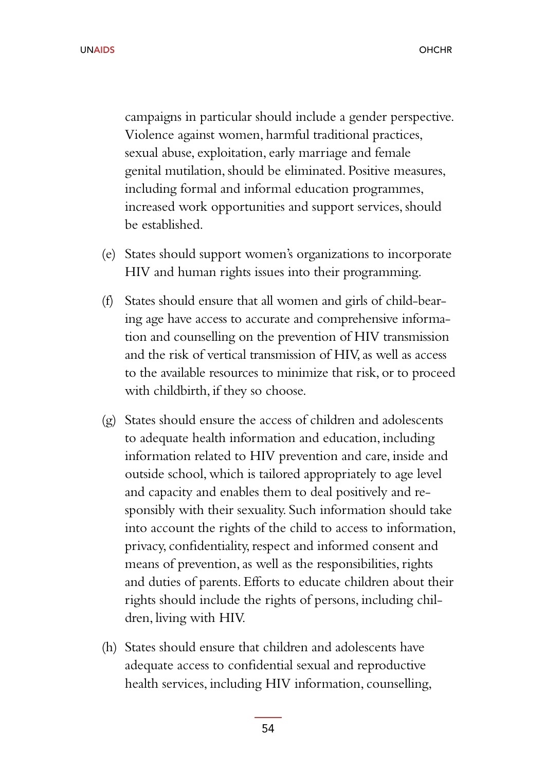campaigns in particular should include a gender perspective. Violence against women, harmful traditional practices, sexual abuse, exploitation, early marriage and female genital mutilation, should be eliminated. Positive measures, including formal and informal education programmes, increased work opportunities and support services, should be established.

- (e) States should support women's organizations to incorporate HIV and human rights issues into their programming.
- (f) States should ensure that all women and girls of child-bearing age have access to accurate and comprehensive information and counselling on the prevention of HIV transmission and the risk of vertical transmission of HIV, as well as access to the available resources to minimize that risk, or to proceed with childbirth, if they so choose.
- (g) States should ensure the access of children and adolescents to adequate health information and education, including information related to HIV prevention and care, inside and outside school, which is tailored appropriately to age level and capacity and enables them to deal positively and responsibly with their sexuality. Such information should take into account the rights of the child to access to information, privacy, confidentiality, respect and informed consent and means of prevention, as well as the responsibilities, rights and duties of parents. Efforts to educate children about their rights should include the rights of persons, including children, living with HIV.
- (h) States should ensure that children and adolescents have adequate access to confidential sexual and reproductive health services, including HIV information, counselling,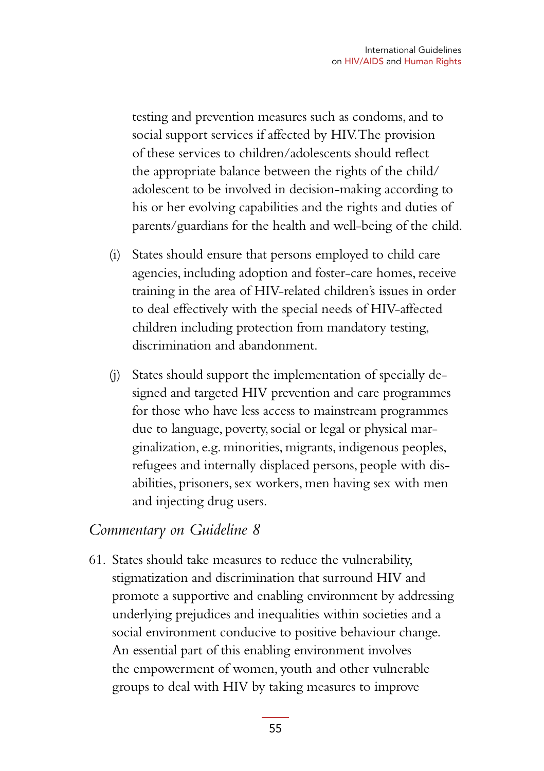testing and prevention measures such as condoms, and to social support services if affected by HIV. The provision of these services to children/adolescents should reflect the appropriate balance between the rights of the child/ adolescent to be involved in decision-making according to his or her evolving capabilities and the rights and duties of parents/guardians for the health and well-being of the child.

- (i) States should ensure that persons employed to child care agencies, including adoption and foster-care homes, receive training in the area of HIV-related children's issues in order to deal effectively with the special needs of HIV-affected children including protection from mandatory testing, discrimination and abandonment.
- (j) States should support the implementation of specially designed and targeted HIV prevention and care programmes for those who have less access to mainstream programmes due to language, poverty, social or legal or physical marginalization, e.g. minorities, migrants, indigenous peoples, refugees and internally displaced persons, people with disabilities, prisoners, sex workers, men having sex with men and injecting drug users.

### *Commentary on Guideline 8*

61. States should take measures to reduce the vulnerability, stigmatization and discrimination that surround HIV and promote a supportive and enabling environment by addressing underlying prejudices and inequalities within societies and a social environment conducive to positive behaviour change. An essential part of this enabling environment involves the empowerment of women, youth and other vulnerable groups to deal with HIV by taking measures to improve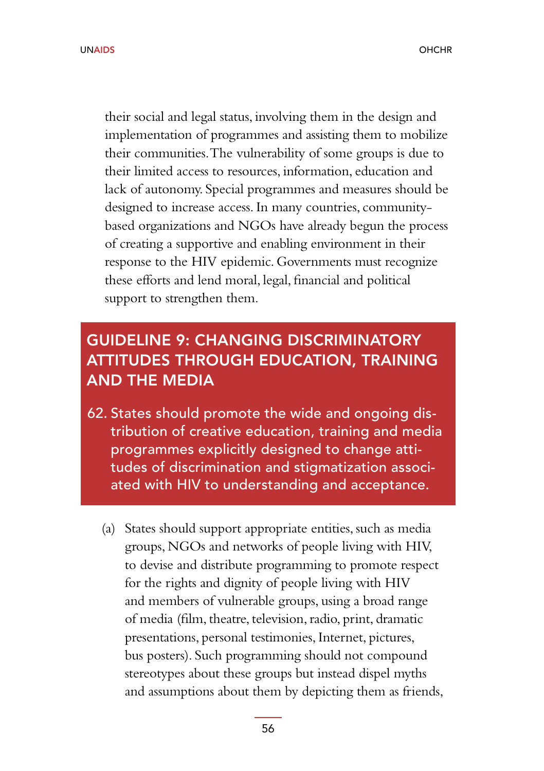their social and legal status, involving them in the design and implementation of programmes and assisting them to mobilize their communities. The vulnerability of some groups is due to their limited access to resources, information, education and lack of autonomy. Special programmes and measures should be designed to increase access. In many countries, communitybased organizations and NGOs have already begun the process of creating a supportive and enabling environment in their response to the HIV epidemic. Governments must recognize these efforts and lend moral, legal, financial and political support to strengthen them.

### GUIDELINE 9: CHANGING DISCRIMINATORY ATTITUDES THROUGH EDUCATION, TRAINING AND THE MEDIA

- 62. States should promote the wide and ongoing distribution of creative education, training and media programmes explicitly designed to change attitudes of discrimination and stigmatization associated with HIV to understanding and acceptance.
	- (a) States should support appropriate entities, such as media groups, NGOs and networks of people living with HIV, to devise and distribute programming to promote respect for the rights and dignity of people living with HIV and members of vulnerable groups, using a broad range of media (film, theatre, television, radio, print, dramatic presentations, personal testimonies, Internet, pictures, bus posters). Such programming should not compound stereotypes about these groups but instead dispel myths and assumptions about them by depicting them as friends,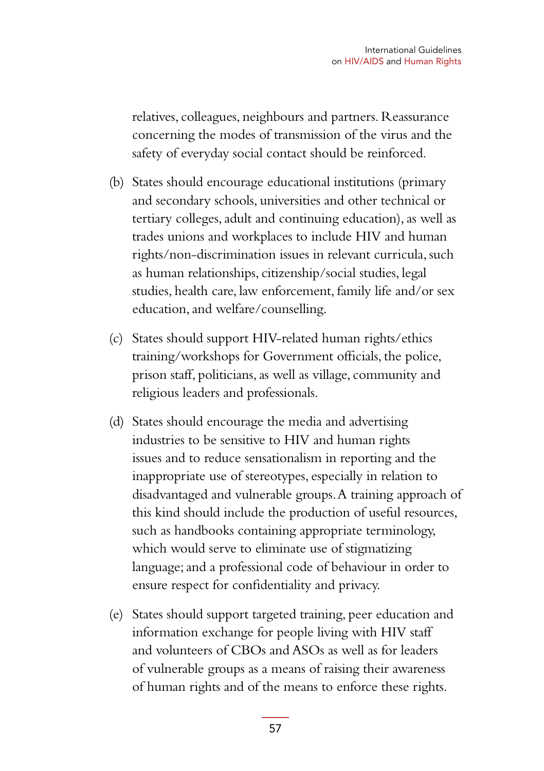relatives, colleagues, neighbours and partners. Reassurance concerning the modes of transmission of the virus and the safety of everyday social contact should be reinforced.

- (b) States should encourage educational institutions (primary and secondary schools, universities and other technical or tertiary colleges, adult and continuing education), as well as trades unions and workplaces to include HIV and human rights/non-discrimination issues in relevant curricula, such as human relationships, citizenship/social studies, legal studies, health care, law enforcement, family life and/or sex education, and welfare/counselling.
- (c) States should support HIV-related human rights/ethics training/workshops for Government officials, the police, prison staff, politicians, as well as village, community and religious leaders and professionals.
- (d) States should encourage the media and advertising industries to be sensitive to HIV and human rights issues and to reduce sensationalism in reporting and the inappropriate use of stereotypes, especially in relation to disadvantaged and vulnerable groups. A training approach of this kind should include the production of useful resources, such as handbooks containing appropriate terminology, which would serve to eliminate use of stigmatizing language; and a professional code of behaviour in order to ensure respect for confidentiality and privacy.
- (e) States should support targeted training, peer education and information exchange for people living with HIV staff and volunteers of CBOs and ASOs as well as for leaders of vulnerable groups as a means of raising their awareness of human rights and of the means to enforce these rights.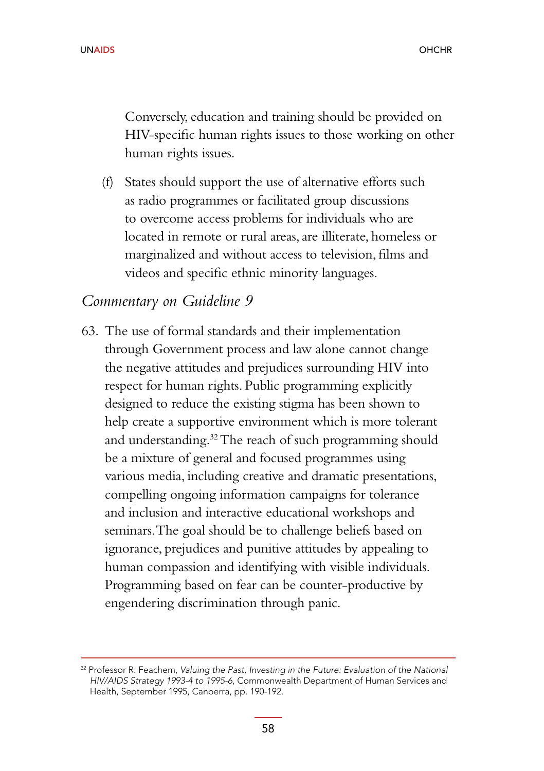Conversely, education and training should be provided on HIV-specific human rights issues to those working on other human rights issues.

(f) States should support the use of alternative efforts such as radio programmes or facilitated group discussions to overcome access problems for individuals who are located in remote or rural areas, are illiterate, homeless or marginalized and without access to television, films and videos and specific ethnic minority languages.

#### *Commentary on Guideline 9*

63. The use of formal standards and their implementation through Government process and law alone cannot change the negative attitudes and prejudices surrounding HIV into respect for human rights. Public programming explicitly designed to reduce the existing stigma has been shown to help create a supportive environment which is more tolerant and understanding.32 The reach of such programming should be a mixture of general and focused programmes using various media, including creative and dramatic presentations, compelling ongoing information campaigns for tolerance and inclusion and interactive educational workshops and seminars. The goal should be to challenge beliefs based on ignorance, prejudices and punitive attitudes by appealing to human compassion and identifying with visible individuals. Programming based on fear can be counter-productive by engendering discrimination through panic.

 $32$  Professor R. Feachem, Valuing the Past, Investing in the Future: Evaluation of the National HIV/AIDS Strategy 1993-4 to 1995-6, Commonwealth Department of Human Services and Health, September 1995, Canberra, pp. 190-192.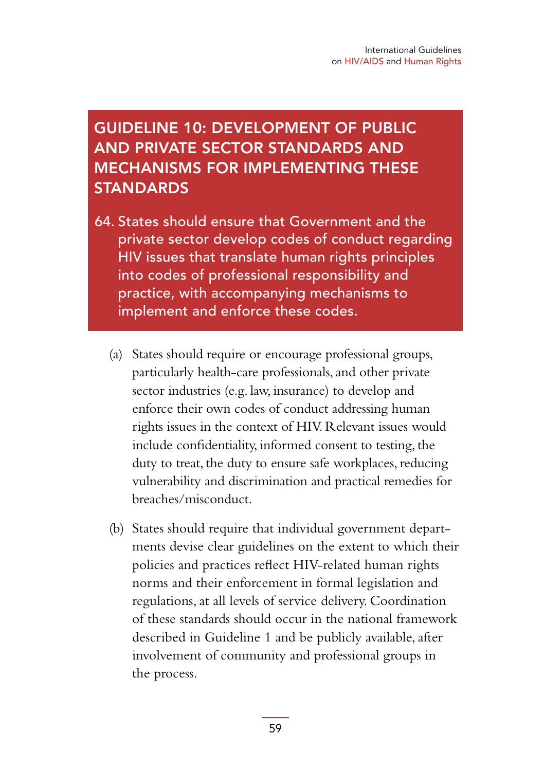# GUIDELINE 10: DEVELOPMENT OF PUBLIC AND PRIVATE SECTOR STANDARDS AND MECHANISMS FOR IMPLEMENTING THESE **STANDARDS**

- 64. States should ensure that Government and the private sector develop codes of conduct regarding HIV issues that translate human rights principles into codes of professional responsibility and practice, with accompanying mechanisms to implement and enforce these codes.
	- (a) States should require or encourage professional groups, particularly health-care professionals, and other private sector industries (e.g. law, insurance) to develop and enforce their own codes of conduct addressing human rights issues in the context of HIV. Relevant issues would include confidentiality, informed consent to testing, the duty to treat, the duty to ensure safe workplaces, reducing vulnerability and discrimination and practical remedies for breaches/misconduct.
	- (b) States should require that individual government departments devise clear guidelines on the extent to which their policies and practices reflect HIV-related human rights norms and their enforcement in formal legislation and regulations, at all levels of service delivery. Coordination of these standards should occur in the national framework described in Guideline 1 and be publicly available, after involvement of community and professional groups in the process.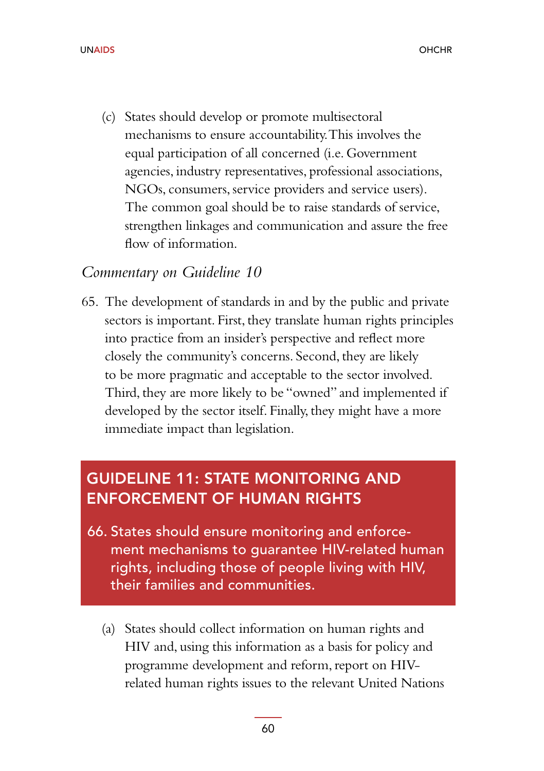(c) States should develop or promote multisectoral mechanisms to ensure accountability. This involves the equal participation of all concerned (i.e. Government agencies, industry representatives, professional associations, NGOs, consumers, service providers and service users). The common goal should be to raise standards of service, strengthen linkages and communication and assure the free flow of information.

#### *Commentary on Guideline 10*

65. The development of standards in and by the public and private sectors is important. First, they translate human rights principles into practice from an insider's perspective and reflect more closely the community's concerns. Second, they are likely to be more pragmatic and acceptable to the sector involved. Third, they are more likely to be "owned" and implemented if developed by the sector itself. Finally, they might have a more immediate impact than legislation.

### GUIDELINE 11: STATE MONITORING AND ENFORCEMENT OF HUMAN RIGHTS

- 66. States should ensure monitoring and enforcement mechanisms to guarantee HIV-related human rights, including those of people living with HIV, their families and communities.
	- (a) States should collect information on human rights and HIV and, using this information as a basis for policy and programme development and reform, report on HIVrelated human rights issues to the relevant United Nations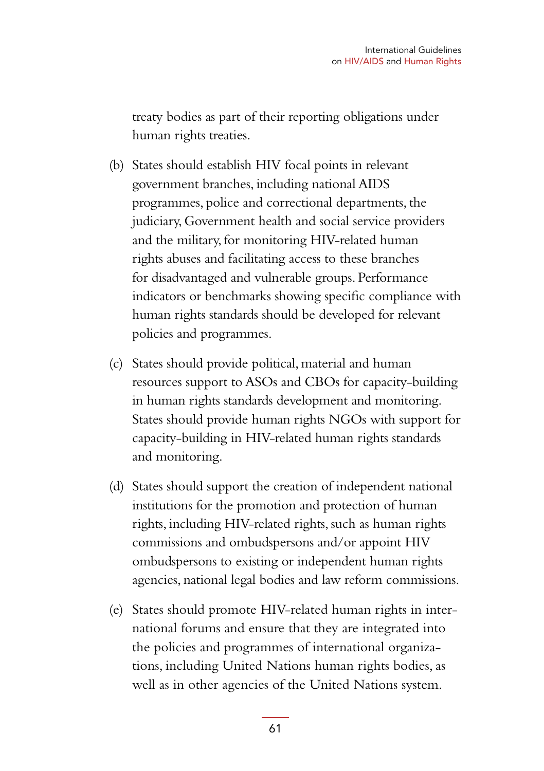treaty bodies as part of their reporting obligations under human rights treaties.

- (b) States should establish HIV focal points in relevant government branches, including national AIDS programmes, police and correctional departments, the judiciary, Government health and social service providers and the military, for monitoring HIV-related human rights abuses and facilitating access to these branches for disadvantaged and vulnerable groups. Performance indicators or benchmarks showing specific compliance with human rights standards should be developed for relevant policies and programmes.
- (c) States should provide political, material and human resources support to ASOs and CBOs for capacity-building in human rights standards development and monitoring. States should provide human rights NGOs with support for capacity-building in HIV-related human rights standards and monitoring.
- (d) States should support the creation of independent national institutions for the promotion and protection of human rights, including HIV-related rights, such as human rights commissions and ombudspersons and/or appoint HIV ombudspersons to existing or independent human rights agencies, national legal bodies and law reform commissions.
- (e) States should promote HIV-related human rights in international forums and ensure that they are integrated into the policies and programmes of international organizations, including United Nations human rights bodies, as well as in other agencies of the United Nations system.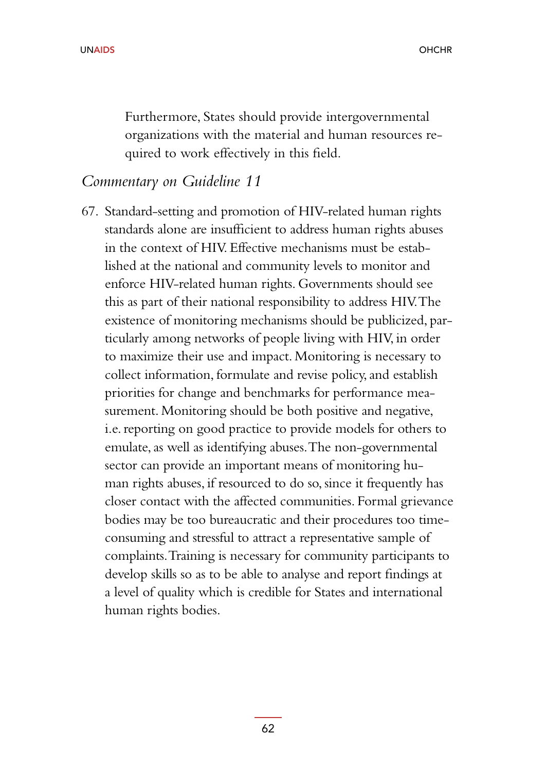Furthermore, States should provide intergovernmental organizations with the material and human resources required to work effectively in this field.

#### *Commentary on Guideline 11*

67. Standard-setting and promotion of HIV-related human rights standards alone are insufficient to address human rights abuses in the context of HIV. Effective mechanisms must be established at the national and community levels to monitor and enforce HIV-related human rights. Governments should see this as part of their national responsibility to address HIV. The existence of monitoring mechanisms should be publicized, particularly among networks of people living with HIV, in order to maximize their use and impact. Monitoring is necessary to collect information, formulate and revise policy, and establish priorities for change and benchmarks for performance measurement. Monitoring should be both positive and negative, i.e. reporting on good practice to provide models for others to emulate, as well as identifying abuses. The non-governmental sector can provide an important means of monitoring human rights abuses, if resourced to do so, since it frequently has closer contact with the affected communities. Formal grievance bodies may be too bureaucratic and their procedures too timeconsuming and stressful to attract a representative sample of complaints. Training is necessary for community participants to develop skills so as to be able to analyse and report findings at a level of quality which is credible for States and international human rights bodies.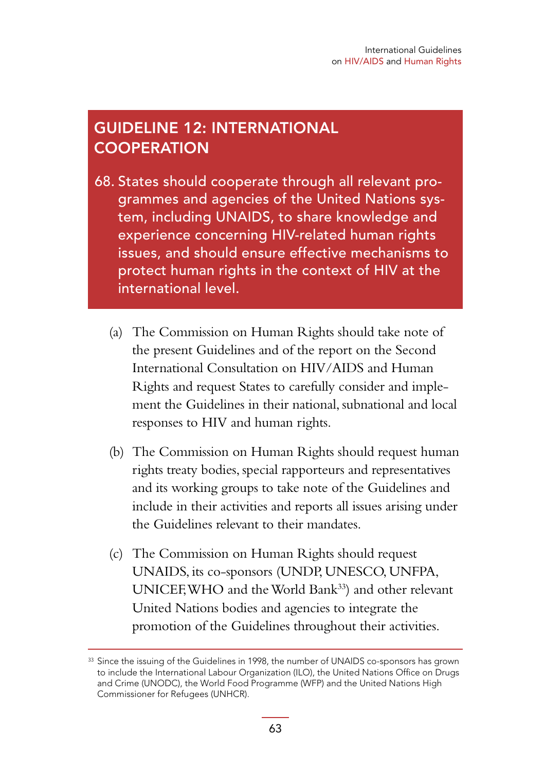# GUIDELINE 12: INTERNATIONAL **COOPERATION**

- 68. States should cooperate through all relevant programmes and agencies of the United Nations system, including UNAIDS, to share knowledge and experience concerning HIV-related human rights issues, and should ensure effective mechanisms to protect human rights in the context of HIV at the international level.
	- (a) The Commission on Human Rights should take note of the present Guidelines and of the report on the Second International Consultation on HIV/AIDS and Human Rights and request States to carefully consider and implement the Guidelines in their national, subnational and local responses to HIV and human rights.
	- (b) The Commission on Human Rights should request human rights treaty bodies, special rapporteurs and representatives and its working groups to take note of the Guidelines and include in their activities and reports all issues arising under the Guidelines relevant to their mandates.
	- (c) The Commission on Human Rights should request UNAIDS, its co-sponsors (UNDP, UNESCO, UNFPA, UNICEF, WHO and the World Bank<sup>33</sup>) and other relevant United Nations bodies and agencies to integrate the promotion of the Guidelines throughout their activities.

<sup>33</sup> Since the issuing of the Guidelines in 1998, the number of UNAIDS co-sponsors has grown to include the International Labour Organization (ILO), the United Nations Office on Drugs and Crime (UNODC), the World Food Programme (WFP) and the United Nations High Commissioner for Refugees (UNHCR).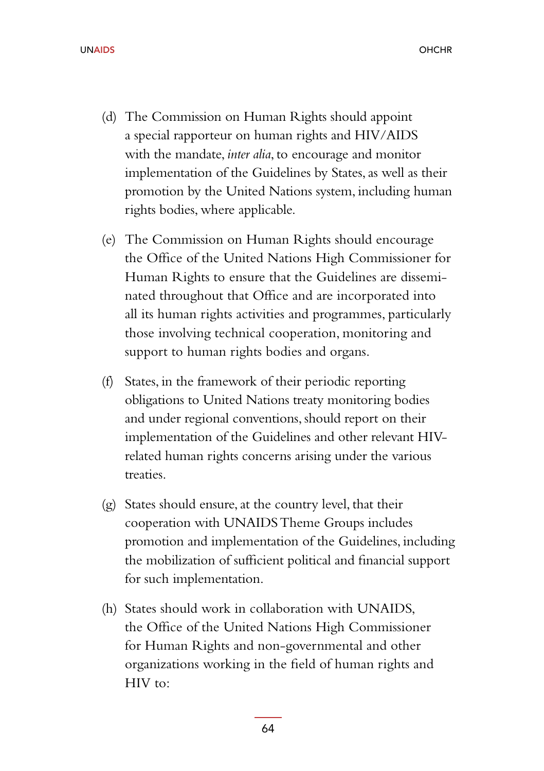- (d) The Commission on Human Rights should appoint a special rapporteur on human rights and HIV/AIDS with the mandate, *inter alia*, to encourage and monitor implementation of the Guidelines by States, as well as their promotion by the United Nations system, including human rights bodies, where applicable.
- (e) The Commission on Human Rights should encourage the Office of the United Nations High Commissioner for Human Rights to ensure that the Guidelines are disseminated throughout that Office and are incorporated into all its human rights activities and programmes, particularly those involving technical cooperation, monitoring and support to human rights bodies and organs.
- (f) States, in the framework of their periodic reporting obligations to United Nations treaty monitoring bodies and under regional conventions, should report on their implementation of the Guidelines and other relevant HIVrelated human rights concerns arising under the various treaties.
- (g) States should ensure, at the country level, that their cooperation with UNAIDS Theme Groups includes promotion and implementation of the Guidelines, including the mobilization of sufficient political and financial support for such implementation.
- (h) States should work in collaboration with UNAIDS, the Office of the United Nations High Commissioner for Human Rights and non-governmental and other organizations working in the field of human rights and HIV to: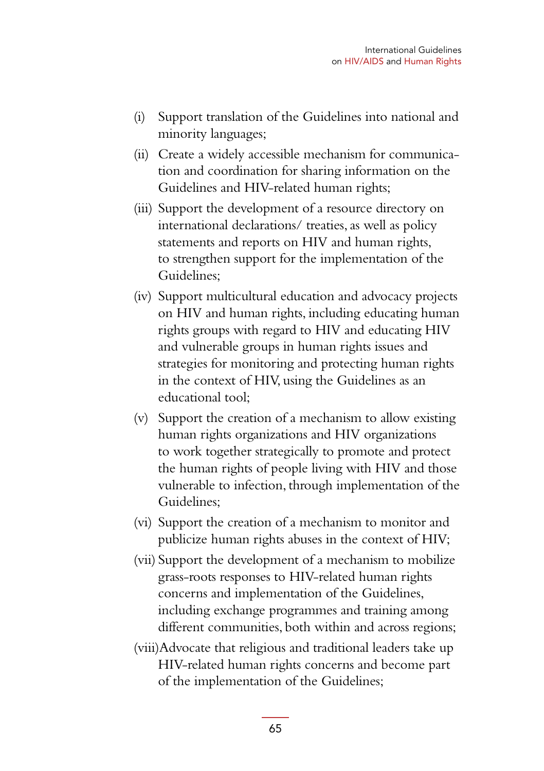- (i) Support translation of the Guidelines into national and minority languages;
- (ii) Create a widely accessible mechanism for communication and coordination for sharing information on the Guidelines and HIV-related human rights;
- (iii) Support the development of a resource directory on international declarations/ treaties, as well as policy statements and reports on HIV and human rights, to strengthen support for the implementation of the Guidelines;
- (iv) Support multicultural education and advocacy projects on HIV and human rights, including educating human rights groups with regard to HIV and educating HIV and vulnerable groups in human rights issues and strategies for monitoring and protecting human rights in the context of HIV, using the Guidelines as an educational tool;
- (v) Support the creation of a mechanism to allow existing human rights organizations and HIV organizations to work together strategically to promote and protect the human rights of people living with HIV and those vulnerable to infection, through implementation of the Guidelines;
- (vi) Support the creation of a mechanism to monitor and publicize human rights abuses in the context of HIV;
- (vii) Support the development of a mechanism to mobilize grass-roots responses to HIV-related human rights concerns and implementation of the Guidelines, including exchange programmes and training among different communities, both within and across regions;
- (viii)Advocate that religious and traditional leaders take up HIV-related human rights concerns and become part of the implementation of the Guidelines;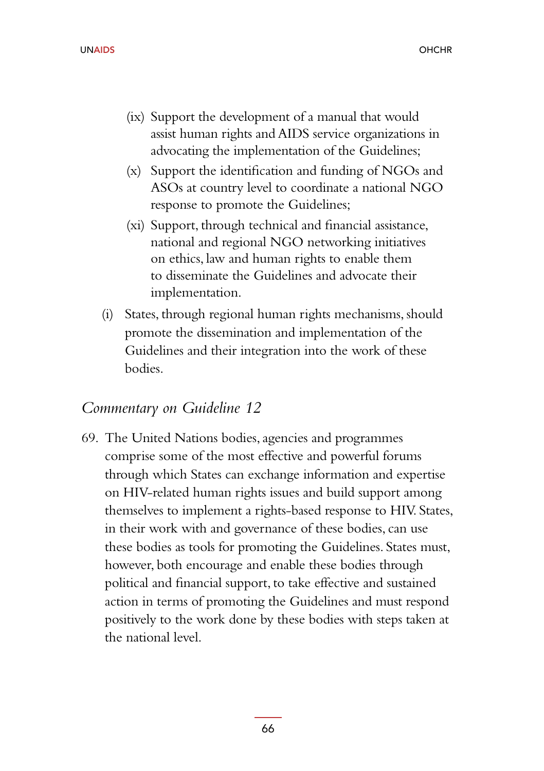- (ix) Support the development of a manual that would assist human rights and AIDS service organizations in advocating the implementation of the Guidelines;
- (x) Support the identification and funding of NGOs and ASOs at country level to coordinate a national NGO response to promote the Guidelines;
- (xi) Support, through technical and financial assistance, national and regional NGO networking initiatives on ethics, law and human rights to enable them to disseminate the Guidelines and advocate their implementation.
- (i) States, through regional human rights mechanisms, should promote the dissemination and implementation of the Guidelines and their integration into the work of these bodies.

#### *Commentary on Guideline 12*

69. The United Nations bodies, agencies and programmes comprise some of the most effective and powerful forums through which States can exchange information and expertise on HIV-related human rights issues and build support among themselves to implement a rights-based response to HIV. States, in their work with and governance of these bodies, can use these bodies as tools for promoting the Guidelines. States must, however, both encourage and enable these bodies through political and financial support, to take effective and sustained action in terms of promoting the Guidelines and must respond positively to the work done by these bodies with steps taken at the national level.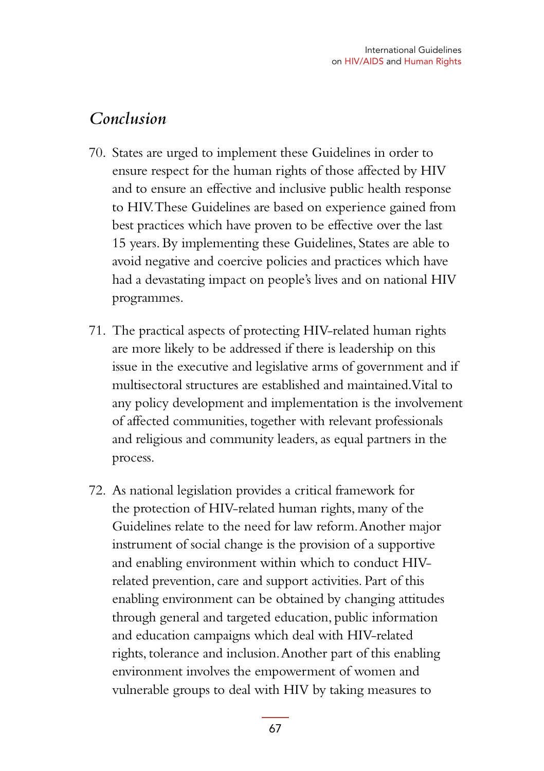### *Conclusion*

- 70. States are urged to implement these Guidelines in order to ensure respect for the human rights of those affected by HIV and to ensure an effective and inclusive public health response to HIV. These Guidelines are based on experience gained from best practices which have proven to be effective over the last 15 years. By implementing these Guidelines, States are able to avoid negative and coercive policies and practices which have had a devastating impact on people's lives and on national HIV programmes.
- 71. The practical aspects of protecting HIV-related human rights are more likely to be addressed if there is leadership on this issue in the executive and legislative arms of government and if multisectoral structures are established and maintained. Vital to any policy development and implementation is the involvement of affected communities, together with relevant professionals and religious and community leaders, as equal partners in the process.
- 72. As national legislation provides a critical framework for the protection of HIV-related human rights, many of the Guidelines relate to the need for law reform. Another major instrument of social change is the provision of a supportive and enabling environment within which to conduct HIVrelated prevention, care and support activities. Part of this enabling environment can be obtained by changing attitudes through general and targeted education, public information and education campaigns which deal with HIV-related rights, tolerance and inclusion. Another part of this enabling environment involves the empowerment of women and vulnerable groups to deal with HIV by taking measures to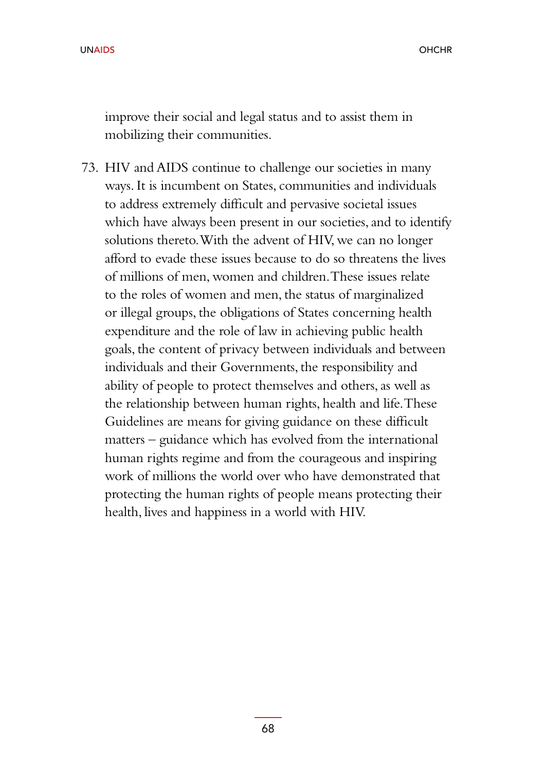improve their social and legal status and to assist them in mobilizing their communities.

73. HIV and AIDS continue to challenge our societies in many ways. It is incumbent on States, communities and individuals to address extremely difficult and pervasive societal issues which have always been present in our societies, and to identify solutions thereto. With the advent of HIV, we can no longer afford to evade these issues because to do so threatens the lives of millions of men, women and children. These issues relate to the roles of women and men, the status of marginalized or illegal groups, the obligations of States concerning health expenditure and the role of law in achieving public health goals, the content of privacy between individuals and between individuals and their Governments, the responsibility and ability of people to protect themselves and others, as well as the relationship between human rights, health and life. These Guidelines are means for giving guidance on these difficult matters – guidance which has evolved from the international human rights regime and from the courageous and inspiring work of millions the world over who have demonstrated that protecting the human rights of people means protecting their health, lives and happiness in a world with HIV.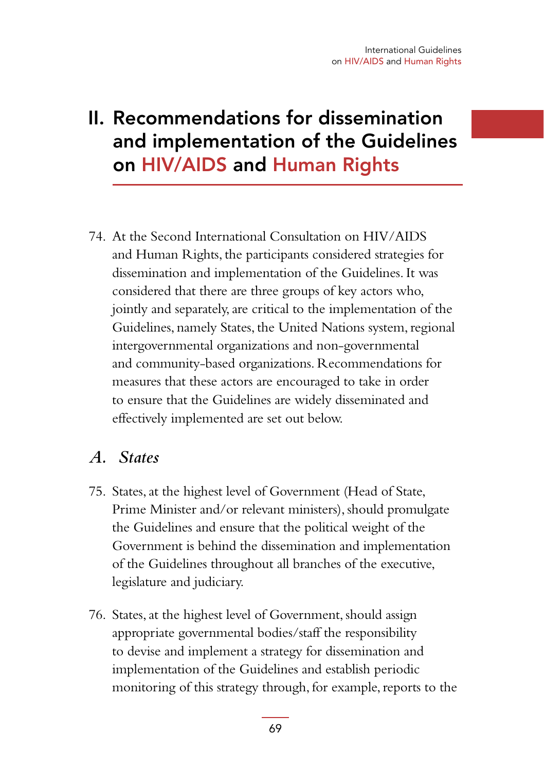# II. Recommendations for dissemination and implementation of the Guidelines on HIV/AIDS and Human Rights

74. At the Second International Consultation on HIV/AIDS and Human Rights, the participants considered strategies for dissemination and implementation of the Guidelines. It was considered that there are three groups of key actors who, jointly and separately, are critical to the implementation of the Guidelines, namely States, the United Nations system, regional intergovernmental organizations and non-governmental and community-based organizations. Recommendations for measures that these actors are encouraged to take in order to ensure that the Guidelines are widely disseminated and effectively implemented are set out below.

### *A. States*

- 75. States, at the highest level of Government (Head of State, Prime Minister and/or relevant ministers), should promulgate the Guidelines and ensure that the political weight of the Government is behind the dissemination and implementation of the Guidelines throughout all branches of the executive, legislature and judiciary.
- 76. States, at the highest level of Government, should assign appropriate governmental bodies/staff the responsibility to devise and implement a strategy for dissemination and implementation of the Guidelines and establish periodic monitoring of this strategy through, for example, reports to the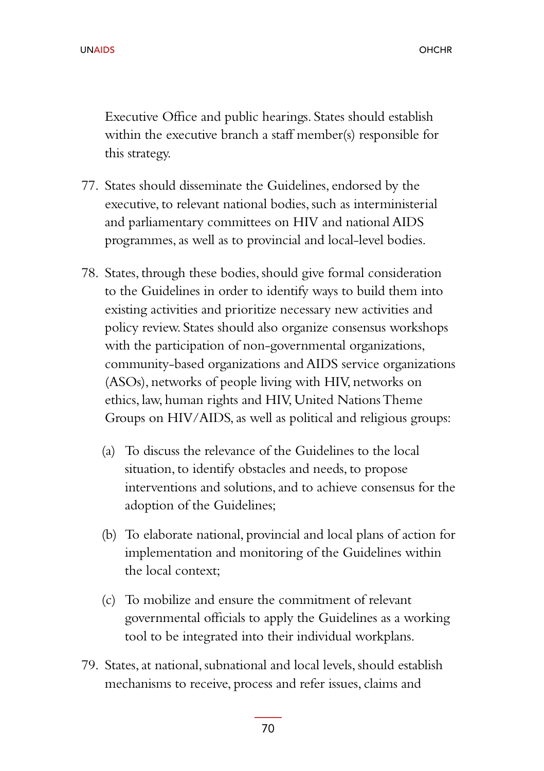Executive Office and public hearings. States should establish within the executive branch a staff member(s) responsible for this strategy.

- 77. States should disseminate the Guidelines, endorsed by the executive, to relevant national bodies, such as interministerial and parliamentary committees on HIV and national AIDS programmes, as well as to provincial and local-level bodies.
- 78. States, through these bodies, should give formal consideration to the Guidelines in order to identify ways to build them into existing activities and prioritize necessary new activities and policy review. States should also organize consensus workshops with the participation of non-governmental organizations, community-based organizations and AIDS service organizations (ASOs), networks of people living with HIV, networks on ethics, law, human rights and HIV, United Nations Theme Groups on HIV/AIDS, as well as political and religious groups:
	- (a) To discuss the relevance of the Guidelines to the local situation, to identify obstacles and needs, to propose interventions and solutions, and to achieve consensus for the adoption of the Guidelines;
	- (b) To elaborate national, provincial and local plans of action for implementation and monitoring of the Guidelines within the local context;
	- (c) To mobilize and ensure the commitment of relevant governmental officials to apply the Guidelines as a working tool to be integrated into their individual workplans.
- 79. States, at national, subnational and local levels, should establish mechanisms to receive, process and refer issues, claims and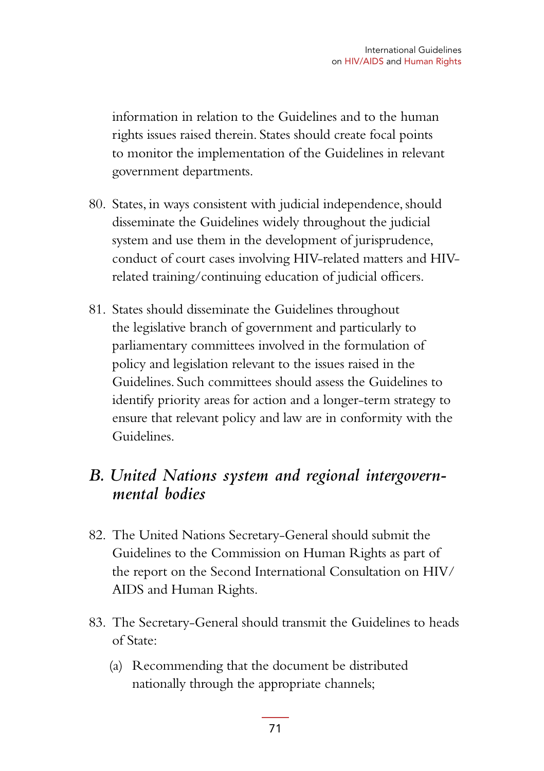information in relation to the Guidelines and to the human rights issues raised therein. States should create focal points to monitor the implementation of the Guidelines in relevant government departments.

- 80. States, in ways consistent with judicial independence, should disseminate the Guidelines widely throughout the judicial system and use them in the development of jurisprudence, conduct of court cases involving HIV-related matters and HIVrelated training/continuing education of judicial officers.
- 81. States should disseminate the Guidelines throughout the legislative branch of government and particularly to parliamentary committees involved in the formulation of policy and legislation relevant to the issues raised in the Guidelines. Such committees should assess the Guidelines to identify priority areas for action and a longer-term strategy to ensure that relevant policy and law are in conformity with the Guidelines.

# *B. United Nations system and regional intergovernmental bodies*

- 82. The United Nations Secretary-General should submit the Guidelines to the Commission on Human Rights as part of the report on the Second International Consultation on HIV/ AIDS and Human Rights.
- 83. The Secretary-General should transmit the Guidelines to heads of State:
	- (a) Recommending that the document be distributed nationally through the appropriate channels;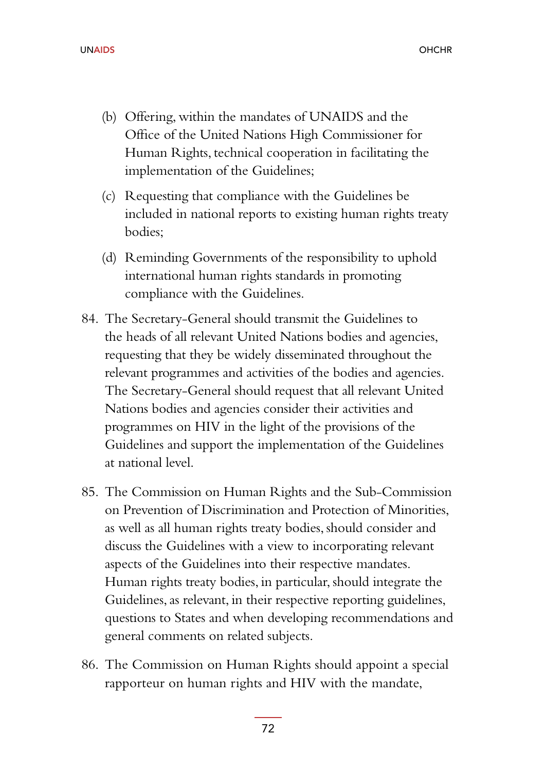- (b) Offering, within the mandates of UNAIDS and the Office of the United Nations High Commissioner for Human Rights, technical cooperation in facilitating the implementation of the Guidelines;
- (c) Requesting that compliance with the Guidelines be included in national reports to existing human rights treaty bodies;
- (d) Reminding Governments of the responsibility to uphold international human rights standards in promoting compliance with the Guidelines.
- 84. The Secretary-General should transmit the Guidelines to the heads of all relevant United Nations bodies and agencies, requesting that they be widely disseminated throughout the relevant programmes and activities of the bodies and agencies. The Secretary-General should request that all relevant United Nations bodies and agencies consider their activities and programmes on HIV in the light of the provisions of the Guidelines and support the implementation of the Guidelines at national level.
- 85. The Commission on Human Rights and the Sub-Commission on Prevention of Discrimination and Protection of Minorities, as well as all human rights treaty bodies, should consider and discuss the Guidelines with a view to incorporating relevant aspects of the Guidelines into their respective mandates. Human rights treaty bodies, in particular, should integrate the Guidelines, as relevant, in their respective reporting guidelines, questions to States and when developing recommendations and general comments on related subjects.
- 86. The Commission on Human Rights should appoint a special rapporteur on human rights and HIV with the mandate,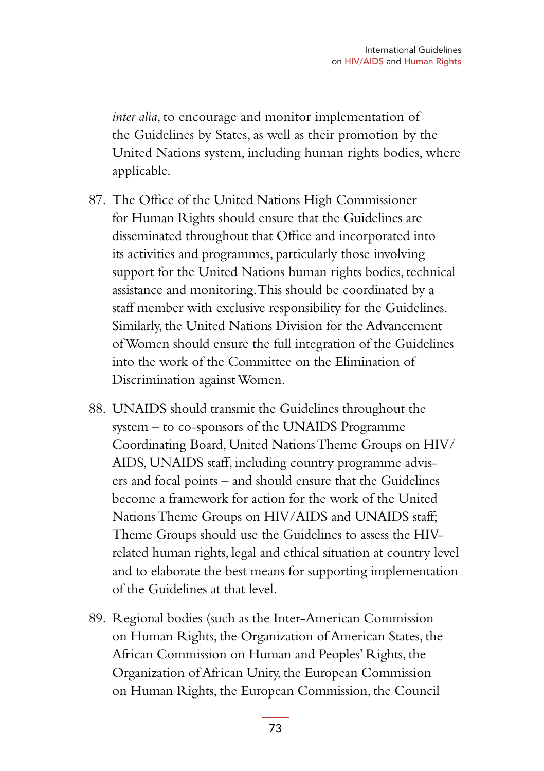*inter alia*, to encourage and monitor implementation of the Guidelines by States, as well as their promotion by the United Nations system, including human rights bodies, where applicable.

- 87. The Office of the United Nations High Commissioner for Human Rights should ensure that the Guidelines are disseminated throughout that Office and incorporated into its activities and programmes, particularly those involving support for the United Nations human rights bodies, technical assistance and monitoring. This should be coordinated by a staff member with exclusive responsibility for the Guidelines. Similarly, the United Nations Division for the Advancement of Women should ensure the full integration of the Guidelines into the work of the Committee on the Elimination of Discrimination against Women.
- 88. UNAIDS should transmit the Guidelines throughout the system – to co-sponsors of the UNAIDS Programme Coordinating Board, United Nations Theme Groups on HIV/ AIDS, UNAIDS staff, including country programme advisers and focal points – and should ensure that the Guidelines become a framework for action for the work of the United Nations Theme Groups on HIV/AIDS and UNAIDS staff; Theme Groups should use the Guidelines to assess the HIVrelated human rights, legal and ethical situation at country level and to elaborate the best means for supporting implementation of the Guidelines at that level.
- 89. Regional bodies (such as the Inter-American Commission on Human Rights, the Organization of American States, the African Commission on Human and Peoples' Rights, the Organization of African Unity, the European Commission on Human Rights, the European Commission, the Council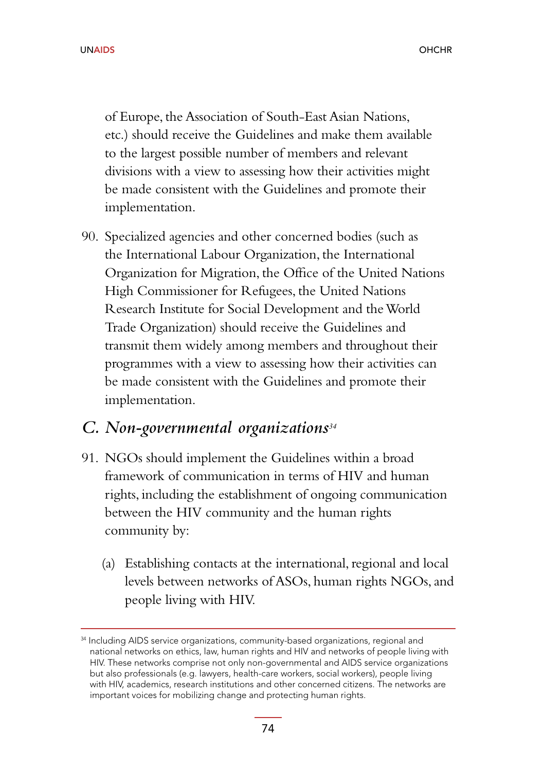of Europe, the Association of South-East Asian Nations, etc.) should receive the Guidelines and make them available to the largest possible number of members and relevant divisions with a view to assessing how their activities might be made consistent with the Guidelines and promote their implementation.

90. Specialized agencies and other concerned bodies (such as the International Labour Organization, the International Organization for Migration, the Office of the United Nations High Commissioner for Refugees, the United Nations Research Institute for Social Development and the World Trade Organization) should receive the Guidelines and transmit them widely among members and throughout their programmes with a view to assessing how their activities can be made consistent with the Guidelines and promote their implementation.

# *C. Non-governmental organizations<sup>34</sup>*

- 91. NGOs should implement the Guidelines within a broad framework of communication in terms of HIV and human rights, including the establishment of ongoing communication between the HIV community and the human rights community by:
	- (a) Establishing contacts at the international, regional and local levels between networks of ASOs, human rights NGOs, and people living with HIV.

<sup>&</sup>lt;sup>34</sup> Including AIDS service organizations, community-based organizations, regional and national networks on ethics, law, human rights and HIV and networks of people living with HIV. These networks comprise not only non-governmental and AIDS service organizations but also professionals (e.g. lawyers, health-care workers, social workers), people living with HIV, academics, research institutions and other concerned citizens. The networks are important voices for mobilizing change and protecting human rights.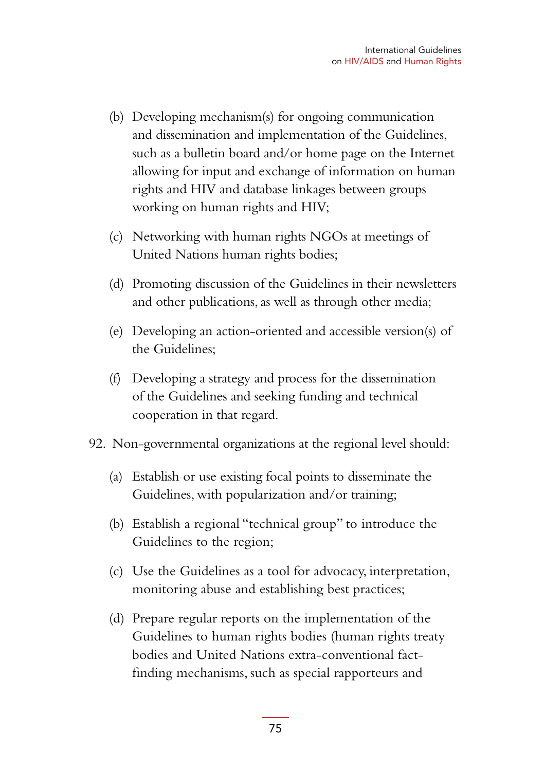- (b) Developing mechanism(s) for ongoing communication and dissemination and implementation of the Guidelines, such as a bulletin board and/or home page on the Internet allowing for input and exchange of information on human rights and HIV and database linkages between groups working on human rights and HIV;
- (c) Networking with human rights NGOs at meetings of United Nations human rights bodies;
- (d) Promoting discussion of the Guidelines in their newsletters and other publications, as well as through other media;
- (e) Developing an action-oriented and accessible version(s) of the Guidelines;
- (f) Developing a strategy and process for the dissemination of the Guidelines and seeking funding and technical cooperation in that regard.
- 92. Non-governmental organizations at the regional level should:
	- (a) Establish or use existing focal points to disseminate the Guidelines, with popularization and/or training;
	- (b) Establish a regional "technical group" to introduce the Guidelines to the region;
	- (c) Use the Guidelines as a tool for advocacy, interpretation, monitoring abuse and establishing best practices;
	- (d) Prepare regular reports on the implementation of the Guidelines to human rights bodies (human rights treaty bodies and United Nations extra-conventional factfinding mechanisms, such as special rapporteurs and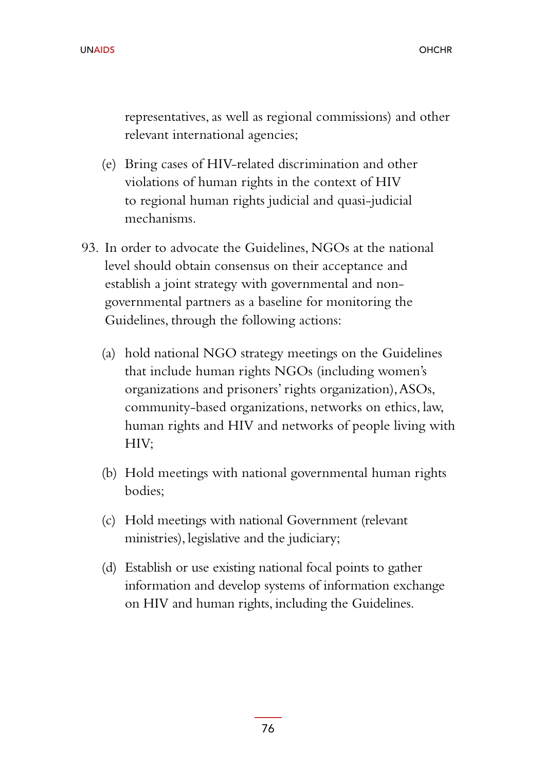representatives, as well as regional commissions) and other relevant international agencies;

- (e) Bring cases of HIV-related discrimination and other violations of human rights in the context of HIV to regional human rights judicial and quasi-judicial mechanisms.
- 93. In order to advocate the Guidelines, NGOs at the national level should obtain consensus on their acceptance and establish a joint strategy with governmental and nongovernmental partners as a baseline for monitoring the Guidelines, through the following actions:
	- (a) hold national NGO strategy meetings on the Guidelines that include human rights NGOs (including women's organizations and prisoners' rights organization), ASOs, community-based organizations, networks on ethics, law, human rights and HIV and networks of people living with HIV;
	- (b) Hold meetings with national governmental human rights bodies;
	- (c) Hold meetings with national Government (relevant ministries), legislative and the judiciary;
	- (d) Establish or use existing national focal points to gather information and develop systems of information exchange on HIV and human rights, including the Guidelines.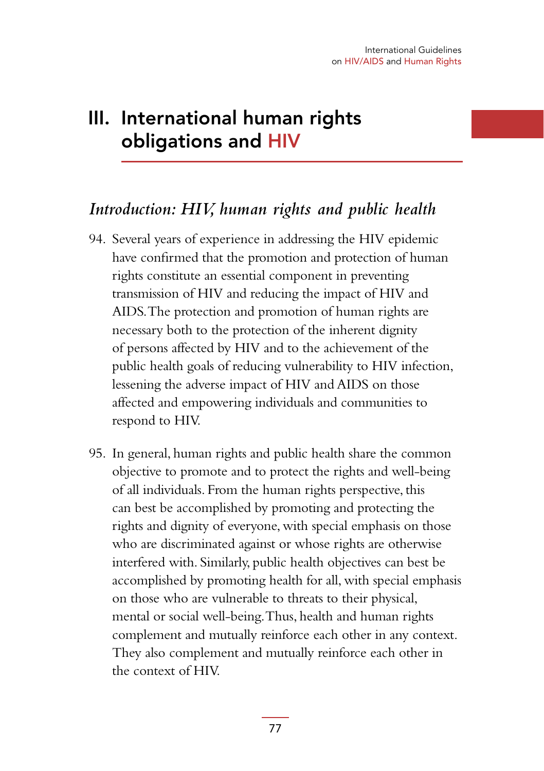# III. International human rights obligations and HIV

# *Introduction: HIV, human rights and public health*

- 94. Several years of experience in addressing the HIV epidemic have confirmed that the promotion and protection of human rights constitute an essential component in preventing transmission of HIV and reducing the impact of HIV and AIDS. The protection and promotion of human rights are necessary both to the protection of the inherent dignity of persons affected by HIV and to the achievement of the public health goals of reducing vulnerability to HIV infection, lessening the adverse impact of HIV and AIDS on those affected and empowering individuals and communities to respond to HIV.
- 95. In general, human rights and public health share the common objective to promote and to protect the rights and well-being of all individuals. From the human rights perspective, this can best be accomplished by promoting and protecting the rights and dignity of everyone, with special emphasis on those who are discriminated against or whose rights are otherwise interfered with. Similarly, public health objectives can best be accomplished by promoting health for all, with special emphasis on those who are vulnerable to threats to their physical, mental or social well-being. Thus, health and human rights complement and mutually reinforce each other in any context. They also complement and mutually reinforce each other in the context of HIV.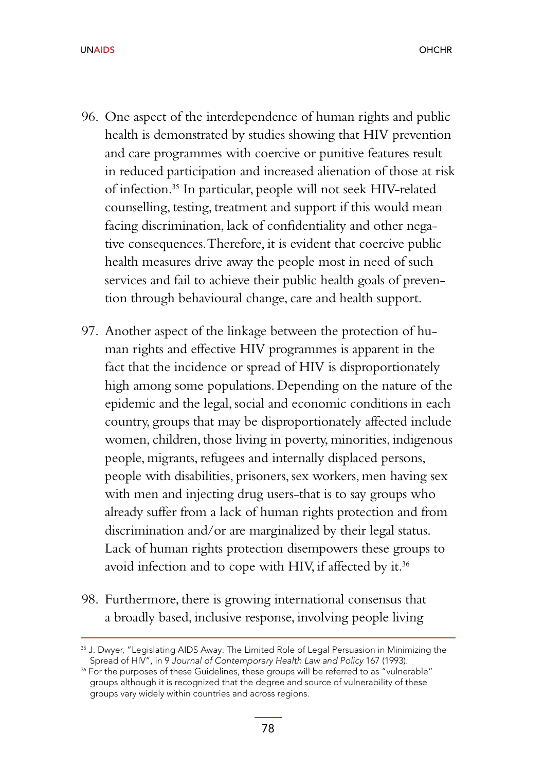- 96. One aspect of the interdependence of human rights and public health is demonstrated by studies showing that HIV prevention and care programmes with coercive or punitive features result in reduced participation and increased alienation of those at risk of infection.35 In particular, people will not seek HIV-related counselling, testing, treatment and support if this would mean facing discrimination, lack of confidentiality and other negative consequences. Therefore, it is evident that coercive public health measures drive away the people most in need of such services and fail to achieve their public health goals of prevention through behavioural change, care and health support.
- 97. Another aspect of the linkage between the protection of human rights and effective HIV programmes is apparent in the fact that the incidence or spread of HIV is disproportionately high among some populations. Depending on the nature of the epidemic and the legal, social and economic conditions in each country, groups that may be disproportionately affected include women, children, those living in poverty, minorities, indigenous people, migrants, refugees and internally displaced persons, people with disabilities, prisoners, sex workers, men having sex with men and injecting drug users-that is to say groups who already suffer from a lack of human rights protection and from discrimination and/or are marginalized by their legal status. Lack of human rights protection disempowers these groups to avoid infection and to cope with HIV, if affected by it.<sup>36</sup>
- 98. Furthermore, there is growing international consensus that a broadly based, inclusive response, involving people living

<sup>35</sup> J. Dwyer, "Legislating AIDS Away: The Limited Role of Legal Persuasion in Minimizing the Spread of HIV", in 9 Journal of Contemporary Health Law and Policy 167 (1993).

<sup>&</sup>lt;sup>36</sup> For the purposes of these Guidelines, these groups will be referred to as "vulnerable" groups although it is recognized that the degree and source of vulnerability of these groups vary widely within countries and across regions.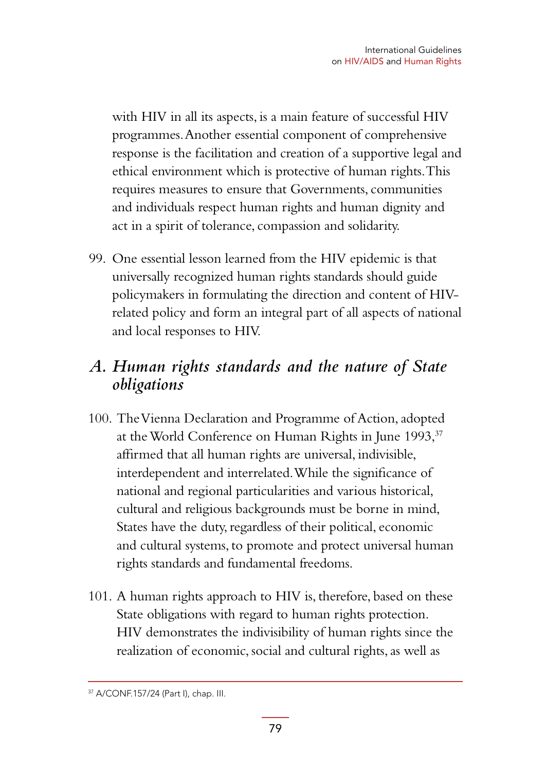with HIV in all its aspects, is a main feature of successful HIV programmes. Another essential component of comprehensive response is the facilitation and creation of a supportive legal and ethical environment which is protective of human rights. This requires measures to ensure that Governments, communities and individuals respect human rights and human dignity and act in a spirit of tolerance, compassion and solidarity.

99. One essential lesson learned from the HIV epidemic is that universally recognized human rights standards should guide policymakers in formulating the direction and content of HIVrelated policy and form an integral part of all aspects of national and local responses to HIV.

# *A. Human rights standards and the nature of State obligations*

- 100. The Vienna Declaration and Programme of Action, adopted at the World Conference on Human Rights in June 1993,<sup>37</sup> affirmed that all human rights are universal, indivisible, interdependent and interrelated. While the significance of national and regional particularities and various historical, cultural and religious backgrounds must be borne in mind, States have the duty, regardless of their political, economic and cultural systems, to promote and protect universal human rights standards and fundamental freedoms.
- 101. A human rights approach to HIV is, therefore, based on these State obligations with regard to human rights protection. HIV demonstrates the indivisibility of human rights since the realization of economic, social and cultural rights, as well as

<sup>37</sup> A/CONF.157/24 (Part I), chap. III.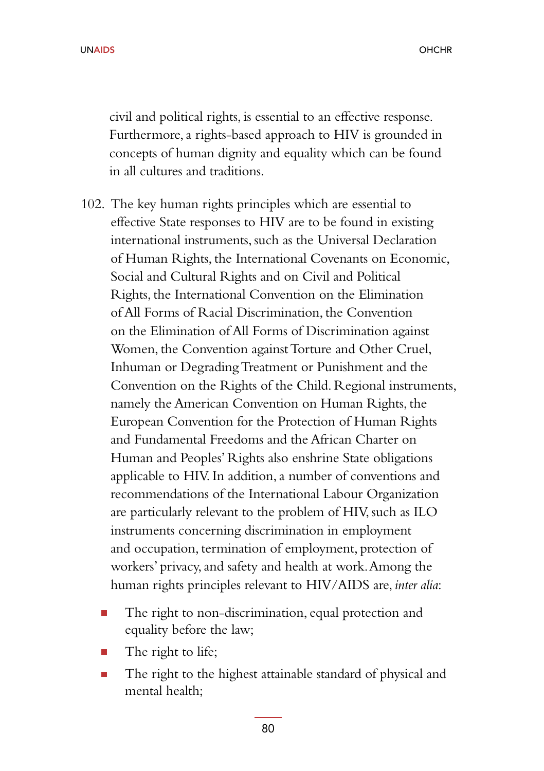civil and political rights, is essential to an effective response. Furthermore, a rights-based approach to HIV is grounded in concepts of human dignity and equality which can be found in all cultures and traditions.

- 102. The key human rights principles which are essential to effective State responses to HIV are to be found in existing international instruments, such as the Universal Declaration of Human Rights, the International Covenants on Economic, Social and Cultural Rights and on Civil and Political Rights, the International Convention on the Elimination of All Forms of Racial Discrimination, the Convention on the Elimination of All Forms of Discrimination against Women, the Convention against Torture and Other Cruel, Inhuman or Degrading Treatment or Punishment and the Convention on the Rights of the Child. Regional instruments, namely the American Convention on Human Rights, the European Convention for the Protection of Human Rights and Fundamental Freedoms and the African Charter on Human and Peoples' Rights also enshrine State obligations applicable to HIV. In addition, a number of conventions and recommendations of the International Labour Organization are particularly relevant to the problem of HIV, such as ILO instruments concerning discrimination in employment and occupation, termination of employment, protection of workers' privacy, and safety and health at work. Among the human rights principles relevant to HIV/AIDS are, *inter alia*:
	- The right to non-discrimination, equal protection and equality before the law;
	- $\blacksquare$  The right to life;
	- **The right to the highest attainable standard of physical and** mental health;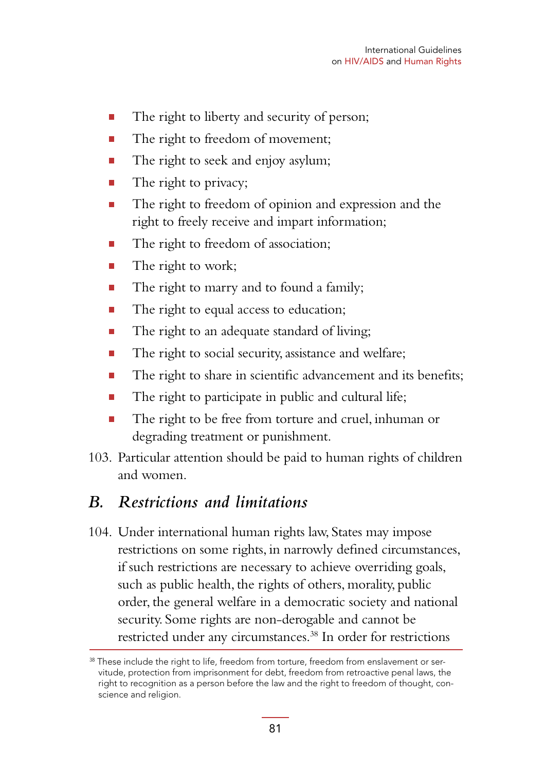- The right to liberty and security of person;
- The right to freedom of movement;
- The right to seek and enjoy asylum;
- $\blacksquare$  The right to privacy;
- The right to freedom of opinion and expression and the right to freely receive and impart information;
- The right to freedom of association;
- $\blacksquare$  The right to work;
- The right to marry and to found a family;
- The right to equal access to education;
- The right to an adequate standard of living;
- The right to social security, assistance and welfare;
- The right to share in scientific advancement and its benefits;
- The right to participate in public and cultural life;
- The right to be free from torture and cruel, inhuman or degrading treatment or punishment.
- 103. Particular attention should be paid to human rights of children and women.

### *B. Restrictions and limitations*

104. Under international human rights law, States may impose restrictions on some rights, in narrowly defined circumstances, if such restrictions are necessary to achieve overriding goals, such as public health, the rights of others, morality, public order, the general welfare in a democratic society and national security. Some rights are non-derogable and cannot be restricted under any circumstances.38 In order for restrictions

<sup>38</sup> These include the right to life, freedom from torture, freedom from enslavement or servitude, protection from imprisonment for debt, freedom from retroactive penal laws, the right to recognition as a person before the law and the right to freedom of thought, conscience and religion.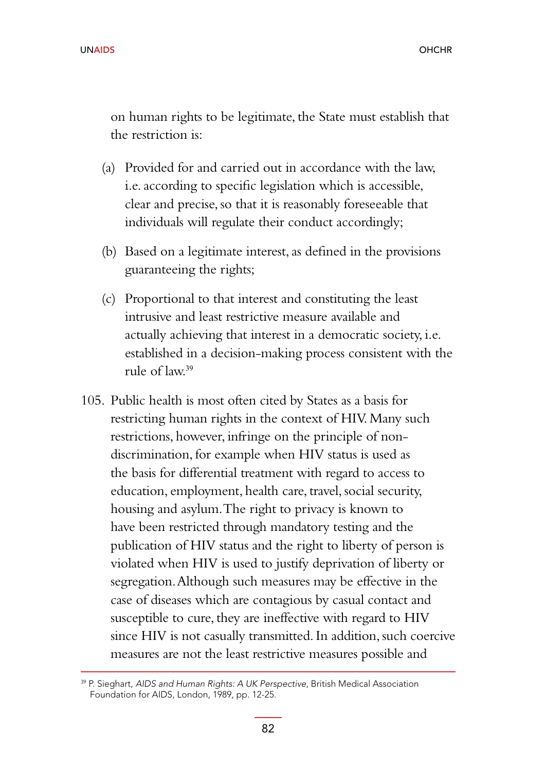on human rights to be legitimate, the State must establish that the restriction is:

- (a) Provided for and carried out in accordance with the law, i.e. according to specific legislation which is accessible, clear and precise, so that it is reasonably foreseeable that individuals will regulate their conduct accordingly;
- (b) Based on a legitimate interest, as defined in the provisions guaranteeing the rights;
- (c) Proportional to that interest and constituting the least intrusive and least restrictive measure available and actually achieving that interest in a democratic society, i.e. established in a decision-making process consistent with the rule of law.<sup>39</sup>
- 105. Public health is most often cited by States as a basis for restricting human rights in the context of HIV. Many such restrictions, however, infringe on the principle of nondiscrimination, for example when HIV status is used as the basis for differential treatment with regard to access to education, employment, health care, travel, social security, housing and asylum. The right to privacy is known to have been restricted through mandatory testing and the publication of HIV status and the right to liberty of person is violated when HIV is used to justify deprivation of liberty or segregation. Although such measures may be effective in the case of diseases which are contagious by casual contact and susceptible to cure, they are ineffective with regard to HIV since HIV is not casually transmitted. In addition, such coercive measures are not the least restrictive measures possible and

<sup>39</sup> P. Sieghart, AIDS and Human Rights: A UK Perspective, British Medical Association Foundation for AIDS, London, 1989, pp. 12-25.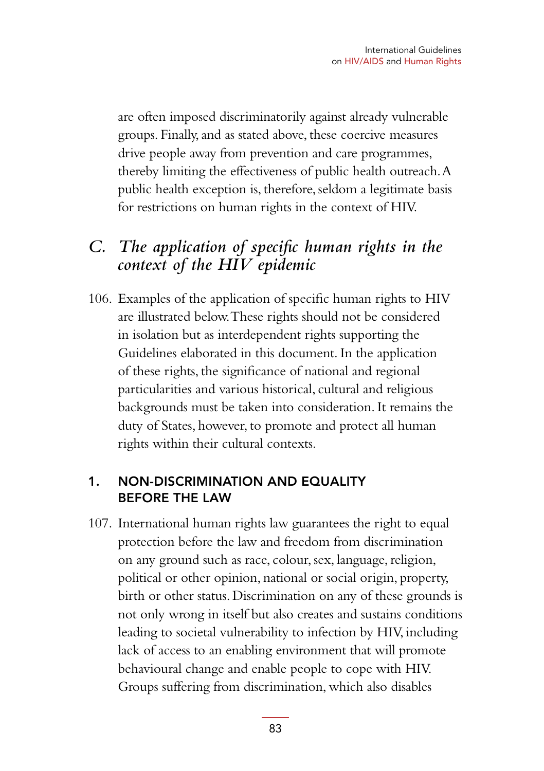are often imposed discriminatorily against already vulnerable groups. Finally, and as stated above, these coercive measures drive people away from prevention and care programmes, thereby limiting the effectiveness of public health outreach. A public health exception is, therefore, seldom a legitimate basis for restrictions on human rights in the context of HIV.

# *C. The application of specific human rights in the context of the HIV epidemic*

106. Examples of the application of specific human rights to HIV are illustrated below. These rights should not be considered in isolation but as interdependent rights supporting the Guidelines elaborated in this document. In the application of these rights, the significance of national and regional particularities and various historical, cultural and religious backgrounds must be taken into consideration. It remains the duty of States, however, to promote and protect all human rights within their cultural contexts.

### 1. NON-DISCRIMINATION AND EQUALITY BEFORE THE LAW

107. International human rights law guarantees the right to equal protection before the law and freedom from discrimination on any ground such as race, colour, sex, language, religion, political or other opinion, national or social origin, property, birth or other status. Discrimination on any of these grounds is not only wrong in itself but also creates and sustains conditions leading to societal vulnerability to infection by HIV, including lack of access to an enabling environment that will promote behavioural change and enable people to cope with HIV. Groups suffering from discrimination, which also disables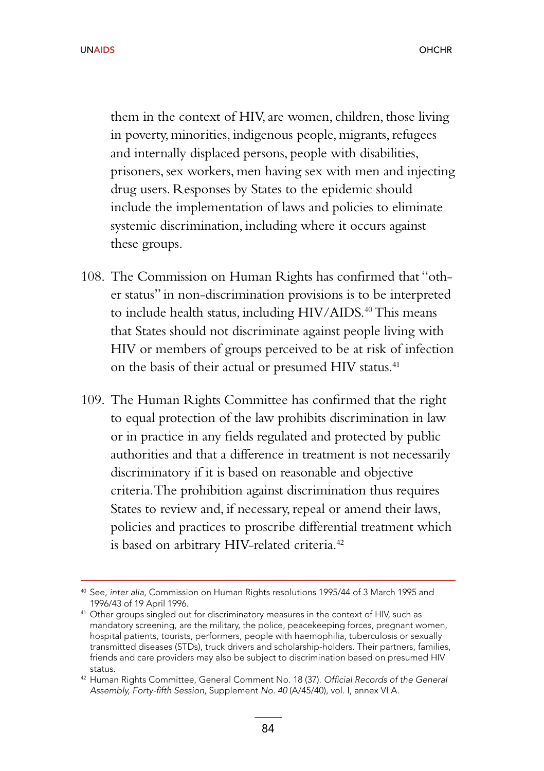them in the context of HIV, are women, children, those living in poverty, minorities, indigenous people, migrants, refugees and internally displaced persons, people with disabilities, prisoners, sex workers, men having sex with men and injecting drug users. Responses by States to the epidemic should include the implementation of laws and policies to eliminate systemic discrimination, including where it occurs against these groups.

- 108. The Commission on Human Rights has confirmed that "other status" in non-discrimination provisions is to be interpreted to include health status, including HIV/AIDS.<sup>40</sup> This means that States should not discriminate against people living with HIV or members of groups perceived to be at risk of infection on the basis of their actual or presumed HIV status.<sup>41</sup>
- 109. The Human Rights Committee has confirmed that the right to equal protection of the law prohibits discrimination in law or in practice in any fields regulated and protected by public authorities and that a difference in treatment is not necessarily discriminatory if it is based on reasonable and objective criteria. The prohibition against discrimination thus requires States to review and, if necessary, repeal or amend their laws, policies and practices to proscribe differential treatment which is based on arbitrary HIV-related criteria.<sup>42</sup>

<sup>40</sup> See, inter alia, Commission on Human Rights resolutions 1995/44 of 3 March 1995 and 1996/43 of 19 April 1996.<br><sup>41</sup> Other groups singled out for discriminatory measures in the context of HIV, such as

mandatory screening, are the military, the police, peacekeeping forces, pregnant women, hospital patients, tourists, performers, people with haemophilia, tuberculosis or sexually transmitted diseases (STDs), truck drivers and scholarship-holders. Their partners, families, friends and care providers may also be subject to discrimination based on presumed HIV status.

<sup>42</sup> Human Rights Committee, General Comment No. 18 (37). Official Records of the General Assembly, Forty-fifth Session, Supplement No. 40 (A/45/40), vol. I, annex VI A.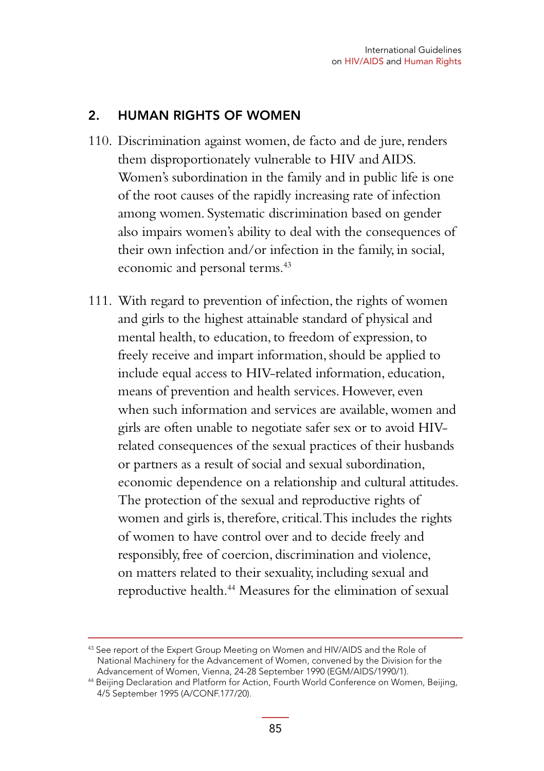### 2. HUMAN RIGHTS OF WOMEN

- 110. Discrimination against women, de facto and de jure, renders them disproportionately vulnerable to HIV and AIDS. Women's subordination in the family and in public life is one of the root causes of the rapidly increasing rate of infection among women. Systematic discrimination based on gender also impairs women's ability to deal with the consequences of their own infection and/or infection in the family, in social, economic and personal terms.<sup>43</sup>
- 111. With regard to prevention of infection, the rights of women and girls to the highest attainable standard of physical and mental health, to education, to freedom of expression, to freely receive and impart information, should be applied to include equal access to HIV-related information, education, means of prevention and health services. However, even when such information and services are available, women and girls are often unable to negotiate safer sex or to avoid HIVrelated consequences of the sexual practices of their husbands or partners as a result of social and sexual subordination, economic dependence on a relationship and cultural attitudes. The protection of the sexual and reproductive rights of women and girls is, therefore, critical. This includes the rights of women to have control over and to decide freely and responsibly, free of coercion, discrimination and violence, on matters related to their sexuality, including sexual and reproductive health.<sup>44</sup> Measures for the elimination of sexual

<sup>43</sup> See report of the Expert Group Meeting on Women and HIV/AIDS and the Role of National Machinery for the Advancement of Women, convened by the Division for the Advancement of Women, Vienna, 24-28 September 1990 (EGM/AIDS/1990/1).

<sup>44</sup> Beijing Declaration and Platform for Action, Fourth World Conference on Women, Beijing, 4/5 September 1995 (A/CONF.177/20).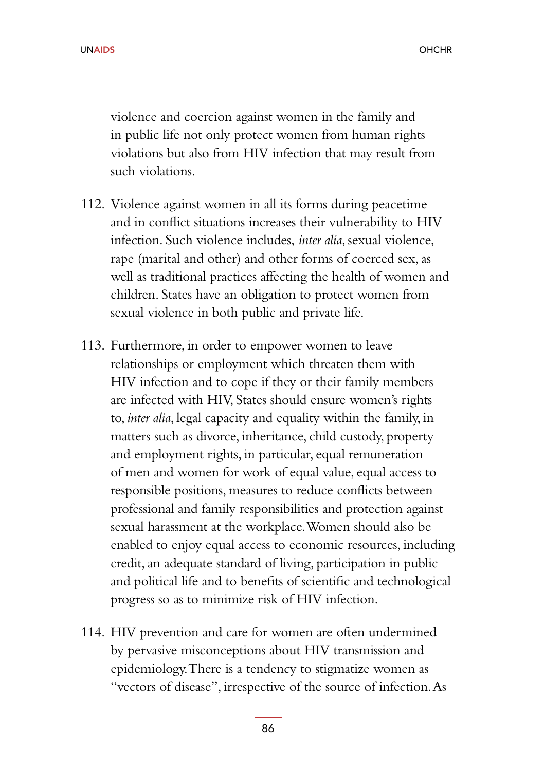violence and coercion against women in the family and in public life not only protect women from human rights violations but also from HIV infection that may result from such violations.

- 112. Violence against women in all its forms during peacetime and in conflict situations increases their vulnerability to HIV infection. Such violence includes, *inter alia*, sexual violence, rape (marital and other) and other forms of coerced sex, as well as traditional practices affecting the health of women and children. States have an obligation to protect women from sexual violence in both public and private life.
- 113. Furthermore, in order to empower women to leave relationships or employment which threaten them with HIV infection and to cope if they or their family members are infected with HIV, States should ensure women's rights to, *inter alia*, legal capacity and equality within the family, in matters such as divorce, inheritance, child custody, property and employment rights, in particular, equal remuneration of men and women for work of equal value, equal access to responsible positions, measures to reduce conflicts between professional and family responsibilities and protection against sexual harassment at the workplace. Women should also be enabled to enjoy equal access to economic resources, including credit, an adequate standard of living, participation in public and political life and to benefits of scientific and technological progress so as to minimize risk of HIV infection.
- 114. HIV prevention and care for women are often undermined by pervasive misconceptions about HIV transmission and epidemiology. There is a tendency to stigmatize women as "vectors of disease", irrespective of the source of infection. As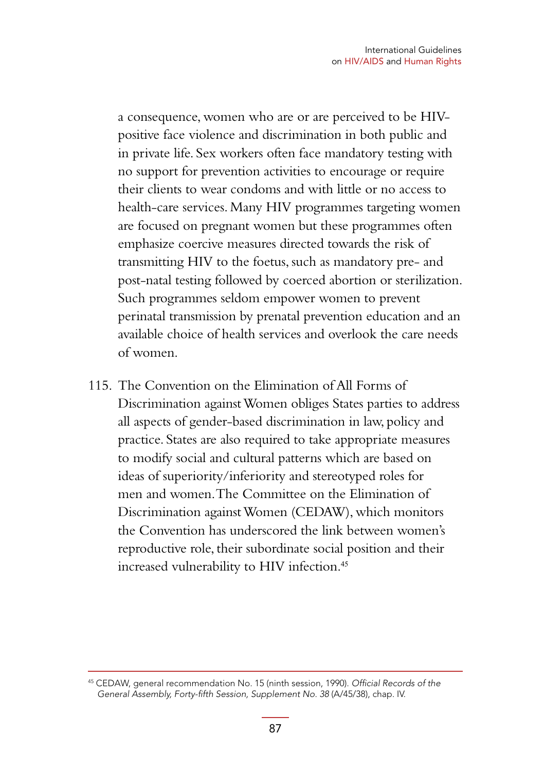a consequence, women who are or are perceived to be HIVpositive face violence and discrimination in both public and in private life. Sex workers often face mandatory testing with no support for prevention activities to encourage or require their clients to wear condoms and with little or no access to health-care services. Many HIV programmes targeting women are focused on pregnant women but these programmes often emphasize coercive measures directed towards the risk of transmitting HIV to the foetus, such as mandatory pre- and post-natal testing followed by coerced abortion or sterilization. Such programmes seldom empower women to prevent perinatal transmission by prenatal prevention education and an available choice of health services and overlook the care needs of women.

115. The Convention on the Elimination of All Forms of Discrimination against Women obliges States parties to address all aspects of gender-based discrimination in law, policy and practice. States are also required to take appropriate measures to modify social and cultural patterns which are based on ideas of superiority/inferiority and stereotyped roles for men and women. The Committee on the Elimination of Discrimination against Women (CEDAW), which monitors the Convention has underscored the link between women's reproductive role, their subordinate social position and their increased vulnerability to HIV infection.<sup>45</sup>

<sup>45</sup> CEDAW, general recommendation No. 15 (ninth session, 1990). Official Records of the General Assembly, Forty-fifth Session, Supplement No. 38 (A/45/38), chap. IV.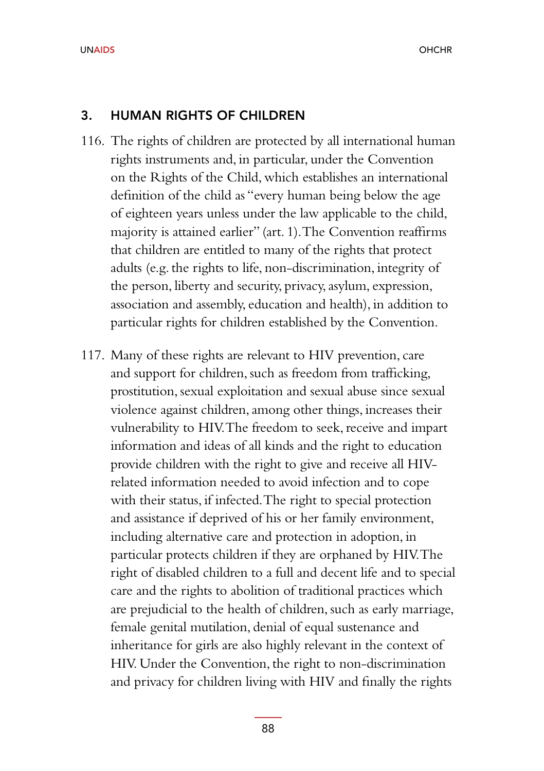#### 3. HUMAN RIGHTS OF CHILDREN

- 116. The rights of children are protected by all international human rights instruments and, in particular, under the Convention on the Rights of the Child, which establishes an international definition of the child as "every human being below the age of eighteen years unless under the law applicable to the child, majority is attained earlier" (art. 1). The Convention reaffirms that children are entitled to many of the rights that protect adults (e.g. the rights to life, non-discrimination, integrity of the person, liberty and security, privacy, asylum, expression, association and assembly, education and health), in addition to particular rights for children established by the Convention.
- 117. Many of these rights are relevant to HIV prevention, care and support for children, such as freedom from trafficking, prostitution, sexual exploitation and sexual abuse since sexual violence against children, among other things, increases their vulnerability to HIV. The freedom to seek, receive and impart information and ideas of all kinds and the right to education provide children with the right to give and receive all HIVrelated information needed to avoid infection and to cope with their status, if infected. The right to special protection and assistance if deprived of his or her family environment, including alternative care and protection in adoption, in particular protects children if they are orphaned by HIV. The right of disabled children to a full and decent life and to special care and the rights to abolition of traditional practices which are prejudicial to the health of children, such as early marriage, female genital mutilation, denial of equal sustenance and inheritance for girls are also highly relevant in the context of HIV. Under the Convention, the right to non-discrimination and privacy for children living with HIV and finally the rights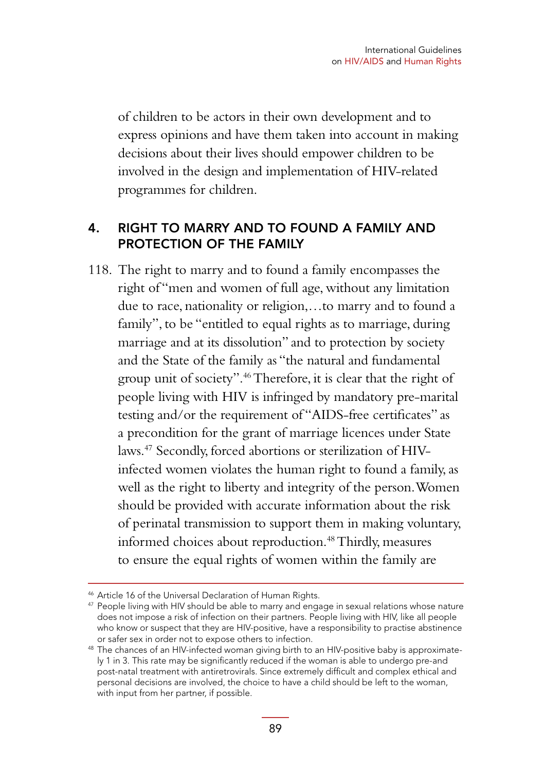of children to be actors in their own development and to express opinions and have them taken into account in making decisions about their lives should empower children to be involved in the design and implementation of HIV-related programmes for children.

### 4. RIGHT TO MARRY AND TO FOUND A FAMILY AND PROTECTION OF THE FAMILY

118. The right to marry and to found a family encompasses the right of "men and women of full age, without any limitation due to race, nationality or religion,…to marry and to found a family", to be "entitled to equal rights as to marriage, during marriage and at its dissolution" and to protection by society and the State of the family as "the natural and fundamental group unit of society".46 Therefore, it is clear that the right of people living with HIV is infringed by mandatory pre-marital testing and/or the requirement of "AIDS-free certificates" as a precondition for the grant of marriage licences under State laws.47 Secondly, forced abortions or sterilization of HIVinfected women violates the human right to found a family, as well as the right to liberty and integrity of the person. Women should be provided with accurate information about the risk of perinatal transmission to support them in making voluntary, informed choices about reproduction.<sup>48</sup> Thirdly, measures to ensure the equal rights of women within the family are

<sup>46</sup> Article 16 of the Universal Declaration of Human Rights.

<sup>&</sup>lt;sup>47</sup> People living with HIV should be able to marry and engage in sexual relations whose nature does not impose a risk of infection on their partners. People living with HIV, like all people who know or suspect that they are HIV-positive, have a responsibility to practise abstinence or safer sex in order not to expose others to infection.

<sup>48</sup> The chances of an HIV-infected woman giving birth to an HIV-positive baby is approximately 1 in 3. This rate may be significantly reduced if the woman is able to undergo pre-and post-natal treatment with antiretrovirals. Since extremely difficult and complex ethical and personal decisions are involved, the choice to have a child should be left to the woman, with input from her partner, if possible.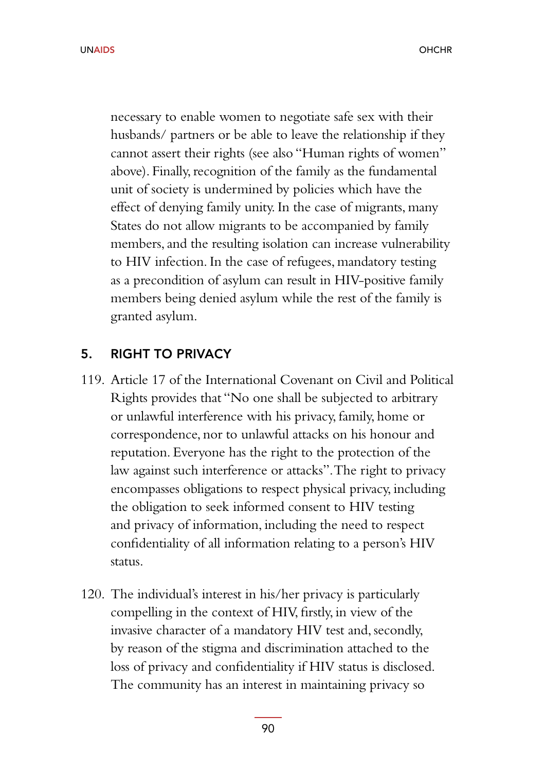necessary to enable women to negotiate safe sex with their husbands/ partners or be able to leave the relationship if they cannot assert their rights (see also "Human rights of women" above). Finally, recognition of the family as the fundamental unit of society is undermined by policies which have the effect of denying family unity. In the case of migrants, many States do not allow migrants to be accompanied by family members, and the resulting isolation can increase vulnerability to HIV infection. In the case of refugees, mandatory testing as a precondition of asylum can result in HIV-positive family members being denied asylum while the rest of the family is granted asylum.

### 5. RIGHT TO PRIVACY

- 119. Article 17 of the International Covenant on Civil and Political Rights provides that "No one shall be subjected to arbitrary or unlawful interference with his privacy, family, home or correspondence, nor to unlawful attacks on his honour and reputation. Everyone has the right to the protection of the law against such interference or attacks". The right to privacy encompasses obligations to respect physical privacy, including the obligation to seek informed consent to HIV testing and privacy of information, including the need to respect confidentiality of all information relating to a person's HIV status.
- 120. The individual's interest in his/her privacy is particularly compelling in the context of HIV, firstly, in view of the invasive character of a mandatory HIV test and, secondly, by reason of the stigma and discrimination attached to the loss of privacy and confidentiality if HIV status is disclosed. The community has an interest in maintaining privacy so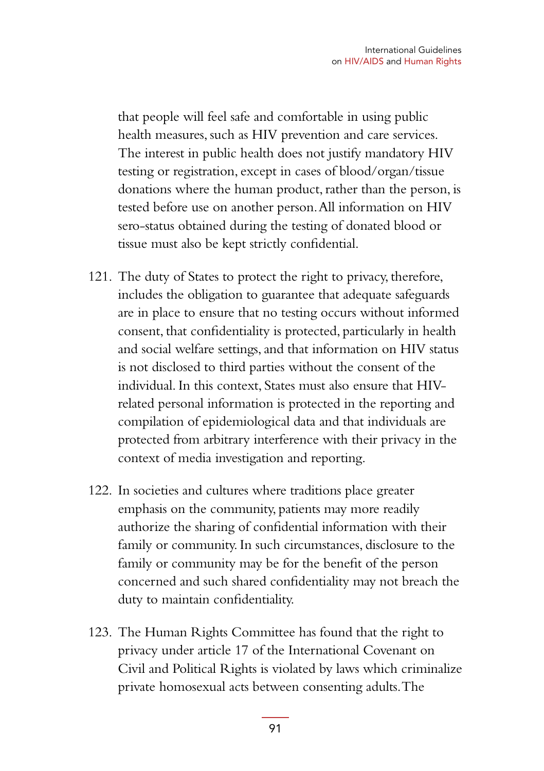that people will feel safe and comfortable in using public health measures, such as HIV prevention and care services. The interest in public health does not justify mandatory HIV testing or registration, except in cases of blood/organ/tissue donations where the human product, rather than the person, is tested before use on another person. All information on HIV sero-status obtained during the testing of donated blood or tissue must also be kept strictly confidential.

- 121. The duty of States to protect the right to privacy, therefore, includes the obligation to guarantee that adequate safeguards are in place to ensure that no testing occurs without informed consent, that confidentiality is protected, particularly in health and social welfare settings, and that information on HIV status is not disclosed to third parties without the consent of the individual. In this context, States must also ensure that HIVrelated personal information is protected in the reporting and compilation of epidemiological data and that individuals are protected from arbitrary interference with their privacy in the context of media investigation and reporting.
- 122. In societies and cultures where traditions place greater emphasis on the community, patients may more readily authorize the sharing of confidential information with their family or community. In such circumstances, disclosure to the family or community may be for the benefit of the person concerned and such shared confidentiality may not breach the duty to maintain confidentiality.
- 123. The Human Rights Committee has found that the right to privacy under article 17 of the International Covenant on Civil and Political Rights is violated by laws which criminalize private homosexual acts between consenting adults. The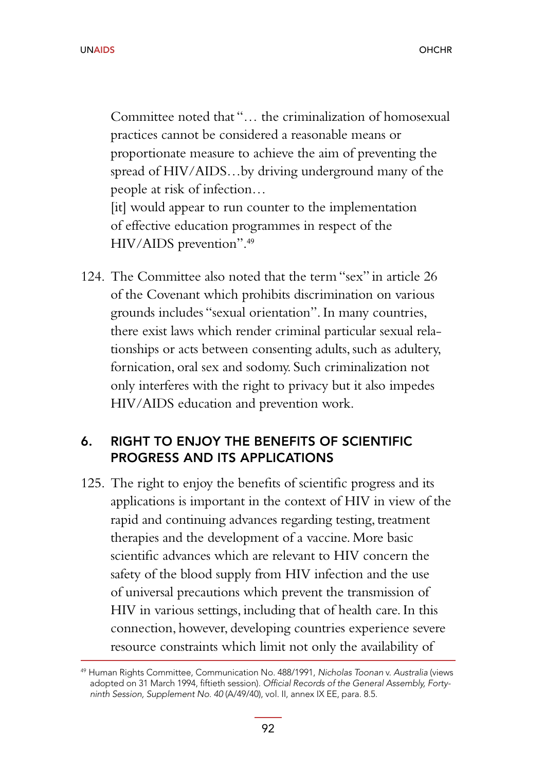Committee noted that "… the criminalization of homosexual practices cannot be considered a reasonable means or proportionate measure to achieve the aim of preventing the spread of HIV/AIDS…by driving underground many of the people at risk of infection…

[it] would appear to run counter to the implementation of effective education programmes in respect of the HIV/AIDS prevention".<sup>49</sup>

124. The Committee also noted that the term "sex" in article 26 of the Covenant which prohibits discrimination on various grounds includes "sexual orientation". In many countries, there exist laws which render criminal particular sexual relationships or acts between consenting adults, such as adultery, fornication, oral sex and sodomy. Such criminalization not only interferes with the right to privacy but it also impedes HIV/AIDS education and prevention work.

### 6. RIGHT TO ENJOY THE BENEFITS OF SCIENTIFIC PROGRESS AND ITS APPLICATIONS

125. The right to enjoy the benefits of scientific progress and its applications is important in the context of HIV in view of the rapid and continuing advances regarding testing, treatment therapies and the development of a vaccine. More basic scientific advances which are relevant to HIV concern the safety of the blood supply from HIV infection and the use of universal precautions which prevent the transmission of HIV in various settings, including that of health care. In this connection, however, developing countries experience severe resource constraints which limit not only the availability of

<sup>49</sup> Human Rights Committee, Communication No. 488/1991, Nicholas Toonan v. Australia (views adopted on 31 March 1994, fiftieth session). Official Records of the General Assembly, Fortyninth Session, Supplement No. 40 (A/49/40), vol. II, annex IX EE, para. 8.5.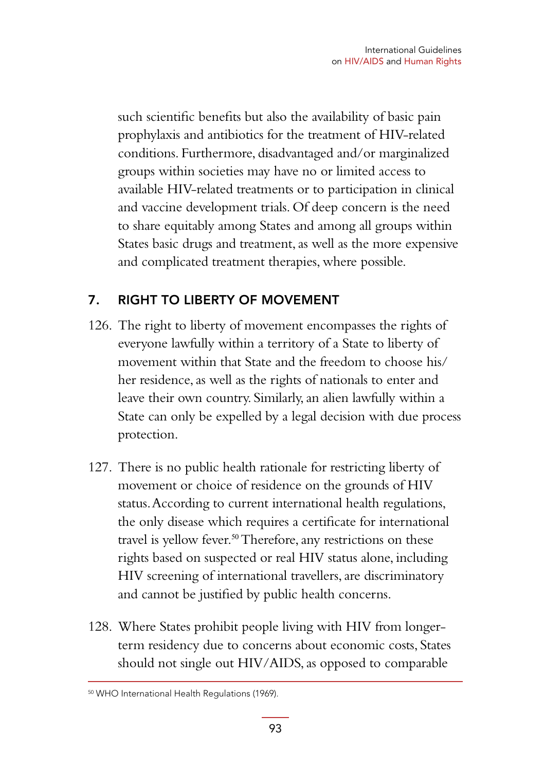such scientific benefits but also the availability of basic pain prophylaxis and antibiotics for the treatment of HIV-related conditions. Furthermore, disadvantaged and/or marginalized groups within societies may have no or limited access to available HIV-related treatments or to participation in clinical and vaccine development trials. Of deep concern is the need to share equitably among States and among all groups within States basic drugs and treatment, as well as the more expensive and complicated treatment therapies, where possible.

### 7. RIGHT TO LIBERTY OF MOVEMENT

- 126. The right to liberty of movement encompasses the rights of everyone lawfully within a territory of a State to liberty of movement within that State and the freedom to choose his/ her residence, as well as the rights of nationals to enter and leave their own country. Similarly, an alien lawfully within a State can only be expelled by a legal decision with due process protection.
- 127. There is no public health rationale for restricting liberty of movement or choice of residence on the grounds of HIV status. According to current international health regulations, the only disease which requires a certificate for international travel is yellow fever.<sup>50</sup> Therefore, any restrictions on these rights based on suspected or real HIV status alone, including HIV screening of international travellers, are discriminatory and cannot be justified by public health concerns.
- 128. Where States prohibit people living with HIV from longerterm residency due to concerns about economic costs, States should not single out HIV/AIDS, as opposed to comparable

<sup>50</sup> WHO International Health Regulations (1969).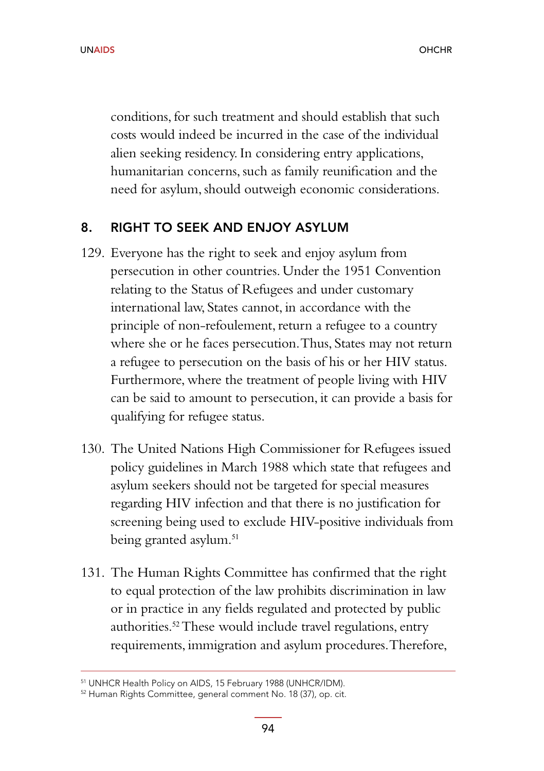conditions, for such treatment and should establish that such costs would indeed be incurred in the case of the individual alien seeking residency. In considering entry applications, humanitarian concerns, such as family reunification and the need for asylum, should outweigh economic considerations.

### 8. RIGHT TO SEEK AND ENJOY ASYLUM

- 129. Everyone has the right to seek and enjoy asylum from persecution in other countries. Under the 1951 Convention relating to the Status of Refugees and under customary international law, States cannot, in accordance with the principle of non-refoulement, return a refugee to a country where she or he faces persecution. Thus, States may not return a refugee to persecution on the basis of his or her HIV status. Furthermore, where the treatment of people living with HIV can be said to amount to persecution, it can provide a basis for qualifying for refugee status.
- 130. The United Nations High Commissioner for Refugees issued policy guidelines in March 1988 which state that refugees and asylum seekers should not be targeted for special measures regarding HIV infection and that there is no justification for screening being used to exclude HIV-positive individuals from being granted asylum.<sup>51</sup>
- 131. The Human Rights Committee has confirmed that the right to equal protection of the law prohibits discrimination in law or in practice in any fields regulated and protected by public authorities.52 These would include travel regulations, entry requirements, immigration and asylum procedures. Therefore,

<sup>51</sup> UNHCR Health Policy on AIDS, 15 February 1988 (UNHCR/IDM).

<sup>52</sup> Human Rights Committee, general comment No. 18 (37), op. cit.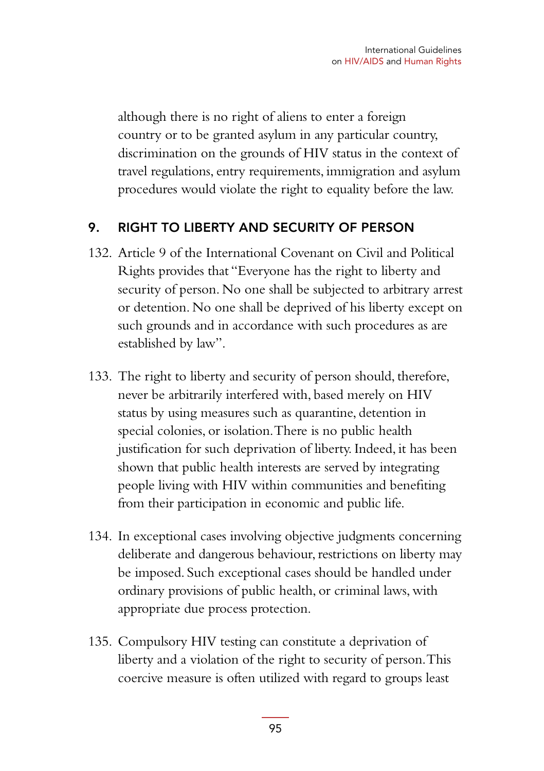although there is no right of aliens to enter a foreign country or to be granted asylum in any particular country, discrimination on the grounds of HIV status in the context of travel regulations, entry requirements, immigration and asylum procedures would violate the right to equality before the law.

### 9. RIGHT TO LIBERTY AND SECURITY OF PERSON

- 132. Article 9 of the International Covenant on Civil and Political Rights provides that "Everyone has the right to liberty and security of person. No one shall be subjected to arbitrary arrest or detention. No one shall be deprived of his liberty except on such grounds and in accordance with such procedures as are established by law".
- 133. The right to liberty and security of person should, therefore, never be arbitrarily interfered with, based merely on HIV status by using measures such as quarantine, detention in special colonies, or isolation. There is no public health justification for such deprivation of liberty. Indeed, it has been shown that public health interests are served by integrating people living with HIV within communities and benefiting from their participation in economic and public life.
- 134. In exceptional cases involving objective judgments concerning deliberate and dangerous behaviour, restrictions on liberty may be imposed. Such exceptional cases should be handled under ordinary provisions of public health, or criminal laws, with appropriate due process protection.
- 135. Compulsory HIV testing can constitute a deprivation of liberty and a violation of the right to security of person. This coercive measure is often utilized with regard to groups least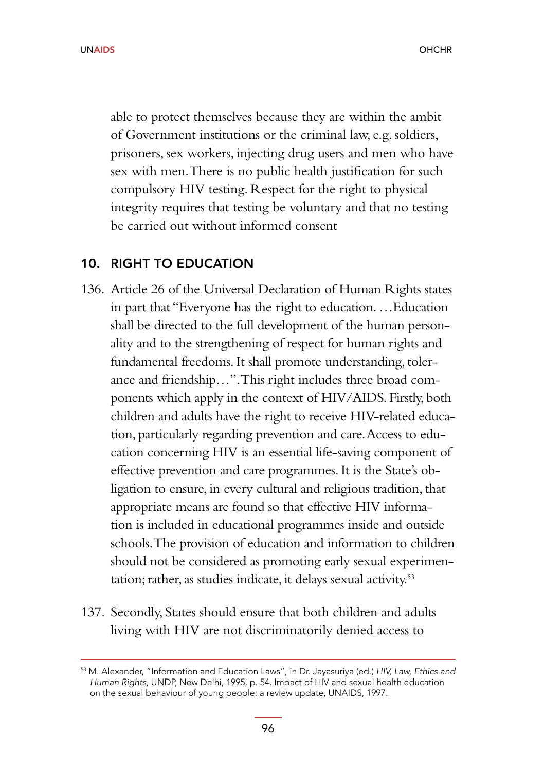able to protect themselves because they are within the ambit of Government institutions or the criminal law, e.g. soldiers, prisoners, sex workers, injecting drug users and men who have sex with men. There is no public health justification for such compulsory HIV testing. Respect for the right to physical integrity requires that testing be voluntary and that no testing be carried out without informed consent

#### 10. RIGHT TO EDUCATION

- 136. Article 26 of the Universal Declaration of Human Rights states in part that "Everyone has the right to education. …Education shall be directed to the full development of the human personality and to the strengthening of respect for human rights and fundamental freedoms. It shall promote understanding, tolerance and friendship…". This right includes three broad components which apply in the context of HIV/AIDS. Firstly, both children and adults have the right to receive HIV-related education, particularly regarding prevention and care. Access to education concerning HIV is an essential life-saving component of effective prevention and care programmes. It is the State's obligation to ensure, in every cultural and religious tradition, that appropriate means are found so that effective HIV information is included in educational programmes inside and outside schools. The provision of education and information to children should not be considered as promoting early sexual experimentation; rather, as studies indicate, it delays sexual activity.<sup>53</sup>
- 137. Secondly, States should ensure that both children and adults living with HIV are not discriminatorily denied access to

<sup>53</sup> M. Alexander, "Information and Education Laws", in Dr. Jayasuriya (ed.) HIV, Law, Ethics and Human Rights, UNDP, New Delhi, 1995, p. 54. Impact of HIV and sexual health education on the sexual behaviour of young people: a review update, UNAIDS, 1997.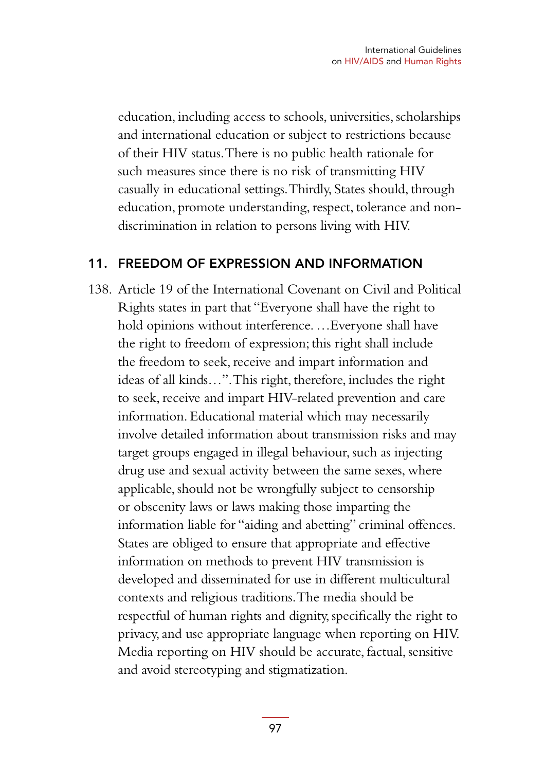education, including access to schools, universities, scholarships and international education or subject to restrictions because of their HIV status. There is no public health rationale for such measures since there is no risk of transmitting HIV casually in educational settings. Thirdly, States should, through education, promote understanding, respect, tolerance and nondiscrimination in relation to persons living with HIV.

### 11. FREEDOM OF EXPRESSION AND INFORMATION

138. Article 19 of the International Covenant on Civil and Political Rights states in part that "Everyone shall have the right to hold opinions without interference. …Everyone shall have the right to freedom of expression; this right shall include the freedom to seek, receive and impart information and ideas of all kinds…". This right, therefore, includes the right to seek, receive and impart HIV-related prevention and care information. Educational material which may necessarily involve detailed information about transmission risks and may target groups engaged in illegal behaviour, such as injecting drug use and sexual activity between the same sexes, where applicable, should not be wrongfully subject to censorship or obscenity laws or laws making those imparting the information liable for "aiding and abetting" criminal offences. States are obliged to ensure that appropriate and effective information on methods to prevent HIV transmission is developed and disseminated for use in different multicultural contexts and religious traditions. The media should be respectful of human rights and dignity, specifically the right to privacy, and use appropriate language when reporting on HIV. Media reporting on HIV should be accurate, factual, sensitive and avoid stereotyping and stigmatization.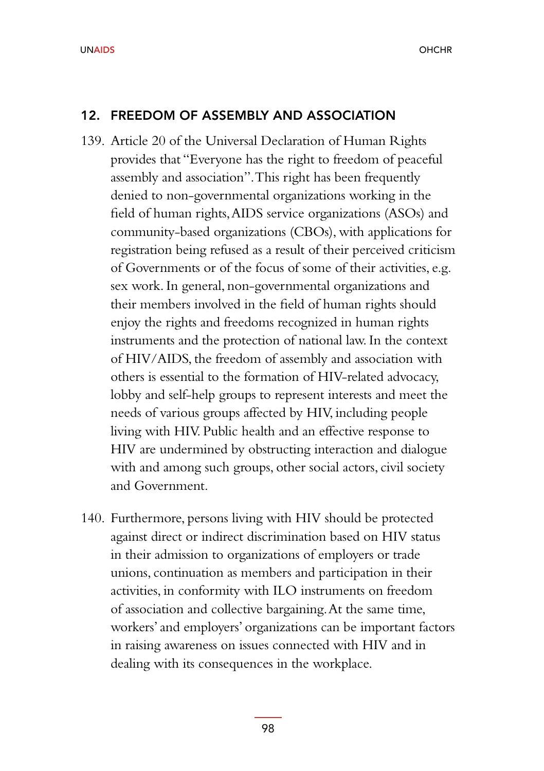#### 12. FREEDOM OF ASSEMBLY AND ASSOCIATION

- 139. Article 20 of the Universal Declaration of Human Rights provides that "Everyone has the right to freedom of peaceful assembly and association". This right has been frequently denied to non-governmental organizations working in the field of human rights, AIDS service organizations (ASOs) and community-based organizations (CBOs), with applications for registration being refused as a result of their perceived criticism of Governments or of the focus of some of their activities, e.g. sex work. In general, non-governmental organizations and their members involved in the field of human rights should enjoy the rights and freedoms recognized in human rights instruments and the protection of national law. In the context of HIV/AIDS, the freedom of assembly and association with others is essential to the formation of HIV-related advocacy, lobby and self-help groups to represent interests and meet the needs of various groups affected by HIV, including people living with HIV. Public health and an effective response to HIV are undermined by obstructing interaction and dialogue with and among such groups, other social actors, civil society and Government.
- 140. Furthermore, persons living with HIV should be protected against direct or indirect discrimination based on HIV status in their admission to organizations of employers or trade unions, continuation as members and participation in their activities, in conformity with ILO instruments on freedom of association and collective bargaining. At the same time, workers' and employers' organizations can be important factors in raising awareness on issues connected with HIV and in dealing with its consequences in the workplace.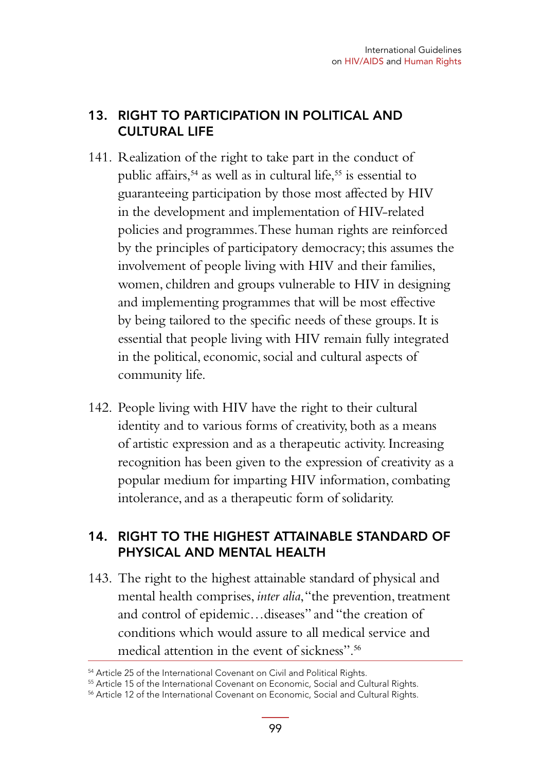### 13. RIGHT TO PARTICIPATION IN POLITICAL AND CULTURAL LIFE

- 141. Realization of the right to take part in the conduct of public affairs,<sup>54</sup> as well as in cultural life,<sup>55</sup> is essential to guaranteeing participation by those most affected by HIV in the development and implementation of HIV-related policies and programmes. These human rights are reinforced by the principles of participatory democracy; this assumes the involvement of people living with HIV and their families, women, children and groups vulnerable to HIV in designing and implementing programmes that will be most effective by being tailored to the specific needs of these groups. It is essential that people living with HIV remain fully integrated in the political, economic, social and cultural aspects of community life.
- 142. People living with HIV have the right to their cultural identity and to various forms of creativity, both as a means of artistic expression and as a therapeutic activity. Increasing recognition has been given to the expression of creativity as a popular medium for imparting HIV information, combating intolerance, and as a therapeutic form of solidarity.

### 14. RIGHT TO THE HIGHEST ATTAINABLE STANDARD OF PHYSICAL AND MENTAL HEALTH

143. The right to the highest attainable standard of physical and mental health comprises, *inter alia*, "the prevention, treatment and control of epidemic…diseases" and "the creation of conditions which would assure to all medical service and medical attention in the event of sickness".<sup>56</sup>

<sup>54</sup> Article 25 of the International Covenant on Civil and Political Rights.

<sup>55</sup> Article 15 of the International Covenant on Economic, Social and Cultural Rights.

<sup>&</sup>lt;sup>56</sup> Article 12 of the International Covenant on Economic, Social and Cultural Rights.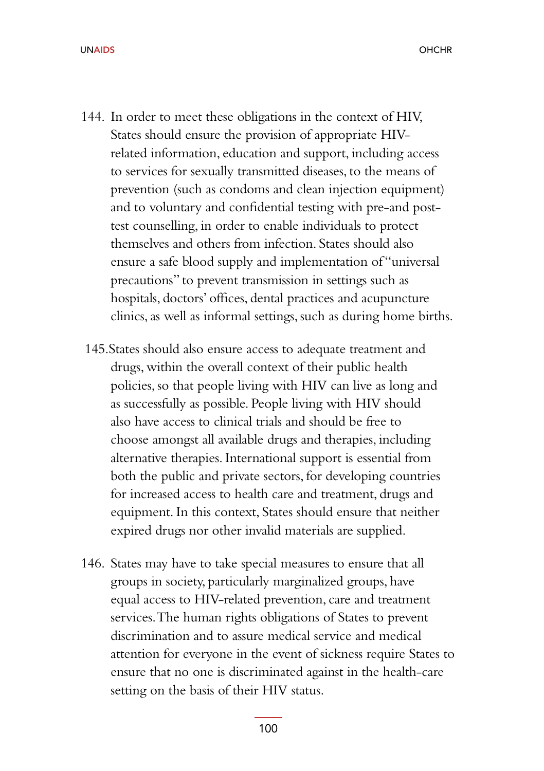- 144. In order to meet these obligations in the context of HIV, States should ensure the provision of appropriate HIVrelated information, education and support, including access to services for sexually transmitted diseases, to the means of prevention (such as condoms and clean injection equipment) and to voluntary and confidential testing with pre-and posttest counselling, in order to enable individuals to protect themselves and others from infection. States should also ensure a safe blood supply and implementation of "universal precautions" to prevent transmission in settings such as hospitals, doctors' offices, dental practices and acupuncture clinics, as well as informal settings, such as during home births.
- 145.States should also ensure access to adequate treatment and drugs, within the overall context of their public health policies, so that people living with HIV can live as long and as successfully as possible. People living with HIV should also have access to clinical trials and should be free to choose amongst all available drugs and therapies, including alternative therapies. International support is essential from both the public and private sectors, for developing countries for increased access to health care and treatment, drugs and equipment. In this context, States should ensure that neither expired drugs nor other invalid materials are supplied.
- 146. States may have to take special measures to ensure that all groups in society, particularly marginalized groups, have equal access to HIV-related prevention, care and treatment services. The human rights obligations of States to prevent discrimination and to assure medical service and medical attention for everyone in the event of sickness require States to ensure that no one is discriminated against in the health-care setting on the basis of their HIV status.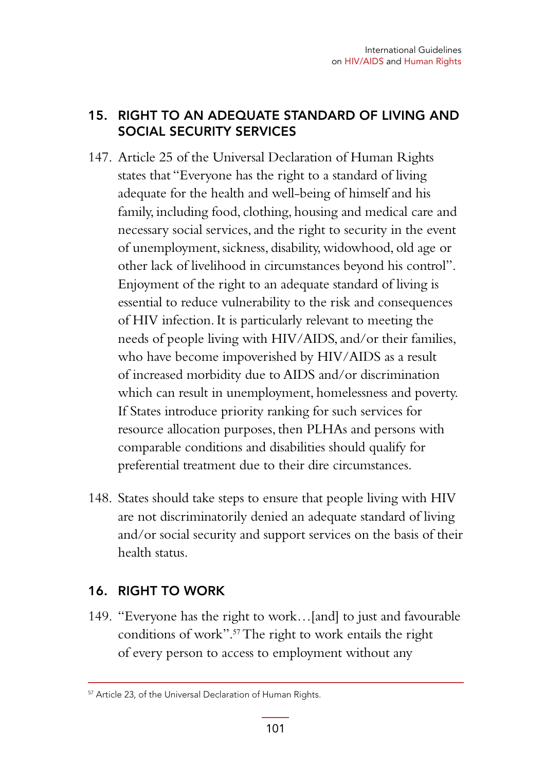### 15. RIGHT TO AN ADEQUATE STANDARD OF LIVING AND SOCIAL SECURITY SERVICES

- 147. Article 25 of the Universal Declaration of Human Rights states that "Everyone has the right to a standard of living adequate for the health and well-being of himself and his family, including food, clothing, housing and medical care and necessary social services, and the right to security in the event of unemployment, sickness, disability, widowhood, old age or other lack of livelihood in circumstances beyond his control". Enjoyment of the right to an adequate standard of living is essential to reduce vulnerability to the risk and consequences of HIV infection. It is particularly relevant to meeting the needs of people living with HIV/AIDS, and/or their families, who have become impoverished by HIV/AIDS as a result of increased morbidity due to AIDS and/or discrimination which can result in unemployment, homelessness and poverty. If States introduce priority ranking for such services for resource allocation purposes, then PLHAs and persons with comparable conditions and disabilities should qualify for preferential treatment due to their dire circumstances.
- 148. States should take steps to ensure that people living with HIV are not discriminatorily denied an adequate standard of living and/or social security and support services on the basis of their health status.

### 16. RIGHT TO WORK

149. "Everyone has the right to work…[and] to just and favourable conditions of work".57 The right to work entails the right of every person to access to employment without any

<sup>57</sup> Article 23, of the Universal Declaration of Human Rights.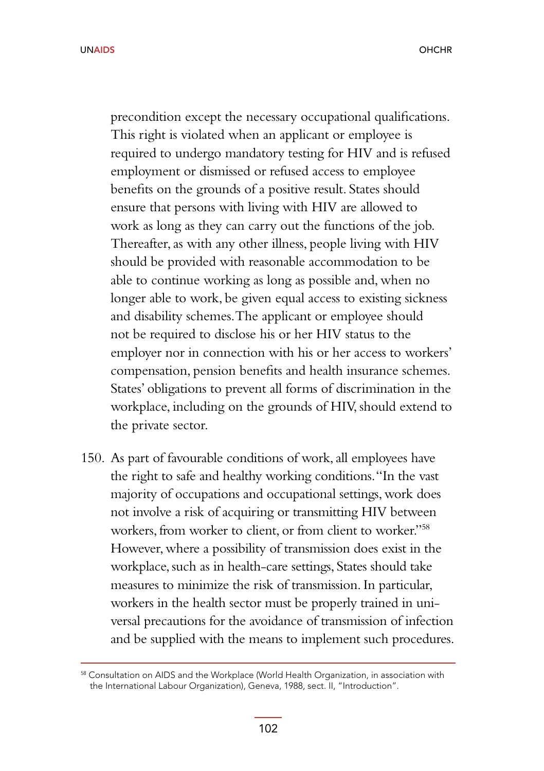precondition except the necessary occupational qualifications. This right is violated when an applicant or employee is required to undergo mandatory testing for HIV and is refused employment or dismissed or refused access to employee benefits on the grounds of a positive result. States should ensure that persons with living with HIV are allowed to work as long as they can carry out the functions of the job. Thereafter, as with any other illness, people living with HIV should be provided with reasonable accommodation to be able to continue working as long as possible and, when no longer able to work, be given equal access to existing sickness and disability schemes. The applicant or employee should not be required to disclose his or her HIV status to the employer nor in connection with his or her access to workers' compensation, pension benefits and health insurance schemes. States' obligations to prevent all forms of discrimination in the workplace, including on the grounds of HIV, should extend to the private sector.

150. As part of favourable conditions of work, all employees have the right to safe and healthy working conditions. "In the vast majority of occupations and occupational settings, work does not involve a risk of acquiring or transmitting HIV between workers, from worker to client, or from client to worker."58 However, where a possibility of transmission does exist in the workplace, such as in health-care settings, States should take measures to minimize the risk of transmission. In particular, workers in the health sector must be properly trained in universal precautions for the avoidance of transmission of infection and be supplied with the means to implement such procedures.

<sup>58</sup> Consultation on AIDS and the Workplace (World Health Organization, in association with the International Labour Organization), Geneva, 1988, sect. II, "Introduction".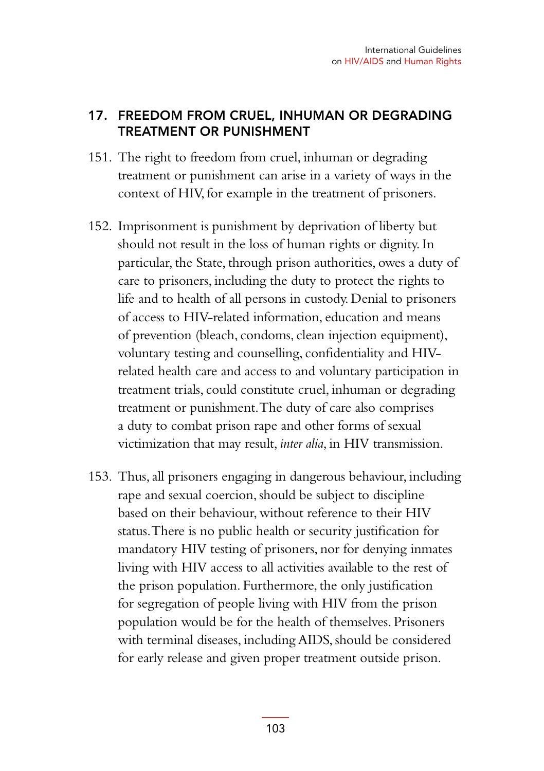### 17. FREEDOM FROM CRUEL, INHUMAN OR DEGRADING TREATMENT OR PUNISHMENT

- 151. The right to freedom from cruel, inhuman or degrading treatment or punishment can arise in a variety of ways in the context of HIV, for example in the treatment of prisoners.
- 152. Imprisonment is punishment by deprivation of liberty but should not result in the loss of human rights or dignity. In particular, the State, through prison authorities, owes a duty of care to prisoners, including the duty to protect the rights to life and to health of all persons in custody. Denial to prisoners of access to HIV-related information, education and means of prevention (bleach, condoms, clean injection equipment), voluntary testing and counselling, confidentiality and HIVrelated health care and access to and voluntary participation in treatment trials, could constitute cruel, inhuman or degrading treatment or punishment. The duty of care also comprises a duty to combat prison rape and other forms of sexual victimization that may result, *inter alia*, in HIV transmission.
- 153. Thus, all prisoners engaging in dangerous behaviour, including rape and sexual coercion, should be subject to discipline based on their behaviour, without reference to their HIV status. There is no public health or security justification for mandatory HIV testing of prisoners, nor for denying inmates living with HIV access to all activities available to the rest of the prison population. Furthermore, the only justification for segregation of people living with HIV from the prison population would be for the health of themselves. Prisoners with terminal diseases, including AIDS, should be considered for early release and given proper treatment outside prison.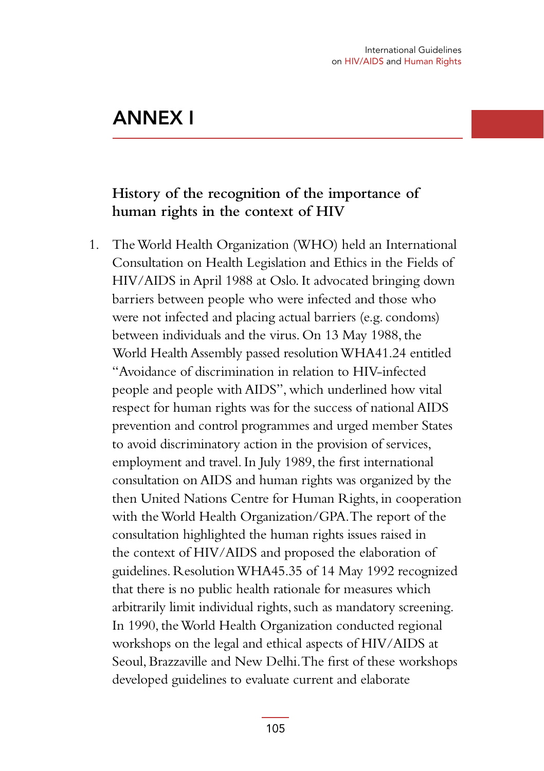### **History of the recognition of the importance of human rights in the context of HIV**

1. The World Health Organization (WHO) held an International Consultation on Health Legislation and Ethics in the Fields of HIV/AIDS in April 1988 at Oslo. It advocated bringing down barriers between people who were infected and those who were not infected and placing actual barriers (e.g. condoms) between individuals and the virus. On 13 May 1988, the World Health Assembly passed resolution WHA41.24 entitled "Avoidance of discrimination in relation to HIV-infected people and people with AIDS", which underlined how vital respect for human rights was for the success of national AIDS prevention and control programmes and urged member States to avoid discriminatory action in the provision of services, employment and travel. In July 1989, the first international consultation on AIDS and human rights was organized by the then United Nations Centre for Human Rights, in cooperation with the World Health Organization/GPA. The report of the consultation highlighted the human rights issues raised in the context of HIV/AIDS and proposed the elaboration of guidelines. Resolution WHA45.35 of 14 May 1992 recognized that there is no public health rationale for measures which arbitrarily limit individual rights, such as mandatory screening. In 1990, the World Health Organization conducted regional workshops on the legal and ethical aspects of HIV/AIDS at Seoul, Brazzaville and New Delhi. The first of these workshops developed guidelines to evaluate current and elaborate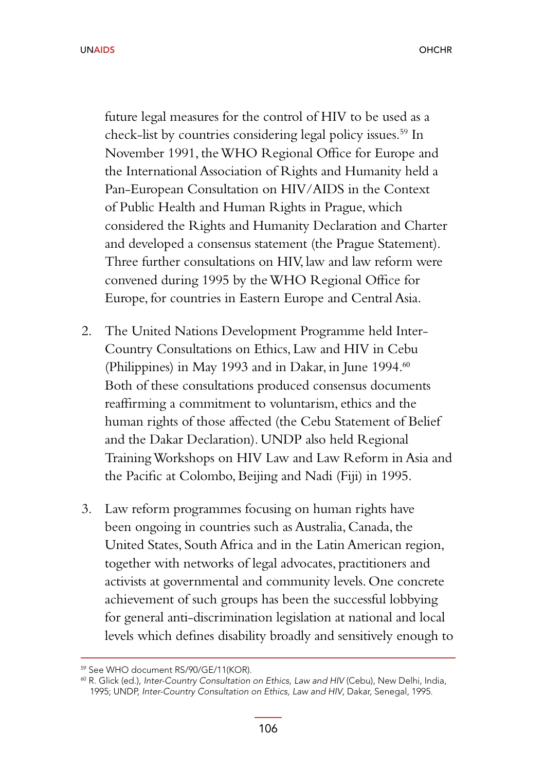future legal measures for the control of HIV to be used as a check-list by countries considering legal policy issues.59 In November 1991, the WHO Regional Office for Europe and the International Association of Rights and Humanity held a Pan-European Consultation on HIV/AIDS in the Context of Public Health and Human Rights in Prague, which considered the Rights and Humanity Declaration and Charter and developed a consensus statement (the Prague Statement). Three further consultations on HIV, law and law reform were convened during 1995 by the WHO Regional Office for Europe, for countries in Eastern Europe and Central Asia.

- 2. The United Nations Development Programme held Inter-Country Consultations on Ethics, Law and HIV in Cebu (Philippines) in May 1993 and in Dakar, in June 1994.<sup>60</sup> Both of these consultations produced consensus documents reaffirming a commitment to voluntarism, ethics and the human rights of those affected (the Cebu Statement of Belief and the Dakar Declaration). UNDP also held Regional Training Workshops on HIV Law and Law Reform in Asia and the Pacific at Colombo, Beijing and Nadi (Fiji) in 1995.
- 3. Law reform programmes focusing on human rights have been ongoing in countries such as Australia, Canada, the United States, South Africa and in the Latin American region, together with networks of legal advocates, practitioners and activists at governmental and community levels. One concrete achievement of such groups has been the successful lobbying for general anti-discrimination legislation at national and local levels which defines disability broadly and sensitively enough to

<sup>59</sup> See WHO document RS/90/GE/11(KOR).

<sup>60</sup> R. Glick (ed.), Inter-Country Consultation on Ethics, Law and HIV (Cebu), New Delhi, India, 1995; UNDP, Inter-Country Consultation on Ethics, Law and HIV, Dakar, Senegal, 1995.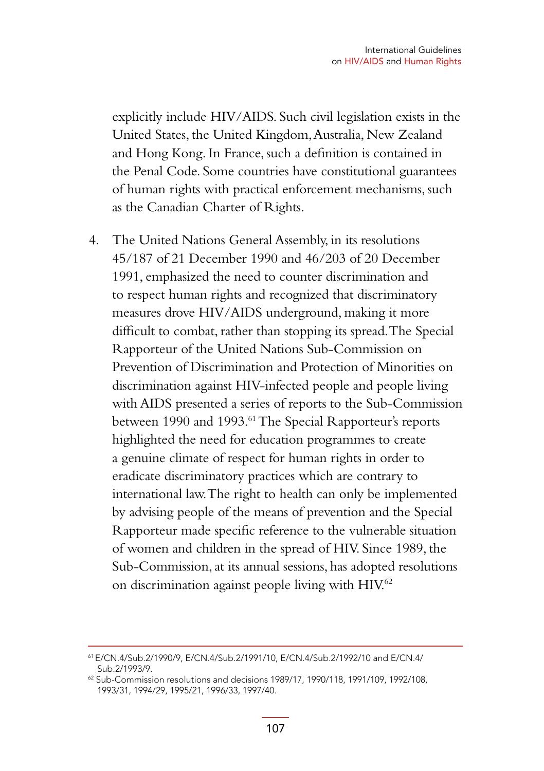explicitly include HIV/AIDS. Such civil legislation exists in the United States, the United Kingdom, Australia, New Zealand and Hong Kong. In France, such a definition is contained in the Penal Code. Some countries have constitutional guarantees of human rights with practical enforcement mechanisms, such as the Canadian Charter of Rights.

4. The United Nations General Assembly, in its resolutions 45/187 of 21 December 1990 and 46/203 of 20 December 1991, emphasized the need to counter discrimination and to respect human rights and recognized that discriminatory measures drove HIV/AIDS underground, making it more difficult to combat, rather than stopping its spread. The Special Rapporteur of the United Nations Sub-Commission on Prevention of Discrimination and Protection of Minorities on discrimination against HIV-infected people and people living with AIDS presented a series of reports to the Sub-Commission between 1990 and 1993.<sup>61</sup> The Special Rapporteur's reports highlighted the need for education programmes to create a genuine climate of respect for human rights in order to eradicate discriminatory practices which are contrary to international law. The right to health can only be implemented by advising people of the means of prevention and the Special Rapporteur made specific reference to the vulnerable situation of women and children in the spread of HIV. Since 1989, the Sub-Commission, at its annual sessions, has adopted resolutions on discrimination against people living with HIV.62

<sup>61</sup> E/CN.4/Sub.2/1990/9, E/CN.4/Sub.2/1991/10, E/CN.4/Sub.2/1992/10 and E/CN.4/

 $62$  Sub-Commission resolutions and decisions 1989/17, 1990/118, 1991/109, 1992/108, 1993/31, 1994/29, 1995/21, 1996/33, 1997/40.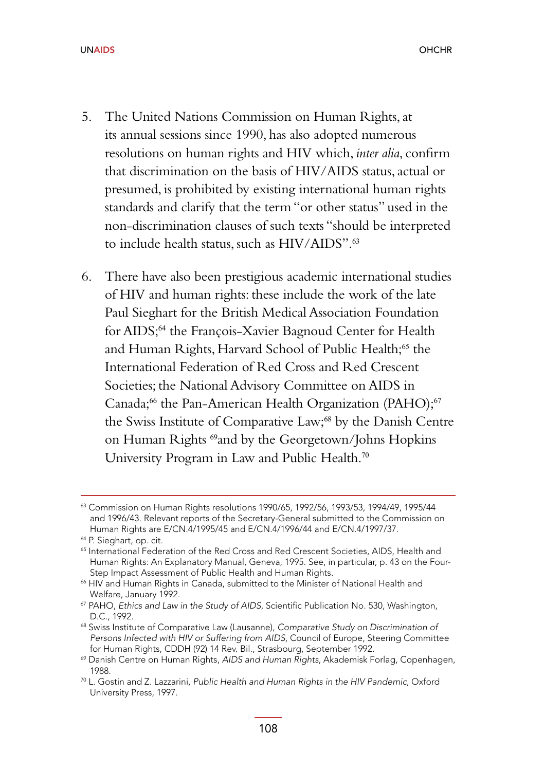- 5. The United Nations Commission on Human Rights, at its annual sessions since 1990, has also adopted numerous resolutions on human rights and HIV which, *inter alia*, confirm that discrimination on the basis of HIV/AIDS status, actual or presumed, is prohibited by existing international human rights standards and clarify that the term "or other status" used in the non-discrimination clauses of such texts "should be interpreted to include health status, such as HIV/AIDS".<sup>63</sup>
- 6. There have also been prestigious academic international studies of HIV and human rights: these include the work of the late Paul Sieghart for the British Medical Association Foundation for AIDS;<sup>64</sup> the François-Xavier Bagnoud Center for Health and Human Rights, Harvard School of Public Health;<sup>65</sup> the International Federation of Red Cross and Red Crescent Societies; the National Advisory Committee on AIDS in Canada;<sup>66</sup> the Pan-American Health Organization (PAHO);<sup>67</sup> the Swiss Institute of Comparative Law;<sup>68</sup> by the Danish Centre on Human Rights 69and by the Georgetown/Johns Hopkins University Program in Law and Public Health.<sup>70</sup>

<sup>63</sup> Commission on Human Rights resolutions 1990/65, 1992/56, 1993/53, 1994/49, 1995/44 and 1996/43. Relevant reports of the Secretary-General submitted to the Commission on Human Rights are E/CN.4/1995/45 and E/CN.4/1996/44 and E/CN.4/1997/37.

<sup>64</sup> P. Sieghart, op. cit.

<sup>&</sup>lt;sup>65</sup> International Federation of the Red Cross and Red Crescent Societies, AIDS, Health and Human Rights: An Explanatory Manual, Geneva, 1995. See, in particular, p. 43 on the Four-Step Impact Assessment of Public Health and Human Rights.

<sup>66</sup> HIV and Human Rights in Canada, submitted to the Minister of National Health and Welfare, January 1992.

<sup>&</sup>lt;sup>67</sup> PAHO, Ethics and Law in the Study of AIDS, Scientific Publication No. 530, Washington, D.C., 1992.<br><sup>68</sup> Swiss Institute of Comparative Law (Lausanne), Comparative Study on Discrimination of

Persons Infected with HIV or Suffering from AIDS, Council of Europe, Steering Committee for Human Rights, CDDH (92) 14 Rev. Bil., Strasbourg, September 1992.

<sup>69</sup> Danish Centre on Human Rights, AIDS and Human Rights, Akademisk Forlag, Copenhagen, 1988.

<sup>70</sup> L. Gostin and Z. Lazzarini, Public Health and Human Rights in the HIV Pandemic, Oxford University Press, 1997.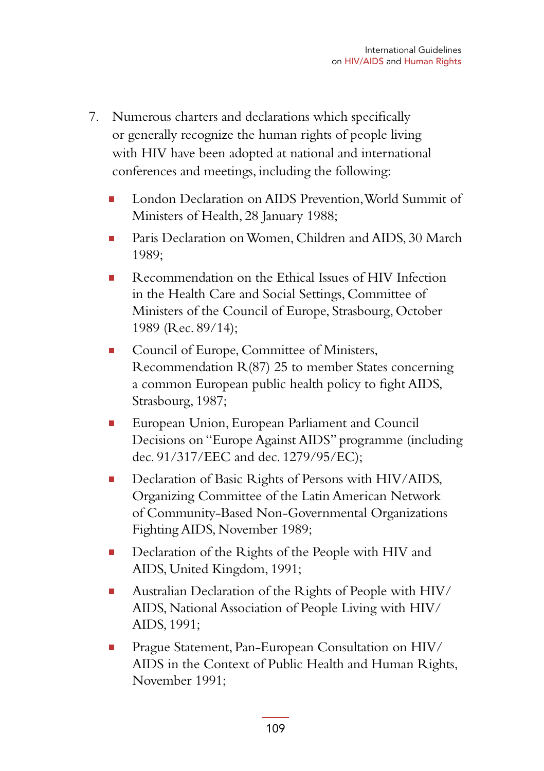- 7. Numerous charters and declarations which specifically or generally recognize the human rights of people living with HIV have been adopted at national and international conferences and meetings, including the following:
	- London Declaration on AIDS Prevention, World Summit of Ministers of Health, 28 January 1988;
	- Paris Declaration on Women, Children and AIDS, 30 March 1989;
	- Recommendation on the Ethical Issues of HIV Infection in the Health Care and Social Settings, Committee of Ministers of the Council of Europe, Strasbourg, October 1989 (Rec. 89/14);
	- Council of Europe, Committee of Ministers, Recommendation R(87) 25 to member States concerning a common European public health policy to fight AIDS, Strasbourg, 1987;
	- European Union, European Parliament and Council Decisions on "Europe Against AIDS" programme (including dec. 91/317/EEC and dec. 1279/95/EC);
	- Declaration of Basic Rights of Persons with HIV/AIDS, Organizing Committee of the Latin American Network of Community-Based Non-Governmental Organizations Fighting AIDS, November 1989;
	- Declaration of the Rights of the People with HIV and AIDS, United Kingdom, 1991;
	- Australian Declaration of the Rights of People with HIV/ AIDS, National Association of People Living with HIV/ AIDS, 1991;
	- **Prague Statement, Pan-European Consultation on HIV/** AIDS in the Context of Public Health and Human Rights, November 1991;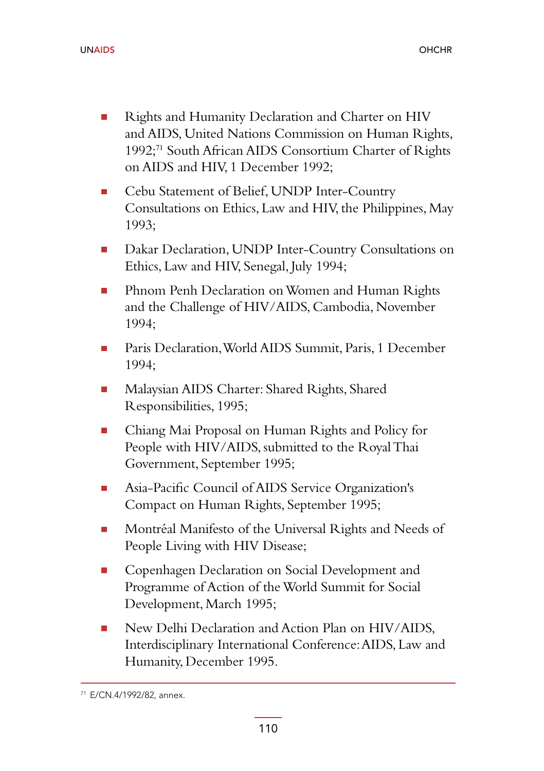- **Rights and Humanity Declaration and Charter on HIV** and AIDS, United Nations Commission on Human Rights, 1992;71 South African AIDS Consortium Charter of Rights on AIDS and HIV, 1 December 1992;
- Cebu Statement of Belief, UNDP Inter-Country Consultations on Ethics, Law and HIV, the Philippines, May 1993;
- Dakar Declaration, UNDP Inter-Country Consultations on Ethics, Law and HIV, Senegal, July 1994;
- **Phnom Penh Declaration on Women and Human Rights** and the Challenge of HIV/AIDS, Cambodia, November 1994;
- **Paris Declaration, World AIDS Summit, Paris, 1 December** 1994;
- **Malaysian AIDS Charter: Shared Rights, Shared** Responsibilities, 1995;
- Chiang Mai Proposal on Human Rights and Policy for People with HIV/AIDS, submitted to the Royal Thai Government, September 1995;
- Asia-Pacific Council of AIDS Service Organization's Compact on Human Rights, September 1995;
- **Montréal Manifesto of the Universal Rights and Needs of** People Living with HIV Disease;
- **Copenhagen Declaration on Social Development and** Programme of Action of the World Summit for Social Development, March 1995;
- New Delhi Declaration and Action Plan on HIV/AIDS, Interdisciplinary International Conference: AIDS, Law and Humanity, December 1995.

<sup>71</sup> E/CN.4/1992/82, annex.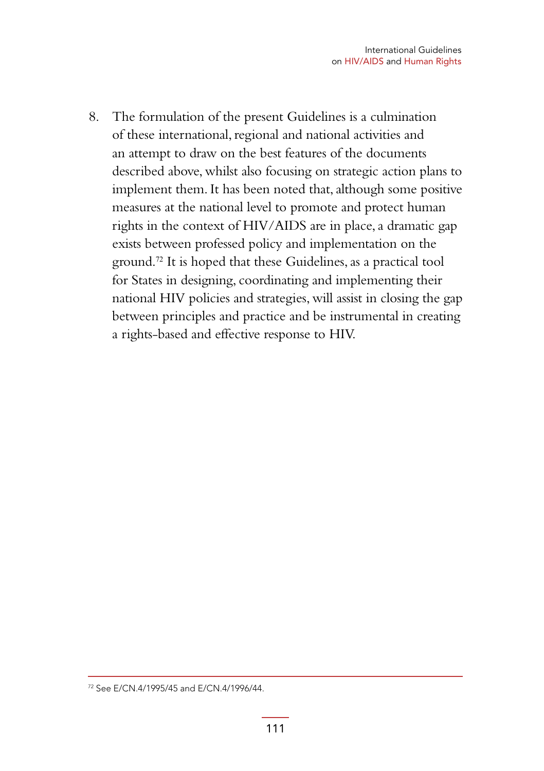8. The formulation of the present Guidelines is a culmination of these international, regional and national activities and an attempt to draw on the best features of the documents described above, whilst also focusing on strategic action plans to implement them. It has been noted that, although some positive measures at the national level to promote and protect human rights in the context of HIV/AIDS are in place, a dramatic gap exists between professed policy and implementation on the ground.72 It is hoped that these Guidelines, as a practical tool for States in designing, coordinating and implementing their national HIV policies and strategies, will assist in closing the gap between principles and practice and be instrumental in creating a rights-based and effective response to HIV.

<sup>72</sup> See E/CN.4/1995/45 and E/CN.4/1996/44.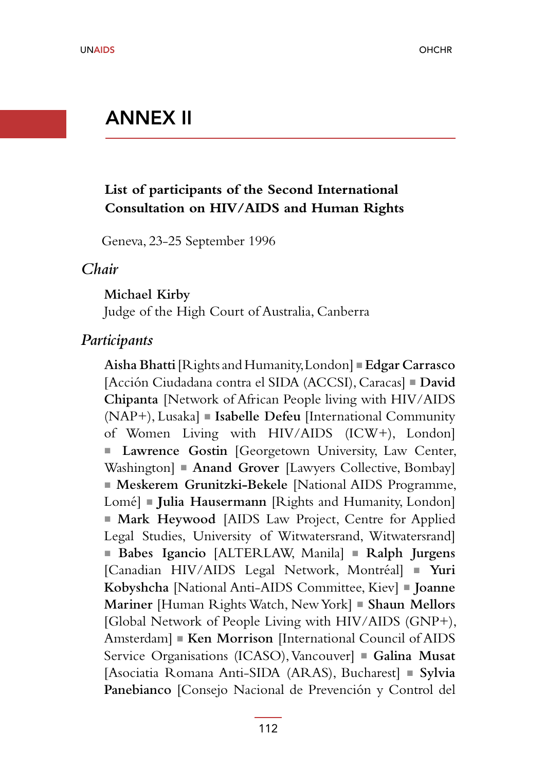# ANNEX II

## **List of participants of the Second International Consultation on HIV/AIDS and Human Rights**

Geneva, 23-25 September 1996

### *Chair*

#### **Michael Kirby**

Judge of the High Court of Australia, Canberra

#### *Participants*

**Aisha Bhatti** [Rights and Humanity, London] ■ **Edgar Carrasco** [Acción Ciudadana contra el SIDA (ACCSI), Caracas] ■ **David Chipanta** [Network of African People living with HIV/AIDS (NAP+), Lusaka] ■ **Isabelle Defeu** [International Community of Women Living with HIV/AIDS (ICW+), London] ■ Lawrence Gostin [Georgetown University, Law Center, Washington] ■ **Anand Grover** [Lawyers Collective, Bombay] ■ **Meskerem Grunitzki-Bekele** [National AIDS Programme, Lomé] ■ **Julia Hausermann** [Rights and Humanity, London] ■ Mark Heywood [AIDS Law Project, Centre for Applied Legal Studies, University of Witwatersrand, Witwatersrand] ■ **Babes Igancio** [ALTERLAW, Manila] ■ **Ralph Jurgens** [Canadian HIV/AIDS Legal Network, Montréal] ■ **Yuri Kobyshcha** [National Anti-AIDS Committee, Kiev] ■ **Joanne Mariner** [Human Rights Watch, New York] ■ **Shaun Mellors** [Global Network of People Living with HIV/AIDS (GNP+), Amsterdam] ■ **Ken Morrison** [International Council of AIDS Service Organisations (ICASO), Vancouver] ■ **Galina Musat** [Asociatia Romana Anti-SIDA (ARAS), Bucharest] ■ **Sylvia Panebianco** [Consejo Nacional de Prevención y Control del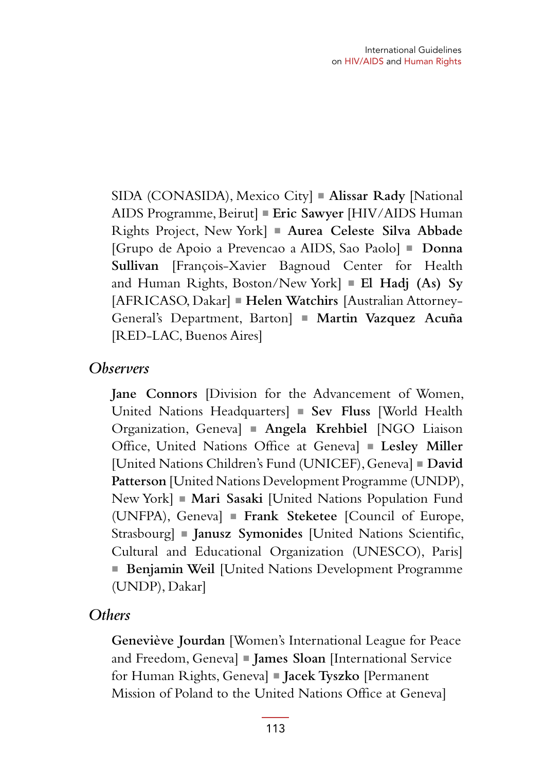SIDA (CONASIDA), Mexico City] ■ **Alissar Rady** [National AIDS Programme, Beirut] ■ **Eric Sawyer** [HIV/AIDS Human Rights Project, New York] ■ **Aurea Celeste Silva Abbade** [Grupo de Apoio a Prevencao a AIDS, Sao Paolo] ■ **Donna Sullivan** [François-Xavier Bagnoud Center for Health and Human Rights, Boston/New York] ■ **El Hadj (As) Sy** [AFRICASO, Dakar] ■ **Helen Watchirs** [Australian Attorney-General's Department, Barton] ■ **Martin Vazquez Acuña** [RED-LAC, Buenos Aires]

### *Observers*

**Jane Connors** [Division for the Advancement of Women, United Nations Headquarters] ■ **Sev Fluss** [World Health Organization, Geneva] ■ **Angela Krehbiel** [NGO Liaison Office, United Nations Office at Geneva] ■ **Lesley Miller** [United Nations Children's Fund (UNICEF), Geneva] ■ **David Patterson** [United Nations Development Programme (UNDP), New York] ■ **Mari Sasaki** [United Nations Population Fund (UNFPA), Geneva] ■ **Frank Steketee** [Council of Europe, Strasbourg] ■ **Janusz Symonides** [United Nations Scientific, Cultural and Educational Organization (UNESCO), Paris] ■ **Benjamin Weil** [United Nations Development Programme (UNDP), Dakar]

### *Others*

**Geneviève Jourdan** [Women's International League for Peace and Freedom, Geneva] ■ **James Sloan** [International Service for Human Rights, Geneva] ■ **Jacek Tyszko** [Permanent Mission of Poland to the United Nations Office at Geneva]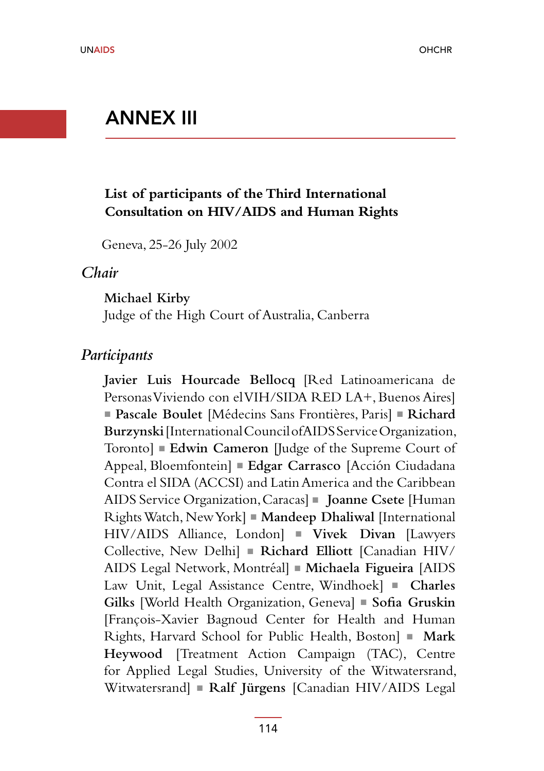# ANNEX III

## **List of participants of the Third International Consultation on HIV/AIDS and Human Rights**

Geneva, 25-26 July 2002

*Chair*

#### **Michael Kirby**

Judge of the High Court of Australia, Canberra

#### *Participants*

**Javier Luis Hourcade Bellocq** [Red Latinoamericana de Personas Viviendo con el VIH/SIDA RED LA+, Buenos Aires] ■ **Pascale Boulet** [Médecins Sans Frontières, Paris] ■ **Richard Burzynski**[International Council of AIDS Service Organization, Toronto] ■ **Edwin Cameron** [Judge of the Supreme Court of Appeal, Bloemfontein] ■ **Edgar Carrasco** [Acción Ciudadana Contra el SIDA (ACCSI) and Latin America and the Caribbean AIDS Service Organization, Caracas] ■ **Joanne Csete** [Human Rights Watch, New York] ■ **Mandeep Dhaliwal** [International HIV/AIDS Alliance, London] ■ **Vivek Divan** [Lawyers Collective, New Delhi] ■ **Richard Elliott** [Canadian HIV/ AIDS Legal Network, Montréal] ■ **Michaela Figueira** [AIDS Law Unit, Legal Assistance Centre, Windhoek] ■ **Charles Gilks** [World Health Organization, Geneva] ■ **Sofia Gruskin** [François-Xavier Bagnoud Center for Health and Human Rights, Harvard School for Public Health, Boston] ■ **Mark Heywood** [Treatment Action Campaign (TAC), Centre for Applied Legal Studies, University of the Witwatersrand, Witwatersrand] ■ **Ralf Jürgens** [Canadian HIV/AIDS Legal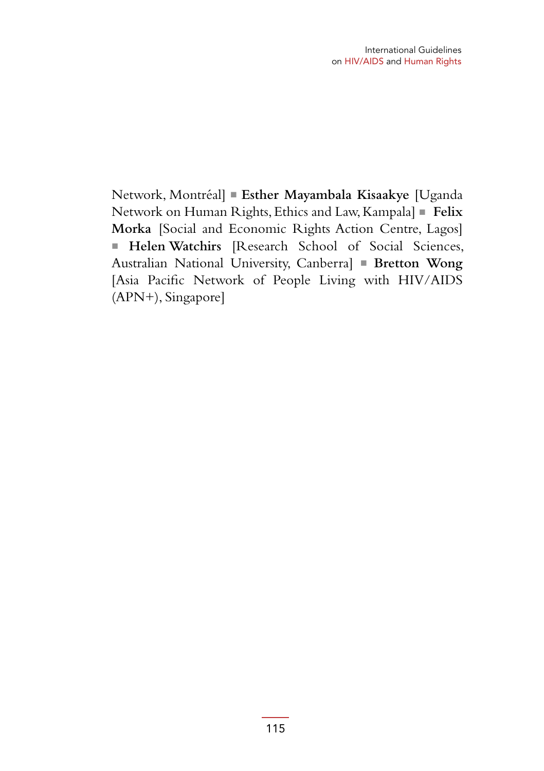Network, Montréal] ■ **Esther Mayambala Kisaakye** [Uganda Network on Human Rights, Ethics and Law, Kampala] ■ **Felix Morka** [Social and Economic Rights Action Centre, Lagos] ■ **Helen Watchirs** [Research School of Social Sciences, Australian National University, Canberra] ■ **Bretton Wong** [Asia Pacific Network of People Living with HIV/AIDS (APN+), Singapore]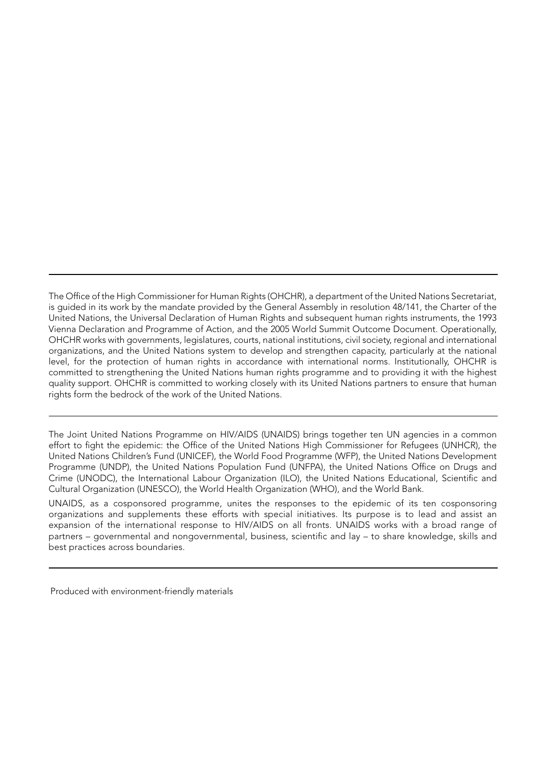The Office of the High Commissioner for Human Rights (OHCHR), a department of the United Nations Secretariat, is guided in its work by the mandate provided by the General Assembly in resolution 48/141, the Charter of the United Nations, the Universal Declaration of Human Rights and subsequent human rights instruments, the 1993 Vienna Declaration and Programme of Action, and the 2005 World Summit Outcome Document. Operationally, OHCHR works with governments, legislatures, courts, national institutions, civil society, regional and international organizations, and the United Nations system to develop and strengthen capacity, particularly at the national level, for the protection of human rights in accordance with international norms. Institutionally, OHCHR is committed to strengthening the United Nations human rights programme and to providing it with the highest quality support. OHCHR is committed to working closely with its United Nations partners to ensure that human rights form the bedrock of the work of the United Nations.

The Joint United Nations Programme on HIV/AIDS (UNAIDS) brings together ten UN agencies in a common effort to fight the epidemic: the Office of the United Nations High Commissioner for Refugees (UNHCR), the United Nations Children's Fund (UNICEF), the World Food Programme (WFP), the United Nations Development Programme (UNDP), the United Nations Population Fund (UNFPA), the United Nations Office on Drugs and Crime (UNODC), the International Labour Organization (ILO), the United Nations Educational, Scientific and Cultural Organization (UNESCO), the World Health Organization (WHO), and the World Bank.

UNAIDS, as a cosponsored programme, unites the responses to the epidemic of its ten cosponsoring organizations and supplements these efforts with special initiatives. Its purpose is to lead and assist an expansion of the international response to HIV/AIDS on all fronts. UNAIDS works with a broad range of partners – governmental and nongovernmental, business, scientific and lay – to share knowledge, skills and best practices across boundaries.

Produced with environment-friendly materials